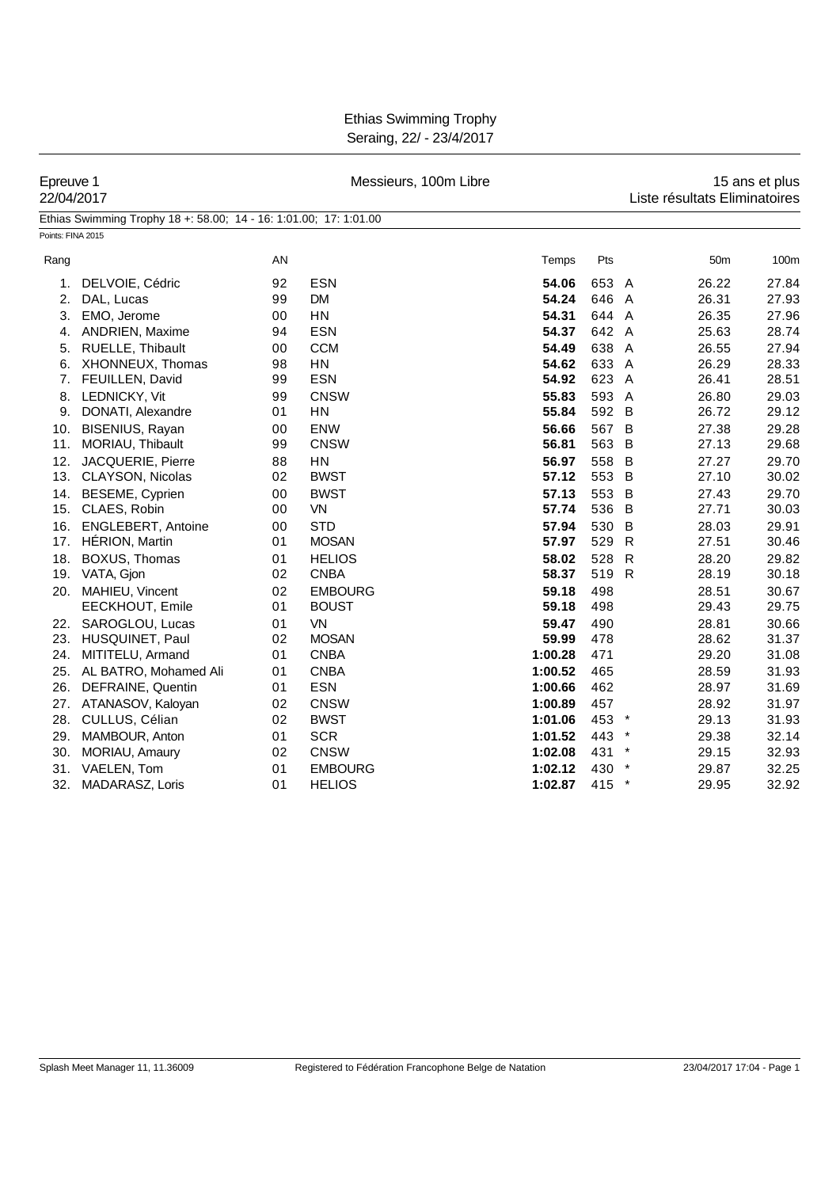Ethias Swimming Trophy Seraing, 22/ - 23/4/2017

| Epreuve 1<br>22/04/2017 |                                                                   |    | Messieurs, 100m Libre | 15 ans et plus<br>Liste résultats Eliminatoires |       |              |                 |       |
|-------------------------|-------------------------------------------------------------------|----|-----------------------|-------------------------------------------------|-------|--------------|-----------------|-------|
|                         | Ethias Swimming Trophy 18 +: 58.00; 14 - 16: 1:01.00; 17: 1:01.00 |    |                       |                                                 |       |              |                 |       |
| Points: FINA 2015       |                                                                   |    |                       |                                                 |       |              |                 |       |
| Rang                    |                                                                   | ΑN |                       | Temps                                           | Pts   |              | 50 <sub>m</sub> | 100m  |
| 1.                      | DELVOIE, Cédric                                                   | 92 | <b>ESN</b>            | 54.06                                           | 653 A |              | 26.22           | 27.84 |
| 2.                      | DAL, Lucas                                                        | 99 | <b>DM</b>             | 54.24                                           | 646 A |              | 26.31           | 27.93 |
| 3.                      | EMO, Jerome                                                       | 00 | <b>HN</b>             | 54.31                                           | 644 A |              | 26.35           | 27.96 |
| 4.                      | ANDRIEN, Maxime                                                   | 94 | <b>ESN</b>            | 54.37                                           | 642 A |              | 25.63           | 28.74 |
| 5.                      | RUELLE, Thibault                                                  | 00 | <b>CCM</b>            | 54.49                                           | 638 A |              | 26.55           | 27.94 |
| 6.                      | XHONNEUX, Thomas                                                  | 98 | HN                    | 54.62                                           | 633 A |              | 26.29           | 28.33 |
|                         | 7. FEUILLEN, David                                                | 99 | <b>ESN</b>            | 54.92                                           | 623 A |              | 26.41           | 28.51 |
|                         | 8. LEDNICKY, Vit                                                  | 99 | <b>CNSW</b>           | 55.83                                           | 593 A |              | 26.80           | 29.03 |
|                         | 9. DONATI, Alexandre                                              | 01 | <b>HN</b>             | 55.84                                           | 592 B |              | 26.72           | 29.12 |
| 10.                     | BISENIUS, Rayan                                                   | 00 | <b>ENW</b>            | 56.66                                           | 567 B |              | 27.38           | 29.28 |
| 11.                     | MORIAU, Thibault                                                  | 99 | <b>CNSW</b>           | 56.81                                           | 563 B |              | 27.13           | 29.68 |
| 12.                     | JACQUERIE, Pierre                                                 | 88 | <b>HN</b>             | 56.97                                           | 558 B |              | 27.27           | 29.70 |
|                         | 13. CLAYSON, Nicolas                                              | 02 | <b>BWST</b>           | 57.12                                           | 553 B |              | 27.10           | 30.02 |
| 14.                     | <b>BESEME, Cyprien</b>                                            | 00 | <b>BWST</b>           | 57.13                                           | 553 B |              | 27.43           | 29.70 |
|                         | 15. CLAES, Robin                                                  | 00 | VN                    | 57.74                                           | 536 B |              | 27.71           | 30.03 |
| 16.                     | <b>ENGLEBERT, Antoine</b>                                         | 00 | <b>STD</b>            | 57.94                                           | 530   | B            | 28.03           | 29.91 |
| 17.                     | <b>HÉRION, Martin</b>                                             | 01 | <b>MOSAN</b>          | 57.97                                           | 529   | R            | 27.51           | 30.46 |
| 18.                     | BOXUS, Thomas                                                     | 01 | <b>HELIOS</b>         | 58.02                                           | 528   | $\mathsf{R}$ | 28.20           | 29.82 |
|                         | 19. VATA, Gjon                                                    | 02 | <b>CNBA</b>           | 58.37                                           | 519 R |              | 28.19           | 30.18 |
|                         | 20. MAHIEU, Vincent                                               | 02 | <b>EMBOURG</b>        | 59.18                                           | 498   |              | 28.51           | 30.67 |
|                         | EECKHOUT, Emile                                                   | 01 | <b>BOUST</b>          | 59.18                                           | 498   |              | 29.43           | 29.75 |
|                         | 22. SAROGLOU, Lucas                                               | 01 | <b>VN</b>             | 59.47                                           | 490   |              | 28.81           | 30.66 |
| 23.                     | HUSQUINET, Paul                                                   | 02 | <b>MOSAN</b>          | 59.99                                           | 478   |              | 28.62           | 31.37 |
| 24.                     | MITITELU, Armand                                                  | 01 | <b>CNBA</b>           | 1:00.28                                         | 471   |              | 29.20           | 31.08 |
| 25.                     | AL BATRO, Mohamed Ali                                             | 01 | <b>CNBA</b>           | 1:00.52                                         | 465   |              | 28.59           | 31.93 |
| 26.                     | DEFRAINE, Quentin                                                 | 01 | <b>ESN</b>            | 1:00.66                                         | 462   |              | 28.97           | 31.69 |
| 27.                     | ATANASOV, Kaloyan                                                 | 02 | <b>CNSW</b>           | 1:00.89                                         | 457   |              | 28.92           | 31.97 |
| 28.                     | CULLUS, Célian                                                    | 02 | <b>BWST</b>           | 1:01.06                                         | 453 * |              | 29.13           | 31.93 |
| 29.                     | MAMBOUR, Anton                                                    | 01 | <b>SCR</b>            | 1:01.52                                         | 443 * |              | 29.38           | 32.14 |
| 30.                     | MORIAU, Amaury                                                    | 02 | <b>CNSW</b>           | 1:02.08                                         | 431 * |              | 29.15           | 32.93 |
| 31.                     | VAELEN, Tom                                                       | 01 | <b>EMBOURG</b>        | 1:02.12                                         | 430 * |              | 29.87           | 32.25 |
| 32.                     | MADARASZ, Loris                                                   | 01 | <b>HELIOS</b>         | 1:02.87                                         | 415 * |              | 29.95           | 32.92 |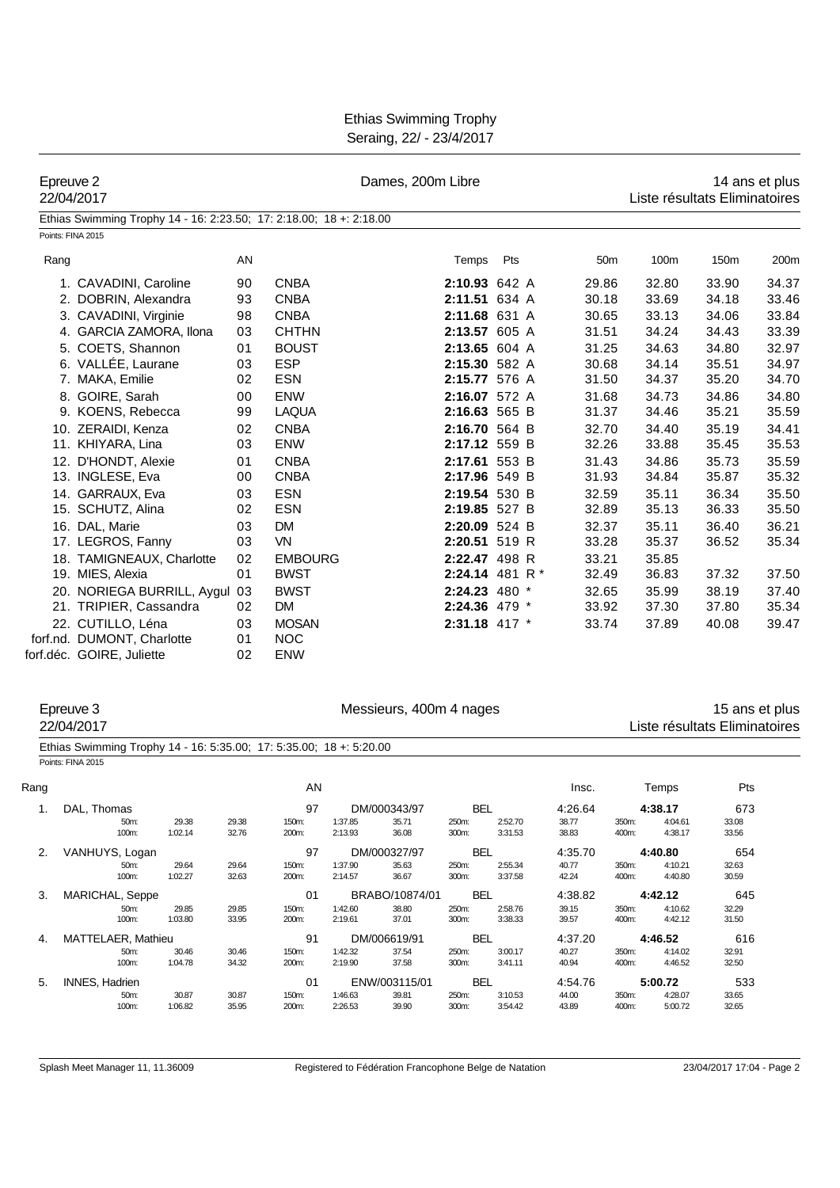| <b>Ethias Swimming Trophy</b> |  |
|-------------------------------|--|
| Seraing, 22/ - 23/4/2017      |  |

| Epreuve 2<br>22/04/2017                                             |    |                | Dames, 200m Libre |            | 14 ans et plus<br>Liste résultats Eliminatoires |                 |       |       |       |
|---------------------------------------------------------------------|----|----------------|-------------------|------------|-------------------------------------------------|-----------------|-------|-------|-------|
| Ethias Swimming Trophy 14 - 16: 2:23.50; 17: 2:18.00; 18 +: 2:18.00 |    |                |                   |            |                                                 |                 |       |       |       |
| Points: FINA 2015                                                   |    |                |                   |            |                                                 |                 |       |       |       |
| Rang                                                                | AN |                | Temps             | <b>Pts</b> |                                                 | 50 <sub>m</sub> | 100m  | 150m  | 200m  |
| 1. CAVADINI, Caroline                                               | 90 | <b>CNBA</b>    | 2:10.93 642 A     |            |                                                 | 29.86           | 32.80 | 33.90 | 34.37 |
| 2. DOBRIN, Alexandra                                                | 93 | <b>CNBA</b>    | 2:11.51 634 A     |            |                                                 | 30.18           | 33.69 | 34.18 | 33.46 |
| 3. CAVADINI, Virginie                                               | 98 | <b>CNBA</b>    | 2:11.68 631 A     |            |                                                 | 30.65           | 33.13 | 34.06 | 33.84 |
| 4. GARCIA ZAMORA, Ilona                                             | 03 | <b>CHTHN</b>   | 2:13.57 605 A     |            |                                                 | 31.51           | 34.24 | 34.43 | 33.39 |
| 5. COETS, Shannon                                                   | 01 | <b>BOUST</b>   | 2:13.65 604 A     |            |                                                 | 31.25           | 34.63 | 34.80 | 32.97 |
| 6. VALLÉE, Laurane                                                  | 03 | <b>ESP</b>     | 2:15.30 582 A     |            |                                                 | 30.68           | 34.14 | 35.51 | 34.97 |
| 7. MAKA, Emilie                                                     | 02 | <b>ESN</b>     | 2:15.77 576 A     |            |                                                 | 31.50           | 34.37 | 35.20 | 34.70 |
| 8. GOIRE, Sarah                                                     | 00 | <b>ENW</b>     | 2:16.07 572 A     |            |                                                 | 31.68           | 34.73 | 34.86 | 34.80 |
| 9. KOENS, Rebecca                                                   | 99 | <b>LAQUA</b>   | 2:16.63 565 B     |            |                                                 | 31.37           | 34.46 | 35.21 | 35.59 |
| 10. ZERAIDI, Kenza                                                  | 02 | <b>CNBA</b>    | 2:16.70 564 B     |            |                                                 | 32.70           | 34.40 | 35.19 | 34.41 |
| 11. KHIYARA, Lina                                                   | 03 | <b>ENW</b>     | 2:17.12 559 B     |            |                                                 | 32.26           | 33.88 | 35.45 | 35.53 |
| 12. D'HONDT, Alexie                                                 | 01 | <b>CNBA</b>    | 2:17.61 553 B     |            |                                                 | 31.43           | 34.86 | 35.73 | 35.59 |
| 13. INGLESE, Eva                                                    | 00 | <b>CNBA</b>    | 2:17.96 549 B     |            |                                                 | 31.93           | 34.84 | 35.87 | 35.32 |
| 14. GARRAUX, Eva                                                    | 03 | <b>ESN</b>     | 2:19.54 530 B     |            |                                                 | 32.59           | 35.11 | 36.34 | 35.50 |
| 15. SCHUTZ, Alina                                                   | 02 | <b>ESN</b>     | 2:19.85 527 B     |            |                                                 | 32.89           | 35.13 | 36.33 | 35.50 |
| 16. DAL, Marie                                                      | 03 | <b>DM</b>      | 2:20.09 524 B     |            |                                                 | 32.37           | 35.11 | 36.40 | 36.21 |
| 17. LEGROS, Fanny                                                   | 03 | <b>VN</b>      | 2:20.51 519 R     |            |                                                 | 33.28           | 35.37 | 36.52 | 35.34 |
| 18. TAMIGNEAUX, Charlotte                                           | 02 | <b>EMBOURG</b> | 2:22.47 498 R     |            |                                                 | 33.21           | 35.85 |       |       |
| 19. MIES, Alexia                                                    | 01 | <b>BWST</b>    | 2:24.14 481 R $*$ |            |                                                 | 32.49           | 36.83 | 37.32 | 37.50 |
| 20. NORIEGA BURRILL, Aygul                                          | 03 | <b>BWST</b>    | 2:24.23 480 *     |            |                                                 | 32.65           | 35.99 | 38.19 | 37.40 |
| 21. TRIPIER, Cassandra                                              | 02 | <b>DM</b>      | 2:24.36 479 *     |            |                                                 | 33.92           | 37.30 | 37.80 | 35.34 |
| 22. CUTILLO, Léna                                                   | 03 | <b>MOSAN</b>   | 2:31.18 417 *     |            |                                                 | 33.74           | 37.89 | 40.08 | 39.47 |
| forf.nd. DUMONT, Charlotte                                          | 01 | <b>NOC</b>     |                   |            |                                                 |                 |       |       |       |
| forf.déc. GOIRE, Juliette                                           | 02 | <b>ENW</b>     |                   |            |                                                 |                 |       |       |       |

Epreuve 3 **Accords 2000 Exercises** Messieurs, 400m 4 nages 15 ans et plus<br>Liste résultats Eliminatoires Liste résultats Eliminatoires

| Ethias Swimming Trophy 14 - 16: 5:35.00; 17: 5:35.00; 18 +: 5:20.00 |  |
|---------------------------------------------------------------------|--|
| Points: FINA 2015                                                   |  |

| Rang |                       |                  |                | AN             |                    |                |                |                    | Insc.          |                | Temps              | Pts            |
|------|-----------------------|------------------|----------------|----------------|--------------------|----------------|----------------|--------------------|----------------|----------------|--------------------|----------------|
| 1.   | DAL. Thomas           |                  |                | 97             |                    | DM/000343/97   | <b>BEL</b>     |                    | 4:26.64        |                | 4:38.17            | 673            |
|      | 50m:                  | 29.38            | 29.38          | 150m:          | 1:37.85            | 35.71          | 250m:          | 2:52.70            | 38.77          | 350m:          | 4:04.61            | 33.08          |
|      | 100m:                 | 1:02.14          | 32.76          | 200m:          | 2:13.93            | 36.08          | 300m:          | 3:31.53            | 38.83          | 400m:          | 4:38.17            | 33.56          |
| 2.   | VANHUYS, Logan        |                  |                | 97             |                    | DM/000327/97   | <b>BEL</b>     |                    | 4:35.70        | 4:40.80        |                    | 654            |
|      | 50m:                  | 29.64            | 29.64          | 150m:          | 1:37.90            | 35.63          | 250m:          | 2:55.34            | 40.77          | 350m:          | 4:10.21            | 32.63          |
|      | 100m:                 | 1:02.27          | 32.63          | 200m:          | 2:14.57            | 36.67          | 300m:          | 3:37.58            | 42.24          | 400m:          | 4:40.80            | 30.59          |
| 3.   | MARICHAL, Seppe       |                  |                | 0 <sub>1</sub> |                    | BRABO/10874/01 | <b>BEL</b>     |                    | 4:38.82        |                | 4:42.12            | 645            |
|      | 50m:<br>100m:         | 29.85<br>1:03.80 | 29.85<br>33.95 | 150m:<br>200m: | 1:42.60<br>2:19.61 | 38.80<br>37.01 | 250m:<br>300m: | 2:58.76<br>3:38.33 | 39.15<br>39.57 | 350m:<br>400m: | 4:10.62<br>4:42.12 | 32.29<br>31.50 |
| 4.   | MATTELAER, Mathieu    |                  |                | 91             |                    | DM/006619/91   | <b>BEL</b>     |                    | 4:37.20        |                | 4:46.52            | 616            |
|      | 50m:                  | 30.46            | 30.46          | 150m:          | 1:42.32            | 37.54          | 250m:          | 3:00.17            | 40.27          | 350m:          | 4:14.02            | 32.91          |
|      | 100m:                 | 1:04.78          | 34.32          | 200m:          | 2:19.90            | 37.58          | 300m:          | 3:41.11            | 40.94          | 400m:          | 4:46.52            | 32.50          |
| 5.   | <b>INNES, Hadrien</b> |                  |                | 01             |                    | ENW/003115/01  | <b>BEL</b>     |                    | 4:54.76        |                | 5:00.72            | 533            |
|      | 50m:                  | 30.87            | 30.87          | 150m:          | 1:46.63            | 39.81          | 250m:          | 3:10.53            | 44.00          | 350m:          | 4:28.07            | 33.65          |
|      | 100m:                 | 1:06.82          | 35.95          | 200m:          | 2:26.53            | 39.90          | 300m:          | 3:54.42            | 43.89          | 400m:          | 5:00.72            | 32.65          |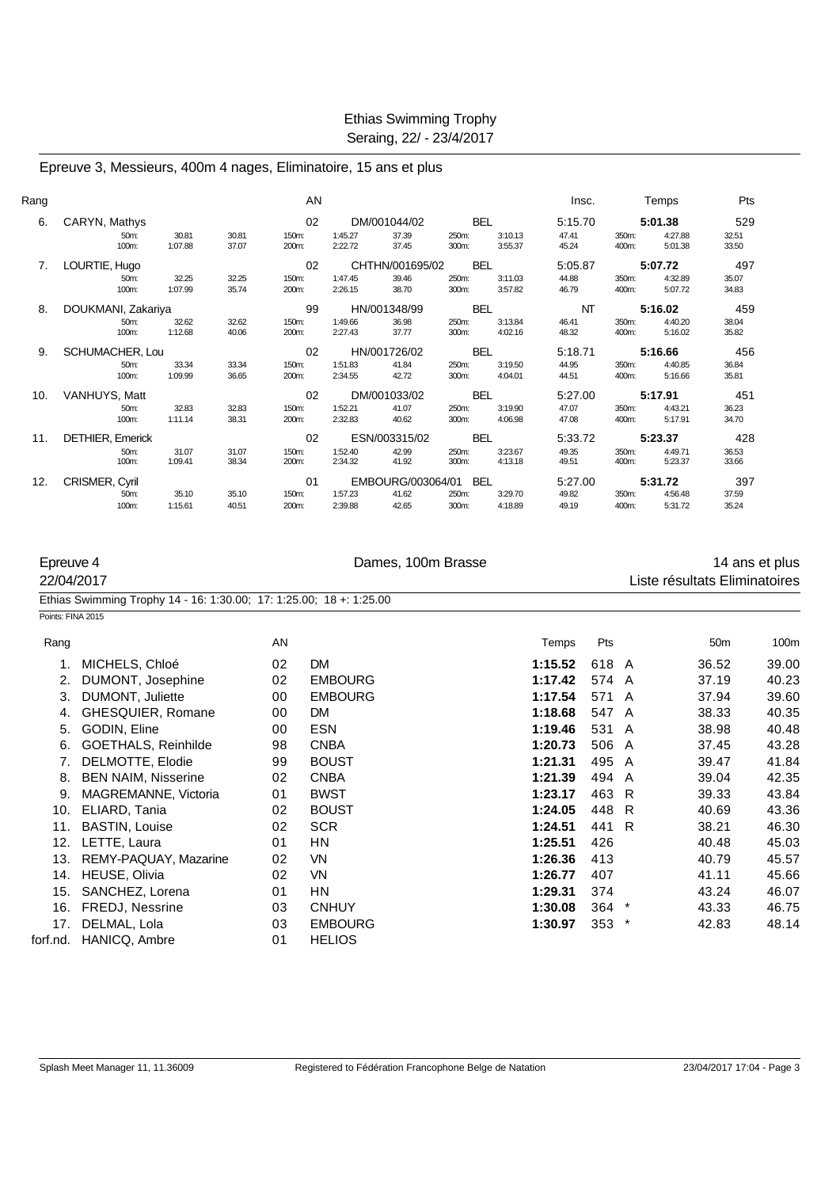#### Epreuve 3, Messieurs, 400m 4 nages, Eliminatoire, 15 ans et plus

| Rang |                    |                  |                | AN             |                    |                   |                |                    | Insc.          |                | Temps              | Pts            |
|------|--------------------|------------------|----------------|----------------|--------------------|-------------------|----------------|--------------------|----------------|----------------|--------------------|----------------|
| 6.   | CARYN, Mathys      |                  |                | 02             |                    | DM/001044/02      | <b>BEL</b>     |                    | 5:15.70        |                | 5:01.38            | 529            |
|      | 50m:<br>100m:      | 30.81<br>1:07.88 | 30.81<br>37.07 | 150m:<br>200m: | 1:45.27<br>2:22.72 | 37.39<br>37.45    | 250m:<br>300m: | 3:10.13<br>3:55.37 | 47.41<br>45.24 | 350m:<br>400m: | 4:27.88<br>5:01.38 | 32.51<br>33.50 |
| 7.   | LOURTIE, Hugo      |                  |                | 02             |                    | CHTHN/001695/02   | <b>BEL</b>     |                    | 5:05.87        |                | 5:07.72            | 497            |
|      | 50m:               | 32.25            | 32.25          | 150m:          | 1:47.45            | 39.46             | 250m:          | 3:11.03            | 44.88          | 350m:          | 4:32.89            | 35.07          |
|      | 100m:              | 1:07.99          | 35.74          | 200m:          | 2:26.15            | 38.70             | 300m:          | 3:57.82            | 46.79          | 400m:          | 5:07.72            | 34.83          |
| 8.   | DOUKMANI, Zakariya |                  |                | 99             |                    | HN/001348/99      | <b>BEL</b>     |                    | NT             |                | 5:16.02            | 459            |
|      | 50m:               | 32.62            | 32.62          | 150m:          | 1:49.66            | 36.98             | 250m:          | 3:13.84            | 46.41          | 350m:          | 4:40.20            | 38.04          |
|      | 100m:              | 1:12.68          | 40.06          | 200m:          | 2:27.43            | 37.77             | 300m:          | 4:02.16            | 48.32          | 400m:          | 5:16.02            | 35.82          |
| 9.   | SCHUMACHER, Lou    |                  |                | 02             |                    | HN/001726/02      | <b>BEL</b>     |                    | 5:18.71        |                | 5:16.66            | 456            |
|      | 50m:               | 33.34            | 33.34          | 150m:          | 1:51.83            | 41.84             | 250m:          | 3:19.50            | 44.95          | 350m:          | 4:40.85            | 36.84          |
|      | 100m:              | 1:09.99          | 36.65          | 200m:          | 2:34.55            | 42.72             | 300m:          | 4:04.01            | 44.51          | 400m:          | 5:16.66            | 35.81          |
| 10.  | VANHUYS, Matt      |                  |                | 02             |                    | DM/001033/02      | <b>BEL</b>     |                    | 5:27.00        |                | 5:17.91            | 451            |
|      | 50m:               | 32.83            | 32.83          | 150m:          | 1:52.21            | 41.07             | 250m:          | 3:19.90            | 47.07          | 350m:          | 4:43.21            | 36.23          |
|      | 100m:              | 1:11.14          | 38.31          | 200m:          | 2:32.83            | 40.62             | 300m:          | 4:06.98            | 47.08          | 400m:          | 5:17.91            | 34.70          |
| 11.  | DETHIER, Emerick   |                  |                | 02             |                    | ESN/003315/02     | <b>BEL</b>     |                    | 5:33.72        |                | 5:23.37            | 428            |
|      | 50m:               | 31.07            | 31.07          | 150m:          | 1:52.40            | 42.99             | 250m:          | 3:23.67            | 49.35          | 350m:          | 4:49.71            | 36.53          |
|      | 100m:              | 1:09.41          | 38.34          | 200m:          | 2:34.32            | 41.92             | 300m:          | 4:13.18            | 49.51          | 400m:          | 5:23.37            | 33.66          |
| 12.  | CRISMER, Cyril     |                  |                | 01             |                    | EMBOURG/003064/01 | <b>BEL</b>     |                    | 5:27.00        |                | 5:31.72            | 397            |
|      | 50m:               | 35.10            | 35.10          | 150m:          | 1:57.23            | 41.62             | 250m:          | 3:29.70            | 49.82          | 350m:          | 4:56.48            | 37.59          |
|      | 100m:              | 1:15.61          | 40.51          | 200m:          | 2:39.88            | 42.65             | 300m:          | 4:18.89            | 49.19          | 400m:          | 5:31.72            | 35.24          |

| Epreuve 4         |                                                                     | Dames, 100m Brasse |                |         |         |  |                               |                  |
|-------------------|---------------------------------------------------------------------|--------------------|----------------|---------|---------|--|-------------------------------|------------------|
| 22/04/2017        |                                                                     |                    |                |         |         |  | Liste résultats Eliminatoires |                  |
|                   | Ethias Swimming Trophy 14 - 16: 1:30.00; 17: 1:25.00; 18 +: 1:25.00 |                    |                |         |         |  |                               |                  |
| Points: FINA 2015 |                                                                     |                    |                |         |         |  |                               |                  |
| Rang              |                                                                     | AN                 |                | Temps   | Pts     |  | 50 <sub>m</sub>               | 100 <sub>m</sub> |
| 1.                | MICHELS, Chloé                                                      | 02                 | <b>DM</b>      | 1:15.52 | 618 A   |  | 36.52                         | 39.00            |
| 2.                | DUMONT, Josephine                                                   | 02                 | <b>EMBOURG</b> | 1:17.42 | 574 A   |  | 37.19                         | 40.23            |
| 3.                | DUMONT, Juliette                                                    | 00                 | <b>EMBOURG</b> | 1:17.54 | 571 A   |  | 37.94                         | 39.60            |
| 4.                | GHESQUIER, Romane                                                   | 00                 | <b>DM</b>      | 1:18.68 | 547 A   |  | 38.33                         | 40.35            |
| 5.                | GODIN, Eline                                                        | 00                 | <b>ESN</b>     | 1:19.46 | 531 A   |  | 38.98                         | 40.48            |
| 6.                | <b>GOETHALS, Reinhilde</b>                                          | 98                 | <b>CNBA</b>    | 1:20.73 | 506 A   |  | 37.45                         | 43.28            |
| 7.                | DELMOTTE, Elodie                                                    | 99                 | <b>BOUST</b>   | 1:21.31 | 495 A   |  | 39.47                         | 41.84            |
| 8.                | <b>BEN NAIM, Nisserine</b>                                          | 02                 | <b>CNBA</b>    | 1:21.39 | 494 A   |  | 39.04                         | 42.35            |
| 9.                | MAGREMANNE, Victoria                                                | 01                 | <b>BWST</b>    | 1:23.17 | 463 R   |  | 39.33                         | 43.84            |
| 10.               | ELIARD, Tania                                                       | 02                 | <b>BOUST</b>   | 1:24.05 | 448 R   |  | 40.69                         | 43.36            |
| 11.               | <b>BASTIN, Louise</b>                                               | 02                 | <b>SCR</b>     | 1:24.51 | 441 R   |  | 38.21                         | 46.30            |
| 12.               | LETTE, Laura                                                        | 01                 | ΗN             | 1:25.51 | 426     |  | 40.48                         | 45.03            |
| 13.               | REMY-PAQUAY, Mazarine                                               | 02                 | <b>VN</b>      | 1:26.36 | 413     |  | 40.79                         | 45.57            |
| 14.               | HEUSE, Olivia                                                       | 02                 | VN             | 1:26.77 | 407     |  | 41.11                         | 45.66            |
| 15.               | SANCHEZ, Lorena                                                     | 01                 | <b>HN</b>      | 1:29.31 | 374     |  | 43.24                         | 46.07            |
| 16.               | FREDJ, Nessrine                                                     | 03                 | <b>CNHUY</b>   | 1:30.08 | 364 *   |  | 43.33                         | 46.75            |
| 17.               | DELMAL, Lola                                                        | 03                 | <b>EMBOURG</b> | 1:30.97 | $353$ * |  | 42.83                         | 48.14            |
| forf.nd.          | HANICQ, Ambre                                                       | 01                 | <b>HELIOS</b>  |         |         |  |                               |                  |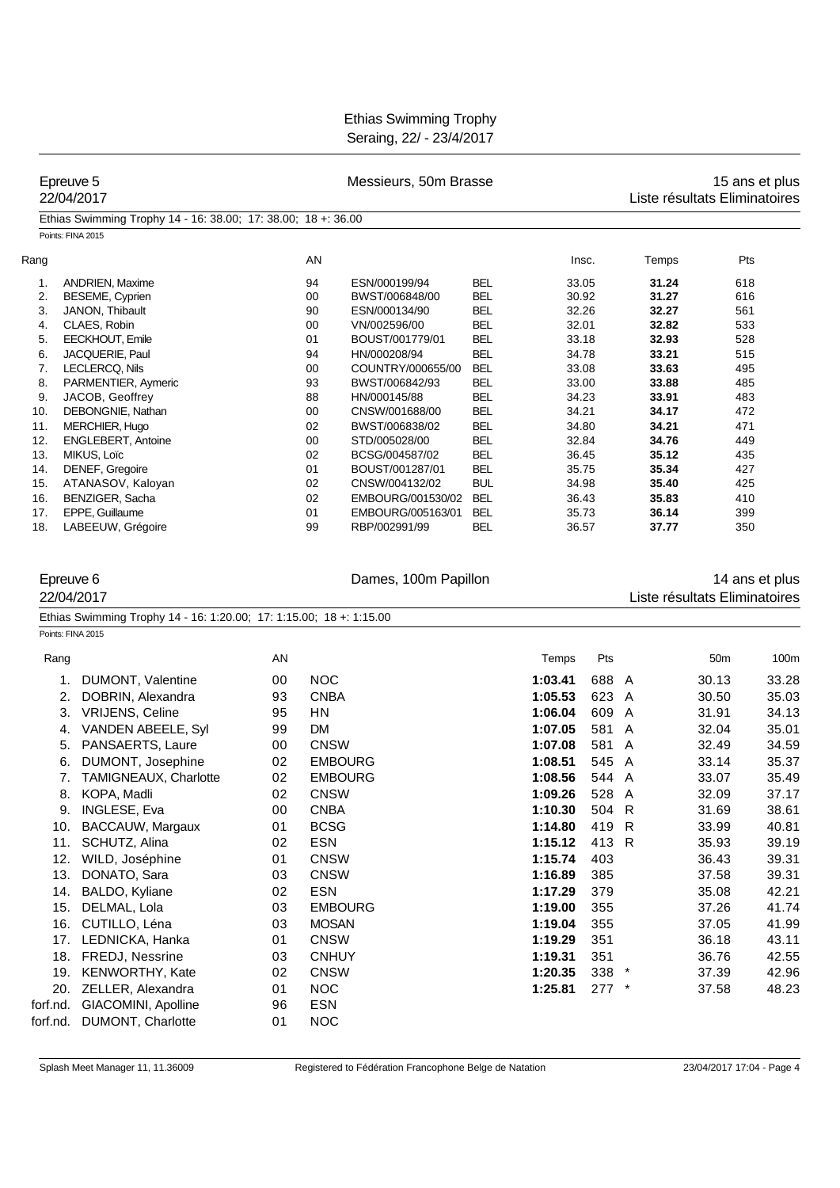|          | Epreuve 5<br>22/04/2017                                                                        |    |              | Messieurs, 50m Brasse |            |         |         |   | Liste résultats Eliminatoires | 15 ans et plus |
|----------|------------------------------------------------------------------------------------------------|----|--------------|-----------------------|------------|---------|---------|---|-------------------------------|----------------|
|          | Ethias Swimming Trophy 14 - 16: 38.00; 17: 38.00; 18 +: 36.00                                  |    |              |                       |            |         |         |   |                               |                |
|          | Points: FINA 2015                                                                              |    |              |                       |            |         |         |   |                               |                |
| Rang     |                                                                                                |    | AN           |                       |            | Insc.   |         |   | Temps                         | Pts            |
| 1.       | <b>ANDRIEN, Maxime</b>                                                                         |    | 94           | ESN/000199/94         | <b>BEL</b> | 33.05   |         |   | 31.24                         | 618            |
| 2.       | BESEME, Cyprien                                                                                |    | 00           | BWST/006848/00        | <b>BEL</b> | 30.92   |         |   | 31.27                         | 616            |
| 3.       | JANON, Thibault                                                                                |    | 90           | ESN/000134/90         | <b>BEL</b> | 32.26   |         |   | 32.27                         | 561            |
| 4.       | CLAES, Robin                                                                                   |    | 00           | VN/002596/00          | <b>BEL</b> | 32.01   |         |   | 32.82                         | 533            |
| 5.       | EECKHOUT, Emile                                                                                |    | 01           | BOUST/001779/01       | <b>BEL</b> | 33.18   |         |   | 32.93                         | 528            |
| 6.       | JACQUERIE, Paul                                                                                |    | 94           | HN/000208/94          | <b>BEL</b> | 34.78   |         |   | 33.21                         | 515            |
| 7.       | LECLERCQ, Nils                                                                                 |    | 00           | COUNTRY/000655/00     | <b>BEL</b> | 33.08   |         |   | 33.63                         | 495            |
| 8.       | PARMENTIER, Aymeric                                                                            |    | 93           | BWST/006842/93        | <b>BEL</b> | 33.00   |         |   | 33.88                         | 485            |
| 9.       | JACOB, Geoffrey                                                                                |    | 88           | HN/000145/88          | <b>BEL</b> | 34.23   |         |   | 33.91                         | 483            |
| 10.      | DEBONGNIE, Nathan                                                                              |    | 00           | CNSW/001688/00        | <b>BEL</b> | 34.21   |         |   | 34.17                         | 472            |
| 11.      | MERCHIER, Hugo                                                                                 |    | 02           | BWST/006838/02        | <b>BEL</b> | 34.80   |         |   | 34.21                         | 471            |
| 12.      | <b>ENGLEBERT, Antoine</b>                                                                      |    | 00           | STD/005028/00         | <b>BEL</b> | 32.84   |         |   | 34.76                         | 449            |
| 13.      | MIKUS, Loïc                                                                                    |    | 02           | BCSG/004587/02        | <b>BEL</b> | 36.45   |         |   | 35.12                         | 435            |
| 14.      | DENEF, Gregoire                                                                                |    | 01           | BOUST/001287/01       | <b>BEL</b> | 35.75   |         |   | 35.34                         | 427            |
| 15.      | ATANASOV, Kaloyan                                                                              |    | 02           | CNSW/004132/02        | <b>BUL</b> | 34.98   |         |   | 35.40                         | 425            |
| 16.      | BENZIGER, Sacha                                                                                |    | 02           | EMBOURG/001530/02     | BEL        | 36.43   |         |   | 35.83                         | 410            |
| 17.      | EPPE, Guillaume                                                                                |    | 01           | EMBOURG/005163/01     | <b>BEL</b> | 35.73   |         |   | 36.14                         | 399            |
| 18.      | LABEEUW, Grégoire                                                                              |    | 99           | RBP/002991/99         | <b>BEL</b> | 36.57   |         |   | 37.77                         | 350            |
|          | Epreuve 6<br>22/04/2017<br>Ethias Swimming Trophy 14 - 16: 1:20.00; 17: 1:15.00; 18 +: 1:15.00 |    |              | Dames, 100m Papillon  |            |         |         |   | Liste résultats Eliminatoires | 14 ans et plus |
|          | Points: FINA 2015                                                                              |    |              |                       |            |         |         |   |                               |                |
| Rang     |                                                                                                | AN |              |                       |            | Temps   | Pts     |   | 50 <sub>m</sub>               | 100m           |
|          | DUMONT, Valentine<br>1.                                                                        | 00 | <b>NOC</b>   |                       |            | 1:03.41 | 688 A   |   | 30.13                         | 33.28          |
|          | DOBRIN, Alexandra<br>2.                                                                        | 93 | <b>CNBA</b>  |                       |            | 1:05.53 | 623 A   |   | 30.50                         | 35.03          |
|          | 3.<br><b>VRIJENS, Celine</b>                                                                   | 95 | HN           |                       |            | 1:06.04 | 609     | A | 31.91                         | 34.13          |
|          | VANDEN ABEELE, Syl<br>4.                                                                       | 99 | <b>DM</b>    |                       |            | 1:07.05 | 581     | A | 32.04                         | 35.01          |
| 5.       | PANSAERTS, Laure                                                                               | 00 | <b>CNSW</b>  |                       |            | 1:07.08 | 581     | A | 32.49                         | 34.59          |
| 6.       | DUMONT, Josephine                                                                              | 02 |              | <b>EMBOURG</b>        |            | 1:08.51 | 545 A   |   | 33.14                         | 35.37          |
|          | 7.<br>TAMIGNEAUX, Charlotte                                                                    | 02 |              | <b>EMBOURG</b>        |            | 1:08.56 | 544 A   |   | 33.07                         | 35.49          |
|          | 8.                                                                                             | 02 | CNSW         |                       |            | 1:09.26 | 528 A   |   | 32.09                         |                |
|          | KOPA, Madli                                                                                    |    |              |                       |            |         |         |   |                               | 37.17          |
|          | INGLESE, Eva<br>9.                                                                             | 00 | <b>CNBA</b>  |                       |            | 1:10.30 | 504 R   |   | 31.69                         | 38.61          |
| 10.      | BACCAUW, Margaux                                                                               | 01 | <b>BCSG</b>  |                       |            | 1:14.80 | 419 R   |   | 33.99                         | 40.81          |
| 11.      | SCHUTZ, Alina                                                                                  | 02 | <b>ESN</b>   |                       |            | 1:15.12 | 413 R   |   | 35.93                         | 39.19          |
| 12.      | WILD, Joséphine                                                                                | 01 | <b>CNSW</b>  |                       |            | 1:15.74 | 403     |   | 36.43                         | 39.31          |
| 13.      | DONATO, Sara                                                                                   | 03 | <b>CNSW</b>  |                       |            | 1:16.89 | 385     |   | 37.58                         | 39.31          |
| 14.      | BALDO, Kyliane                                                                                 | 02 | <b>ESN</b>   |                       |            | 1:17.29 | 379     |   | 35.08                         | 42.21          |
| 15.      | DELMAL, Lola                                                                                   | 03 |              | <b>EMBOURG</b>        |            | 1:19.00 | 355     |   | 37.26                         | 41.74          |
|          | 16. CUTILLO, Léna                                                                              | 03 | <b>MOSAN</b> |                       |            | 1:19.04 | 355     |   | 37.05                         | 41.99          |
|          | 17. LEDNICKA, Hanka                                                                            | 01 | <b>CNSW</b>  |                       |            | 1:19.29 | 351     |   | 36.18                         | 43.11          |
|          | 18. FREDJ, Nessrine                                                                            | 03 | <b>CNHUY</b> |                       |            | 1:19.31 | 351     |   | 36.76                         | 42.55          |
|          |                                                                                                |    |              |                       |            |         |         |   |                               |                |
|          | 19. KENWORTHY, Kate                                                                            | 02 | <b>CNSW</b>  |                       |            | 1:20.35 | $338 *$ |   | 37.39                         | 42.96          |
|          | 20. ZELLER, Alexandra                                                                          | 01 | <b>NOC</b>   |                       |            | 1:25.81 | $277$ * |   | 37.58                         | 48.23          |
| forf.nd. | GIACOMINI, Apolline                                                                            | 96 | <b>ESN</b>   |                       |            |         |         |   |                               |                |
| forf.nd. | DUMONT, Charlotte                                                                              | 01 | <b>NOC</b>   |                       |            |         |         |   |                               |                |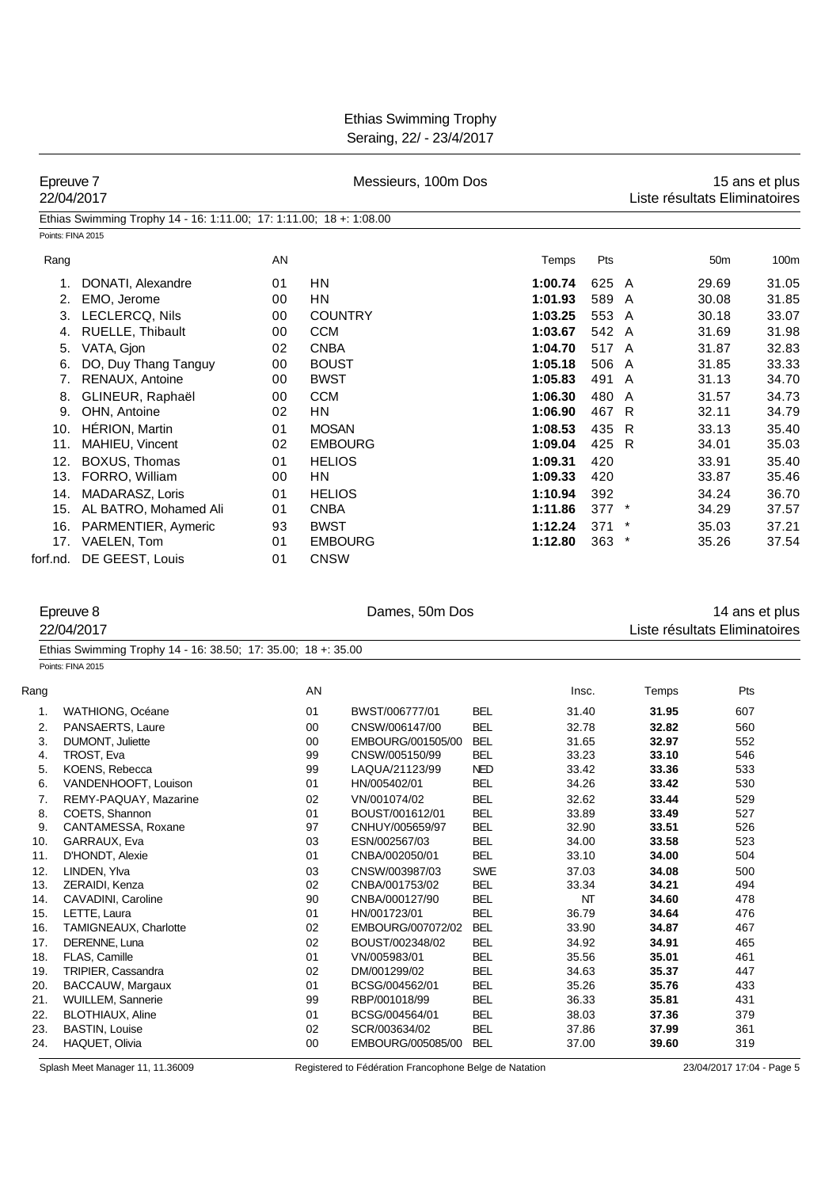Ethias Swimming Trophy Seraing, 22/ - 23/4/2017

|            | Epreuve 7<br>22/04/2017                                                                  | Messieurs, 100m Dos |               |                                    |                          |                |         | 15 ans et plus<br>Liste résultats Eliminatoires |                               |       |
|------------|------------------------------------------------------------------------------------------|---------------------|---------------|------------------------------------|--------------------------|----------------|---------|-------------------------------------------------|-------------------------------|-------|
|            | Ethias Swimming Trophy 14 - 16: 1:11.00; 17: 1:11.00; 18 +: 1:08.00<br>Points: FINA 2015 |                     |               |                                    |                          |                |         |                                                 |                               |       |
| Rang       |                                                                                          | AN                  |               |                                    |                          | Temps          | Pts     |                                                 | 50 <sub>m</sub>               | 100m  |
|            | 1.<br>DONATI, Alexandre                                                                  | 01                  | HN            |                                    |                          | 1:00.74        | 625 A   |                                                 | 29.69                         | 31.05 |
|            | 2.<br>EMO, Jerome                                                                        | 00                  | <b>HN</b>     |                                    |                          | 1:01.93        | 589 A   |                                                 | 30.08                         | 31.85 |
|            | 3. LECLERCQ, Nils                                                                        | 00                  |               | <b>COUNTRY</b>                     |                          | 1:03.25        | 553 A   |                                                 | 30.18                         | 33.07 |
|            | RUELLE, Thibault<br>4.                                                                   | 00                  | <b>CCM</b>    |                                    |                          | 1:03.67        | 542 A   |                                                 | 31.69                         | 31.98 |
|            | VATA, Gjon<br>5.                                                                         | 02                  | <b>CNBA</b>   |                                    |                          | 1:04.70        | 517 A   |                                                 | 31.87                         | 32.83 |
|            | DO, Duy Thang Tanguy<br>6.                                                               | 00                  | <b>BOUST</b>  |                                    |                          | 1:05.18        | 506 A   |                                                 | 31.85                         | 33.33 |
|            | RENAUX, Antoine<br>7.                                                                    | 00                  | <b>BWST</b>   |                                    |                          | 1:05.83        | 491 A   |                                                 | 31.13                         | 34.70 |
|            | GLINEUR, Raphaël<br>8.                                                                   | 00                  | <b>CCM</b>    |                                    |                          | 1:06.30        | 480     | A                                               | 31.57                         | 34.73 |
|            | 9. OHN, Antoine                                                                          | 02                  | HN            |                                    |                          | 1:06.90        | 467 R   |                                                 | 32.11                         | 34.79 |
|            | 10. HÉRION, Martin                                                                       | 01                  | <b>MOSAN</b>  |                                    |                          | 1:08.53        | 435     | R                                               | 33.13                         | 35.40 |
|            | 11. MAHIEU, Vincent                                                                      | 02                  |               | <b>EMBOURG</b>                     |                          | 1:09.04        | 425 R   |                                                 | 34.01                         | 35.03 |
|            | 12. BOXUS, Thomas                                                                        | 01                  | <b>HELIOS</b> |                                    |                          | 1:09.31        | 420     |                                                 | 33.91                         | 35.40 |
|            | 13. FORRO, William                                                                       | 00                  | HN            |                                    |                          | 1:09.33        | 420     |                                                 | 33.87                         | 35.46 |
|            |                                                                                          |                     | <b>HELIOS</b> |                                    |                          |                |         |                                                 |                               |       |
|            | 14. MADARASZ, Loris                                                                      | 01                  |               |                                    |                          | 1:10.94        | 392     |                                                 | 34.24                         | 36.70 |
|            | 15. AL BATRO, Mohamed Ali                                                                | 01                  | <b>CNBA</b>   |                                    |                          | 1:11.86        | $377$ * |                                                 | 34.29                         | 37.57 |
|            | 16. PARMENTIER, Aymeric                                                                  | 93                  | <b>BWST</b>   |                                    |                          | 1:12.24        | 371     |                                                 | 35.03                         | 37.21 |
|            | 17. VAELEN, Tom<br>forf.nd. DE GEEST, Louis                                              | 01<br>01            | <b>CNSW</b>   | <b>EMBOURG</b>                     |                          | 1:12.80        | 363     | $\ast$                                          | 35.26                         | 37.54 |
|            | 22/04/2017<br>Ethias Swimming Trophy 14 - 16: 38.50; 17: 35.00; 18 +: 35.00              |                     |               |                                    |                          |                |         |                                                 | Liste résultats Eliminatoires |       |
|            | Points: FINA 2015                                                                        |                     |               |                                    |                          |                |         |                                                 |                               |       |
| Rang       |                                                                                          |                     | AN            |                                    |                          |                | Insc.   | Temps                                           | Pts                           |       |
| 1.         | WATHIONG, Océane                                                                         |                     | 01            | BWST/006777/01                     | BEL                      | 31.40          |         |                                                 | 31.95<br>607                  |       |
| 2.         | PANSAERTS, Laure                                                                         |                     | 00            | CNSW/006147/00                     | <b>BEL</b>               | 32.78          |         |                                                 | 32.82<br>560                  |       |
| 3.         | DUMONT, Juliette                                                                         |                     | 00            | EMBOURG/001505/00                  | BEL                      | 31.65          |         |                                                 | 32.97<br>552                  |       |
| 4.         | TROST, Eva                                                                               |                     | 99            | CNSW/005150/99                     | <b>BEL</b>               | 33.23          |         |                                                 | 33.10<br>546                  |       |
| 5.         | KOENS, Rebecca                                                                           |                     | 99            | LAQUA/21123/99                     | <b>NED</b>               | 33.42          |         |                                                 | 33.36<br>533                  |       |
| 6.         | VANDENHOOFT, Louison                                                                     |                     | 01            | HN/005402/01                       | BEL                      | 34.26          |         |                                                 | 530<br>33.42                  |       |
| 7.         | REMY-PAQUAY, Mazarine                                                                    |                     | 02            | VN/001074/02                       | <b>BEL</b>               | 32.62          |         |                                                 | 33.44<br>529                  |       |
| 8.<br>9.   | COETS, Shannon<br>CANTAMESSA, Roxane                                                     |                     | 01<br>97      | BOUST/001612/01<br>CNHUY/005659/97 | <b>BEL</b><br><b>BEL</b> | 33.89<br>32.90 |         |                                                 | 33.49<br>527<br>33.51<br>526  |       |
| 10.        | GARRAUX, Eva                                                                             |                     | 03            | ESN/002567/03                      | <b>BEL</b>               | 34.00          |         |                                                 | 523<br>33.58                  |       |
| 11.        | D'HONDT, Alexie                                                                          |                     | 01            | CNBA/002050/01                     | <b>BEL</b>               | 33.10          |         |                                                 | 34.00<br>504                  |       |
| 12.        | LINDEN. Ylva                                                                             |                     | 03            | CNSW/003987/03                     | <b>SWE</b>               | 37.03          |         |                                                 | 34.08<br>500                  |       |
| 13.        | ZERAIDI, Kenza                                                                           |                     | 02            | CNBA/001753/02                     | <b>BEL</b>               | 33.34          |         |                                                 | 34.21<br>494                  |       |
| 14.        | CAVADINI, Caroline                                                                       |                     | 90            | CNBA/000127/90                     | <b>BEL</b>               |                | NT      |                                                 | 34.60<br>478                  |       |
| 15.        | LETTE, Laura                                                                             |                     | 01            | HN/001723/01                       | <b>BEL</b>               | 36.79          |         |                                                 | 34.64<br>476                  |       |
| 16.        | TAMIGNEAUX, Charlotte                                                                    |                     | 02            | EMBOURG/007072/02                  | <b>BEL</b>               | 33.90          |         |                                                 | 34.87<br>467                  |       |
| 17.        | DERENNE, Luna                                                                            |                     | 02            | BOUST/002348/02                    | <b>BEL</b>               | 34.92          |         |                                                 | 34.91<br>465                  |       |
| 18.<br>19. | FLAS, Camille<br>TRIPIER, Cassandra                                                      |                     | 01<br>02      | VN/005983/01<br>DM/001299/02       | <b>BEL</b><br><b>BEL</b> | 35.56<br>34.63 |         |                                                 | 35.01<br>461<br>35.37<br>447  |       |
| 20.        | BACCAUW, Margaux                                                                         |                     | 01            | BCSG/004562/01                     | <b>BEL</b>               | 35.26          |         |                                                 | 35.76<br>433                  |       |
| 21.        | <b>WUILLEM, Sannerie</b>                                                                 |                     | 99            | RBP/001018/99                      | <b>BEL</b>               | 36.33          |         |                                                 | 35.81<br>431                  |       |
| 22.        | <b>BLOTHIAUX, Aline</b>                                                                  |                     | 01            | BCSG/004564/01                     | <b>BEL</b>               | 38.03          |         |                                                 | 37.36<br>379                  |       |
| 23.        | <b>BASTIN, Louise</b>                                                                    |                     |               | SCR/003634/02                      | <b>BEL</b>               | 37.86          |         |                                                 | 37.99<br>361                  |       |
| 24.        | HAQUET, Olivia                                                                           |                     | 00            | EMBOURG/005085/00                  | <b>BEL</b>               | 37.00          |         |                                                 | 39.60<br>319                  |       |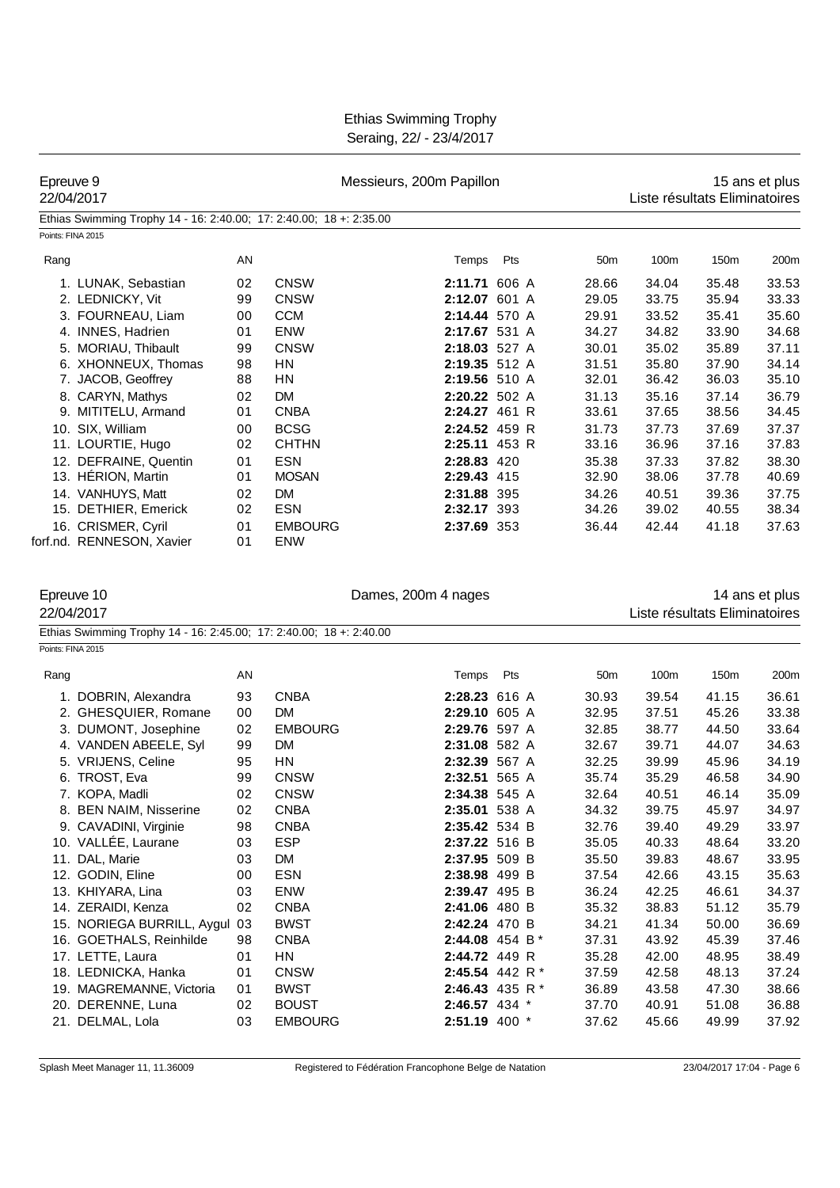| Epreuve 9<br>22/04/2017 |                                                                                                 |          | Messieurs, 200m Papillon     | 15 ans et plus<br>Liste résultats Eliminatoires |     |                 |                               |                |                |
|-------------------------|-------------------------------------------------------------------------------------------------|----------|------------------------------|-------------------------------------------------|-----|-----------------|-------------------------------|----------------|----------------|
|                         | Ethias Swimming Trophy 14 - 16: 2:40.00; 17: 2:40.00; 18 +: 2:35.00                             |          |                              |                                                 |     |                 |                               |                |                |
|                         | Points: FINA 2015                                                                               |          |                              |                                                 |     |                 |                               |                |                |
| Rang                    |                                                                                                 | AN       |                              | Temps                                           | Pts | 50 <sub>m</sub> | 100m                          | 150m           | 200m           |
|                         | 1. LUNAK, Sebastian                                                                             | 02       | <b>CNSW</b>                  | 2:11.71 606 A                                   |     | 28.66           | 34.04                         | 35.48          | 33.53          |
|                         | 2. LEDNICKY, Vit                                                                                | 99       | <b>CNSW</b>                  | 2:12.07 601 A                                   |     | 29.05           | 33.75                         | 35.94          | 33.33          |
|                         | 3. FOURNEAU, Liam                                                                               | 00       | <b>CCM</b>                   | 2:14.44 570 A                                   |     | 29.91           | 33.52                         | 35.41          | 35.60          |
|                         | 4. INNES, Hadrien                                                                               | 01       | ENW                          | 2:17.67 531 A                                   |     | 34.27           | 34.82                         | 33.90          | 34.68          |
|                         | 5. MORIAU, Thibault                                                                             | 99       | <b>CNSW</b>                  | 2:18.03 527 A                                   |     | 30.01           | 35.02                         | 35.89          | 37.11          |
|                         | 6. XHONNEUX, Thomas                                                                             | 98       | HN                           | 2:19.35 512 A                                   |     | 31.51           | 35.80                         | 37.90          | 34.14          |
|                         | 7. JACOB, Geoffrey                                                                              | 88       | HN                           | 2:19.56 510 A                                   |     | 32.01           | 36.42                         | 36.03          | 35.10          |
|                         | 8. CARYN, Mathys                                                                                | 02       | <b>DM</b>                    | 2:20.22 502 A                                   |     | 31.13           | 35.16                         | 37.14          | 36.79          |
|                         | 9. MITITELU, Armand                                                                             | 01       | <b>CNBA</b>                  | 2:24.27 461 R                                   |     | 33.61           | 37.65                         | 38.56          | 34.45          |
|                         | 10. SIX, William                                                                                | 00       | <b>BCSG</b>                  | 2:24.52 459 R                                   |     | 31.73           | 37.73                         | 37.69          | 37.37          |
|                         | 11. LOURTIE, Hugo                                                                               | 02       | <b>CHTHN</b>                 | 2:25.11 453 R                                   |     | 33.16           | 36.96                         | 37.16          | 37.83          |
|                         | 12. DEFRAINE, Quentin                                                                           | 01       | <b>ESN</b>                   | 2:28.83 420                                     |     | 35.38           | 37.33                         | 37.82          | 38.30          |
|                         | 13. HÉRION, Martin                                                                              | 01       | <b>MOSAN</b>                 | 2:29.43 415                                     |     | 32.90           | 38.06                         | 37.78          | 40.69          |
|                         | 14. VANHUYS, Matt                                                                               | 02       | DM                           | 2:31.88 395                                     |     | 34.26           | 40.51                         | 39.36          | 37.75          |
|                         | 15. DETHIER, Emerick                                                                            | 02       | <b>ESN</b>                   | 2:32.17 393                                     |     | 34.26           | 39.02                         | 40.55          | 38.34          |
|                         | 16. CRISMER, Cyril<br>forf.nd. RENNESON, Xavier                                                 | 01<br>01 | <b>EMBOURG</b><br><b>ENW</b> | 2:37.69 353                                     |     | 36.44           | 42.44                         | 41.18          | 37.63          |
|                         | Epreuve 10<br>22/04/2017<br>Ethias Swimming Trophy 14 - 16: 2:45.00; 17: 2:40.00; 18 +: 2:40.00 |          |                              | Dames, 200m 4 nages                             |     |                 | Liste résultats Eliminatoires |                | 14 ans et plus |
|                         | Points: FINA 2015                                                                               |          |                              |                                                 |     |                 |                               |                |                |
| Rang                    |                                                                                                 | AN       |                              | Temps Pts                                       |     | 50 <sub>m</sub> | 100m                          | 150m           | 200m           |
|                         | 1. DOBRIN, Alexandra                                                                            | 93       | <b>CNBA</b>                  | 2:28.23 616 A                                   |     | 30.93           | 39.54                         | 41.15          | 36.61          |
|                         | 2. GHESQUIER, Romane                                                                            | 00       | <b>DM</b>                    | 2:29.10 605 A                                   |     | 32.95           | 37.51                         | 45.26          | 33.38          |
|                         | 3. DUMONT, Josephine                                                                            | 02       | <b>EMBOURG</b>               | 2:29.76 597 A                                   |     | 32.85           | 38.77                         | 44.50          | 33.64          |
|                         | 4. VANDEN ABEELE, Syl                                                                           | 99       | DM                           | 2:31.08 582 A                                   |     | 32.67           | 39.71                         | 44.07          | 34.63          |
|                         | 5. VRIJENS, Celine                                                                              | 95       | HN                           | 2:32.39 567 A                                   |     | 32.25           | 39.99                         | 45.96          | 34.19          |
|                         | 6. TROST, Eva                                                                                   | 99       | <b>CNSW</b>                  | 2:32.51 565 A                                   |     | 35.74           | 35.29                         | 46.58          | 34.90          |
|                         | 7. KOPA, Madli                                                                                  | 02       | <b>CNSW</b>                  | 2:34.38 545 A                                   |     | 32.64           | 40.51                         | 46.14          | 35.09          |
|                         | 8. BEN NAIM, Nisserine                                                                          | 02       | <b>CNBA</b>                  | 2:35.01 538 A                                   |     | 34.32           | 39.75                         | 45.97          | 34.97          |
|                         | 9. CAVADINI, Virginie                                                                           | 98       | <b>CNBA</b>                  | 2:35.42 534 B                                   |     | 32.76           | 39.40                         | 49.29          | 33.97          |
|                         | 10. VALLÉE, Laurane                                                                             | 03       | <b>ESP</b>                   | 2:37.22 516 B                                   |     | 35.05           | 40.33                         | 48.64          | 33.20          |
|                         | 11. DAL, Marie                                                                                  | 03       | DM                           | 2:37.95 509 B                                   |     | 35.50           | 39.83                         | 48.67          | 33.95          |
|                         | 12. GODIN, Eline                                                                                | 00       | <b>ESN</b>                   | 2:38.98 499 B                                   |     | 37.54           | 42.66                         | 43.15          | 35.63          |
|                         | 13. KHIYARA, Lina                                                                               | 03       | ENW                          | 2:39.47 495 B                                   |     | 36.24           | 42.25                         | 46.61          | 34.37          |
|                         | 14. ZERAIDI, Kenza                                                                              | 02       | <b>CNBA</b>                  | 2:41.06 480 B                                   |     | 35.32           | 38.83                         | 51.12          | 35.79          |
|                         | 15. NORIEGA BURRILL, Aygul                                                                      | 03       | <b>BWST</b>                  | 2:42.24 470 B                                   |     | 34.21           | 41.34                         | 50.00          | 36.69          |
|                         | 16. GOETHALS, Reinhilde                                                                         | 98       | <b>CNBA</b>                  | 2:44.08 454 B*                                  |     | 37.31           | 43.92                         | 45.39          | 37.46          |
|                         | 17. LETTE, Laura<br>18. LEDNICKA, Hanka                                                         | 01       | HN<br><b>CNSW</b>            | 2:44.72 449 R<br>2:45.54 442 R*                 |     | 35.28           | 42.00                         | 48.95<br>48.13 | 38.49          |
|                         |                                                                                                 | 01       | <b>BWST</b>                  |                                                 |     | 37.59           | 42.58                         |                | 37.24          |
|                         | 19. MAGREMANNE, Victoria<br>20. DERENNE, Luna                                                   | 01<br>02 | <b>BOUST</b>                 | 2:46.43 435 R *<br>2:46.57 434 *                |     | 36.89<br>37.70  | 43.58<br>40.91                | 47.30<br>51.08 | 38.66<br>36.88 |
|                         | 21. DELMAL, Lola                                                                                | 03       | <b>EMBOURG</b>               | 2:51.19 400 *                                   |     | 37.62           | 45.66                         | 49.99          | 37.92          |
|                         |                                                                                                 |          |                              |                                                 |     |                 |                               |                |                |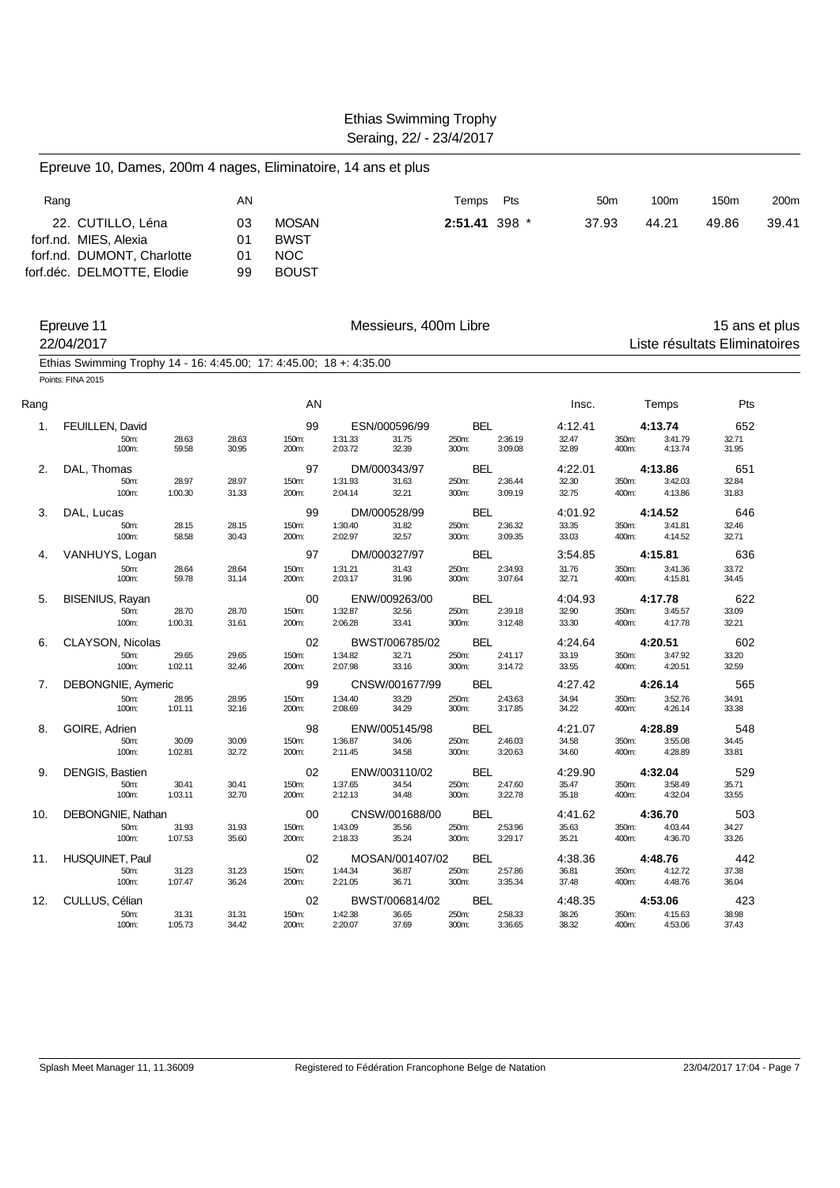|      | Epreuve 10, Dames, 200m 4 nages, Eliminatoire, 14 ans et plus                            |                  |                |                |                    |                         |                     |                    |                  |                 |                    |                               |       |
|------|------------------------------------------------------------------------------------------|------------------|----------------|----------------|--------------------|-------------------------|---------------------|--------------------|------------------|-----------------|--------------------|-------------------------------|-------|
|      | Rang                                                                                     |                  | AN             |                |                    |                         | Temps               | Pts                |                  | 50 <sub>m</sub> | 100m               | 150m                          | 200m  |
|      | 22. CUTILLO, Léna                                                                        |                  | 03             | <b>MOSAN</b>   |                    |                         |                     | 2:51.41 398 *      | 37.93            |                 | 44.21              | 49.86                         | 39.41 |
|      | forf.nd. MIES, Alexia                                                                    |                  | 01             | <b>BWST</b>    |                    |                         |                     |                    |                  |                 |                    |                               |       |
|      | forf.nd. DUMONT, Charlotte                                                               |                  | 01             | <b>NOC</b>     |                    |                         |                     |                    |                  |                 |                    |                               |       |
|      | forf.déc. DELMOTTE, Elodie                                                               |                  | 99             | <b>BOUST</b>   |                    |                         |                     |                    |                  |                 |                    |                               |       |
|      | Epreuve 11                                                                               |                  |                |                |                    | Messieurs, 400m Libre   |                     |                    |                  |                 |                    | 15 ans et plus                |       |
|      | 22/04/2017                                                                               |                  |                |                |                    |                         |                     |                    |                  |                 |                    | Liste résultats Eliminatoires |       |
|      | Ethias Swimming Trophy 14 - 16: 4:45.00; 17: 4:45.00; 18 +: 4:35.00<br>Points: FINA 2015 |                  |                |                |                    |                         |                     |                    |                  |                 |                    |                               |       |
| Rang |                                                                                          |                  |                | AN             |                    |                         |                     |                    | Insc.            |                 | Temps              | Pts                           |       |
|      |                                                                                          |                  |                |                |                    |                         |                     |                    |                  |                 |                    |                               |       |
| 1.   | <b>FEUILLEN, David</b><br>50m:                                                           | 28.63            | 28.63          | 99<br>150m:    | 1:31.33            | ESN/000596/99<br>31.75  | <b>BEL</b><br>250m: | 2:36.19            | 4:12.41<br>32.47 | 350m:           | 4:13.74<br>3:41.79 | 652<br>32.71                  |       |
|      | 100m:                                                                                    | 59.58            | 30.95          | 200m:          | 2:03.72            | 32.39                   | 300m:               | 3:09.08            | 32.89            | 400m:           | 4:13.74            | 31.95                         |       |
| 2.   | DAL, Thomas                                                                              |                  |                | 97             |                    | DM/000343/97            | <b>BEL</b>          |                    | 4:22.01          |                 | 4:13.86            | 651                           |       |
|      | 50m:                                                                                     | 28.97            | 28.97          | 150m:          | 1:31.93            | 31.63                   | 250m:               | 2:36.44            | 32.30            | 350m:           | 3:42.03            | 32.84                         |       |
|      | 100m:                                                                                    | 1:00.30          | 31.33          | 200m:          | 2:04.14            | 32.21                   | 300m:               | 3:09.19            | 32.75            | 400m:           | 4:13.86            | 31.83                         |       |
| 3.   | DAL, Lucas<br>50m:                                                                       | 28.15            | 28.15          | 99<br>150m:    | 1:30.40            | DM/000528/99<br>31.82   | <b>BEL</b><br>250m: | 2:36.32            | 4:01.92<br>33.35 | 350m:           | 4:14.52<br>3:41.81 | 646<br>32.46                  |       |
|      | 100m:                                                                                    | 58.58            | 30.43          | 200m:          | 2:02.97            | 32.57                   | 300m:               | 3:09.35            | 33.03            | 400m:           | 4:14.52            | 32.71                         |       |
| 4.   | VANHUYS, Logan                                                                           |                  |                | 97             |                    | DM/000327/97            | BEL                 |                    | 3:54.85          |                 | 4:15.81            | 636                           |       |
|      | 50m:                                                                                     | 28.64            | 28.64          | 150m:          | 1:31.21            | 31.43                   | 250m:               | 2:34.93            | 31.76            | 350m:           | 3:41.36            | 33.72                         |       |
|      | 100m:                                                                                    | 59.78            | 31.14          | 200m:          | 2:03.17            | 31.96                   | 300m:               | 3:07.64            | 32.71            | 400m:           | 4:15.81            | 34.45                         |       |
| 5.   | BISENIUS, Rayan<br>50m:                                                                  | 28.70            | 28.70          | 00<br>150m:    | 1:32.87            | ENW/009263/00<br>32.56  | <b>BEL</b><br>250m: | 2:39.18            | 4:04.93<br>32.90 | 350m:           | 4:17.78<br>3:45.57 | 622<br>33.09                  |       |
|      | 100m:                                                                                    | 1:00.31          | 31.61          | 200m:          | 2:06.28            | 33.41                   | 300m:               | 3:12.48            | 33.30            | 400m:           | 4:17.78            | 32.21                         |       |
| 6.   | CLAYSON, Nicolas                                                                         |                  |                | 02             |                    | BWST/006785/02          | <b>BEL</b>          |                    | 4:24.64          |                 | 4:20.51            | 602                           |       |
|      | 50m:                                                                                     | 29.65            | 29.65          | 150m:          | 1:34.82            | 32.71                   | 250m:               | 2:41.17            | 33.19            | 350m:           | 3:47.92            | 33.20                         |       |
|      | 100m:                                                                                    | 1:02.11          | 32.46          | 200m:          | 2:07.98            | 33.16                   | 300m:               | 3:14.72            | 33.55            | 400m:           | 4:20.51            | 32.59                         |       |
| 7.   | DEBONGNIE, Aymeric                                                                       |                  |                | 99             |                    | CNSW/001677/99          | <b>BEL</b>          |                    | 4:27.42          |                 | 4:26.14            | 565                           |       |
|      | 50m:<br>100m:                                                                            | 28.95<br>1:01.11 | 28.95<br>32.16 | 150m:<br>200m: | 1:34.40<br>2:08.69 | 33.29<br>34.29          | 250m:<br>300m:      | 2:43.63<br>3:17.85 | 34.94<br>34.22   | 350m:<br>400m:  | 3:52.76<br>4:26.14 | 34.91<br>33.38                |       |
| 8.   | GOIRE, Adrien                                                                            |                  |                | 98             |                    | ENW/005145/98           | BEL                 |                    | 4:21.07          |                 | 4:28.89            | 548                           |       |
|      | 50m:                                                                                     | 30.09            | 30.09          | 150m:          | 1:36.87            | 34.06                   | 250m:               | 2:46.03            | 34.58            | 350m:           | 3:55.08            | 34.45                         |       |
|      | 100m:                                                                                    | 1:02.81          | 32.72          | 200m:          | 2:11.45            | 34.58                   | 300m:               | 3:20.63            | 34.60            | 400m:           | 4:28.89            | 33.81                         |       |
| 9.   | DENGIS, Bastien                                                                          |                  |                | 02             |                    | ENW/003110/02           | <b>BEL</b>          |                    | 4:29.90          |                 | 4:32.04            | 529                           |       |
|      | 50m:<br>100m:                                                                            | 30.41<br>1:03.11 | 30.41<br>32.70 | 150m:<br>200m: | 1:37.65<br>2:12.13 | 34.54<br>34.48          | 250m:<br>300m:      | 2:47.60<br>3:22.78 | 35.47<br>35.18   | 350m:<br>400m:  | 3:58.49<br>4:32.04 | 35.71<br>33.55                |       |
| 10.  | DEBONGNIE, Nathan                                                                        |                  |                | 00             |                    | CNSW/001688/00          | <b>BEL</b>          |                    | 4:41.62          |                 | 4:36.70            | 503                           |       |
|      | 50m:                                                                                     | 31.93            | 31.93          | 150m:          | 1:43.09            | 35.56                   | 250m:               | 2:53.96            | 35.63            | 350m:           | 4:03.44            | 34.27                         |       |
|      | 100m:                                                                                    | 1:07.53          | 35.60          | 200m:          | 2:18.33            | 35.24                   | 300m:               | 3:29.17            | 35.21            | 400m:           | 4:36.70            | 33.26                         |       |
| 11.  | <b>HUSQUINET, Paul</b>                                                                   |                  |                | 02             |                    | MOSAN/001407/02         | BEL                 |                    | 4:38.36          |                 | 4:48.76            | 442                           |       |
|      | 50m:<br>100m:                                                                            | 31.23<br>1:07.47 | 31.23<br>36.24 | 150m:<br>200m: | 1:44.34<br>2:21.05 | 36.87<br>36.71          | 250m:<br>300m:      | 2:57.86<br>3:35.34 | 36.81<br>37.48   | 350m:<br>400m:  | 4:12.72<br>4:48.76 | 37.38<br>36.04                |       |
|      |                                                                                          |                  |                |                |                    |                         |                     |                    |                  |                 |                    |                               |       |
| 12.  | CULLUS, Célian<br>50m:                                                                   | 31.31            | 31.31          | 02<br>150m:    | 1:42.38            | BWST/006814/02<br>36.65 | <b>BEL</b><br>250m: | 2:58.33            | 4:48.35<br>38.26 | 350m:           | 4:53.06<br>4:15.63 | 423<br>38.98                  |       |
|      | 100m:                                                                                    | 1:05.73          | 34.42          | 200m:          | 2:20.07            | 37.69                   | 300m:               | 3:36.65            | 38.32            | 400m:           | 4:53.06            | 37.43                         |       |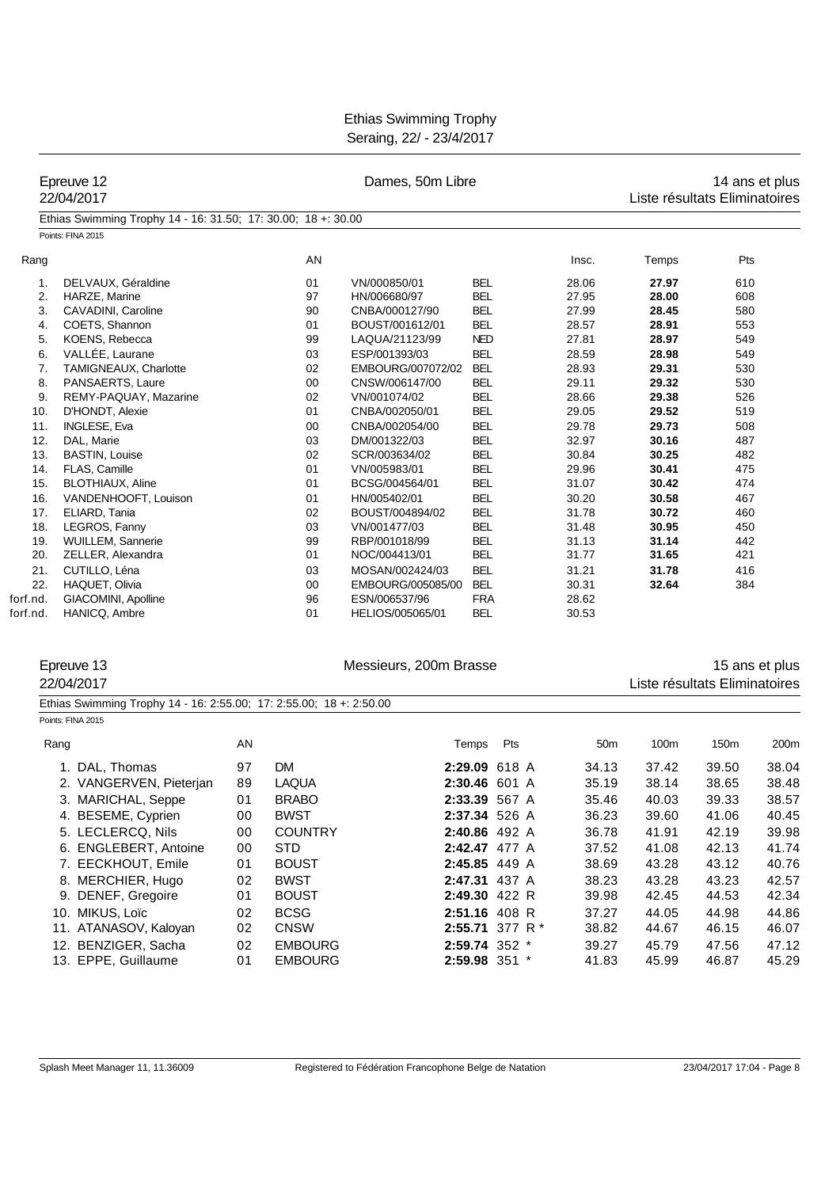| Epreuve 12<br>22/04/2017 |                                                                     |    |                | Dames, 50m Libre       | 14 ans et plus<br>Liste résultats Eliminatoires |                 |                               |       |                |
|--------------------------|---------------------------------------------------------------------|----|----------------|------------------------|-------------------------------------------------|-----------------|-------------------------------|-------|----------------|
|                          | Ethias Swimming Trophy 14 - 16: 31.50; 17: 30.00; 18 +: 30.00       |    |                |                        |                                                 |                 |                               |       |                |
|                          | Points: FINA 2015                                                   |    |                |                        |                                                 |                 |                               |       |                |
| Rang                     |                                                                     |    | AN             |                        |                                                 | Insc.           | Temps                         | Pts   |                |
| 1.                       | DELVAUX, Géraldine                                                  |    | 01             | VN/000850/01           | <b>BEL</b>                                      | 28.06           | 27.97                         | 610   |                |
| 2.                       | HARZE, Marine                                                       |    | 97             | HN/006680/97           | <b>BEL</b>                                      | 27.95           | 28.00                         | 608   |                |
| 3.                       | CAVADINI, Caroline                                                  |    | 90             | CNBA/000127/90         | <b>BEL</b>                                      | 27.99           | 28.45                         | 580   |                |
| 4.                       | COETS, Shannon                                                      |    | 01             | BOUST/001612/01        | <b>BEL</b>                                      | 28.57           | 28.91                         | 553   |                |
| 5.                       | KOENS, Rebecca                                                      |    | 99             | LAQUA/21123/99         | <b>NED</b>                                      | 27.81           | 28.97                         | 549   |                |
| 6.                       | VALLÉE, Laurane                                                     |    | 03             | ESP/001393/03          | <b>BEL</b>                                      | 28.59           | 28.98                         | 549   |                |
| 7.                       | TAMIGNEAUX, Charlotte                                               |    | 02             | EMBOURG/007072/02      | <b>BEL</b>                                      | 28.93           | 29.31                         | 530   |                |
| 8.                       | PANSAERTS, Laure                                                    |    | 00             | CNSW/006147/00         | <b>BEL</b>                                      | 29.11           | 29.32                         | 530   |                |
| 9.                       | REMY-PAQUAY, Mazarine                                               |    | 02             | VN/001074/02           | <b>BEL</b>                                      | 28.66           | 29.38                         | 526   |                |
| 10.                      | D'HONDT, Alexie                                                     |    | 01             | CNBA/002050/01         | <b>BEL</b>                                      | 29.05           | 29.52                         | 519   |                |
| 11.                      | INGLESE, Eva                                                        |    | 00             | CNBA/002054/00         | <b>BEL</b>                                      | 29.78           | 29.73                         | 508   |                |
| 12.                      | DAL, Marie                                                          |    | 03             | DM/001322/03           | <b>BEL</b>                                      | 32.97           | 30.16                         | 487   |                |
| 13.                      | <b>BASTIN, Louise</b>                                               |    | 02             | SCR/003634/02          | <b>BEL</b>                                      | 30.84           | 30.25                         | 482   |                |
| 14.                      | FLAS, Camille                                                       |    | 01             | VN/005983/01           | <b>BEL</b>                                      | 29.96           | 30.41                         | 475   |                |
| 15.                      | <b>BLOTHIAUX, Aline</b>                                             |    | 01             | BCSG/004564/01         | <b>BEL</b>                                      | 31.07           | 30.42                         | 474   |                |
| 16.                      | VANDENHOOFT, Louison                                                |    | 01             | HN/005402/01           | <b>BEL</b>                                      | 30.20           | 30.58                         | 467   |                |
| 17.                      | ELIARD, Tania                                                       |    | 02             | BOUST/004894/02        | <b>BEL</b>                                      | 31.78           | 30.72                         | 460   |                |
| 18.                      | LEGROS, Fanny                                                       |    | 03             | VN/001477/03           | <b>BEL</b>                                      | 31.48           | 30.95                         | 450   |                |
| 19.                      | WUILLEM, Sannerie                                                   |    | 99             | RBP/001018/99          | <b>BEL</b>                                      | 31.13           | 31.14                         | 442   |                |
| 20.                      | ZELLER, Alexandra                                                   |    | 01             | NOC/004413/01          | <b>BEL</b>                                      | 31.77           | 31.65                         | 421   |                |
| 21.                      | CUTILLO, Léna                                                       |    | 03             | MOSAN/002424/03        | <b>BEL</b>                                      | 31.21           | 31.78                         | 416   |                |
| 22.                      | HAQUET, Olivia                                                      |    | 00             | EMBOURG/005085/00      | <b>BEL</b>                                      | 30.31           | 32.64                         | 384   |                |
| forf.nd.                 | GIACOMINI, Apolline                                                 |    | 96             | ESN/006537/96          | <b>FRA</b>                                      | 28.62           |                               |       |                |
| forf.nd.                 | HANICQ, Ambre                                                       |    | 01             | HELIOS/005065/01       | <b>BEL</b>                                      | 30.53           |                               |       |                |
|                          | Epreuve 13                                                          |    |                | Messieurs, 200m Brasse |                                                 |                 |                               |       | 15 ans et plus |
|                          |                                                                     |    |                |                        |                                                 |                 |                               |       |                |
|                          | 22/04/2017                                                          |    |                |                        |                                                 |                 | Liste résultats Eliminatoires |       |                |
|                          | Ethias Swimming Trophy 14 - 16: 2:55.00; 17: 2:55.00; 18 +: 2:50.00 |    |                |                        |                                                 |                 |                               |       |                |
|                          | Points: FINA 2015                                                   |    |                |                        |                                                 |                 |                               |       |                |
|                          | Rang                                                                | AN |                |                        | Pts<br>Temps                                    | 50 <sub>m</sub> | 100m                          | 150m  | 200m           |
|                          | 1. DAL, Thomas                                                      | 97 | <b>DM</b>      |                        | 2:29.09 618 A                                   | 34.13           | 37.42                         | 39.50 | 38.04          |
|                          | 2. VANGERVEN, Pieterjan                                             | 89 | <b>LAQUA</b>   |                        | 2:30.46 601 A                                   | 35.19           | 38.14                         | 38.65 | 38.48          |
|                          | 3. MARICHAL, Seppe                                                  | 01 | <b>BRABO</b>   |                        | <b>2:33.39</b> 567 A                            | 35.46           | 40.03                         | 39.33 | 38.57          |
|                          | 4. BESEME, Cyprien                                                  | 00 | <b>BWST</b>    |                        | 2:37.34 526 A                                   | 36.23           | 39.60                         | 41.06 | 40.45          |
|                          | 5. LECLERCQ, Nils                                                   |    | <b>COUNTRY</b> |                        |                                                 |                 |                               |       |                |
|                          |                                                                     | 00 |                |                        | 2:40.86 492 A                                   | 36.78           | 41.91                         | 42.19 | 39.98          |
|                          | 6. ENGLEBERT, Antoine                                               | 00 | <b>STD</b>     |                        | 2:42.47 477 A                                   | 37.52           | 41.08                         | 42.13 | 41.74          |
|                          | 7. EECKHOUT, Emile                                                  | 01 | <b>BOUST</b>   |                        | 2:45.85 449 A                                   | 38.69           | 43.28                         | 43.12 | 40.76          |
|                          | 8. MERCHIER, Hugo                                                   | 02 | <b>BWST</b>    |                        | 2:47.31 437 A                                   | 38.23           | 43.28                         | 43.23 | 42.57          |
|                          | 9. DENEF, Gregoire                                                  | 01 | <b>BOUST</b>   |                        | 2:49.30 422 R                                   | 39.98           | 42.45                         | 44.53 | 42.34          |
|                          | 10. MIKUS, Loïc                                                     | 02 | <b>BCSG</b>    |                        | 2:51.16 408 R                                   | 37.27           | 44.05                         | 44.98 | 44.86          |
|                          | 11. ATANASOV, Kaloyan                                               | 02 | <b>CNSW</b>    |                        | 2:55.71 377 R *                                 | 38.82           | 44.67                         | 46.15 | 46.07          |
|                          | 12. BENZIGER, Sacha                                                 | 02 | <b>EMBOURG</b> |                        | 2:59.74 352 *                                   | 39.27           | 45.79                         | 47.56 | 47.12          |
|                          | 13. EPPE, Guillaume                                                 | 01 | <b>EMBOURG</b> |                        | 2:59.98 351 *                                   | 41.83           | 45.99                         | 46.87 | 45.29          |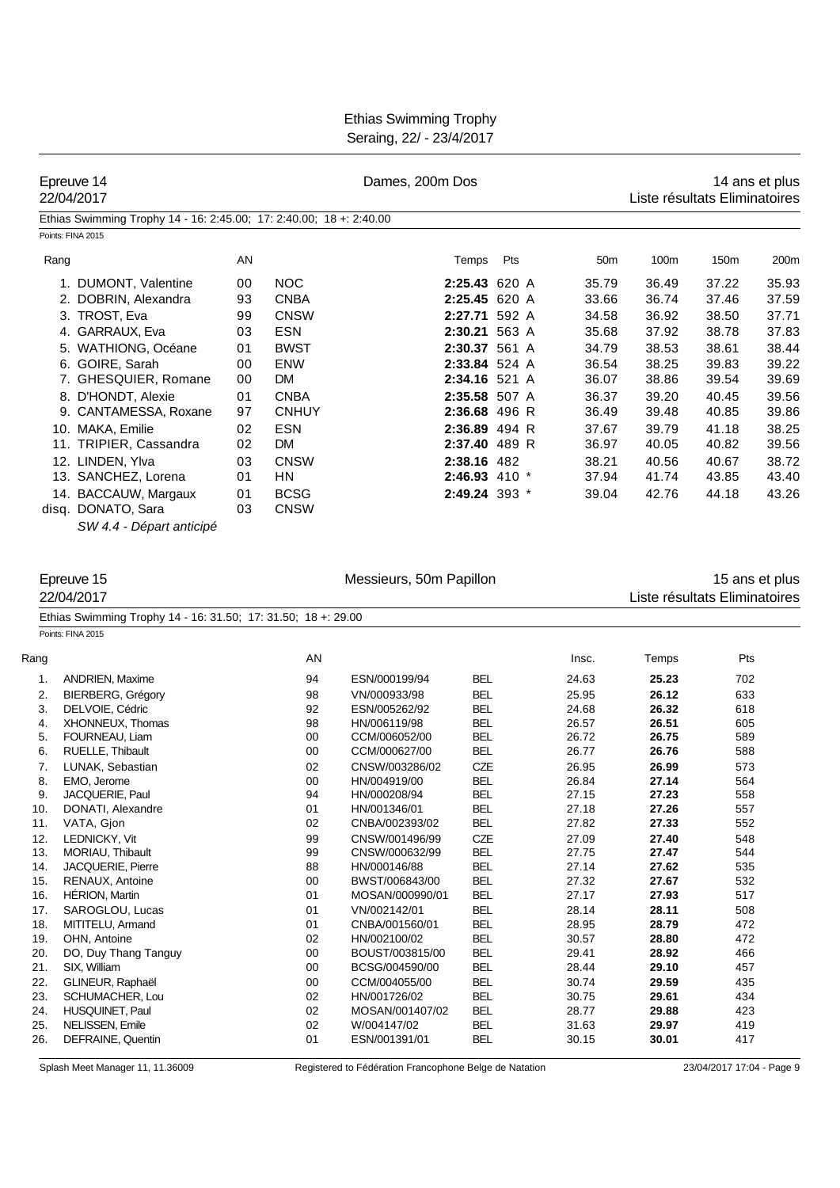| <b>Ethias Swimming Trophy</b> |
|-------------------------------|
| Seraing, 22/ - 23/4/2017      |

| Epreuve 14<br>22/04/2017                                                           |    |              | Dames, 200m Dos                   |                          |                 | Liste résultats Eliminatoires |            | 14 ans et plus |
|------------------------------------------------------------------------------------|----|--------------|-----------------------------------|--------------------------|-----------------|-------------------------------|------------|----------------|
| Ethias Swimming Trophy 14 - 16: 2:45.00; 17: 2:40.00; 18 +: 2:40.00                |    |              |                                   |                          |                 |                               |            |                |
| Points: FINA 2015                                                                  |    |              |                                   |                          |                 |                               |            |                |
| Rang                                                                               | AN |              |                                   | Pts<br>Temps             | 50 <sub>m</sub> | 100m                          | 150m       | 200m           |
| 1. DUMONT, Valentine                                                               | 00 | <b>NOC</b>   |                                   | 2:25.43 620 A            | 35.79           | 36.49                         | 37.22      | 35.93          |
| 2. DOBRIN, Alexandra                                                               | 93 | <b>CNBA</b>  |                                   | 2:25.45 620 A            | 33.66           | 36.74                         | 37.46      | 37.59          |
| 3. TROST, Eva                                                                      | 99 | <b>CNSW</b>  |                                   | 2:27.71 592 A            | 34.58           | 36.92                         | 38.50      | 37.71          |
| 4. GARRAUX, Eva                                                                    | 03 | <b>ESN</b>   |                                   | 2:30.21 563 A            | 35.68           | 37.92                         | 38.78      | 37.83          |
| 5. WATHIONG, Océane                                                                | 01 | <b>BWST</b>  |                                   | 2:30.37 561 A            | 34.79           | 38.53                         | 38.61      | 38.44          |
| 6. GOIRE, Sarah                                                                    | 00 | <b>ENW</b>   |                                   | 2:33.84 524 A            | 36.54           | 38.25                         | 39.83      | 39.22          |
| 7. GHESQUIER, Romane                                                               | 00 | DM           |                                   | 2:34.16 521 A            | 36.07           | 38.86                         | 39.54      | 39.69          |
| 8. D'HONDT, Alexie                                                                 | 01 | <b>CNBA</b>  |                                   | 2:35.58 507 A            | 36.37           | 39.20                         | 40.45      | 39.56          |
| 9. CANTAMESSA, Roxane                                                              | 97 | <b>CNHUY</b> |                                   | 2:36.68 496 R            | 36.49           | 39.48                         | 40.85      | 39.86          |
| 10. MAKA, Emilie                                                                   | 02 | <b>ESN</b>   |                                   | 2:36.89 494 R            | 37.67           | 39.79                         | 41.18      | 38.25          |
| 11. TRIPIER, Cassandra                                                             | 02 | DM           |                                   | 2:37.40 489 R            | 36.97           | 40.05                         | 40.82      | 39.56          |
| 12. LINDEN, Ylva                                                                   | 03 | <b>CNSW</b>  |                                   | 2:38.16 482              | 38.21           | 40.56                         | 40.67      | 38.72          |
| 13. SANCHEZ, Lorena                                                                | 01 | HN           |                                   | 2:46.93 410 *            | 37.94           | 41.74                         | 43.85      | 43.40          |
| 14. BACCAUW, Margaux                                                               | 01 | <b>BCSG</b>  |                                   | 2:49.24 393 *            | 39.04           | 42.76                         | 44.18      | 43.26          |
| disq. DONATO, Sara                                                                 | 03 | <b>CNSW</b>  |                                   |                          |                 |                               |            |                |
| SW 4.4 - Départ anticipé                                                           |    |              |                                   |                          |                 |                               |            |                |
| Epreuve 15<br>22/04/2017                                                           |    |              | Messieurs, 50m Papillon           |                          |                 | Liste résultats Eliminatoires |            | 15 ans et plus |
| Ethias Swimming Trophy 14 - 16: 31.50; 17: 31.50; 18 +: 29.00<br>Points: FINA 2015 |    |              |                                   |                          |                 |                               |            |                |
| Rang                                                                               |    | AN           |                                   |                          | Insc.           | Temps                         | Pts        |                |
| <b>ANDRIEN, Maxime</b><br>1.                                                       |    | 94           | ESN/000199/94                     | BEL                      | 24.63           | 25.23                         | 702        |                |
| 2.<br><b>BIERBERG, Grégory</b>                                                     |    | 98           | VN/000933/98                      | <b>BEL</b>               | 25.95           | 26.12                         | 633        |                |
| 3.<br>DELVOIE, Cédric                                                              |    | 92           | ESN/005262/92                     | BEL                      | 24.68           | 26.32                         | 618        |                |
| 4.<br>XHONNEUX, Thomas                                                             |    | 98           | HN/006119/98                      | BEL                      | 26.57           | 26.51                         | 605        |                |
| 5.<br>FOURNEAU, Liam                                                               |    | 00           | CCM/006052/00                     | <b>BEL</b>               | 26.72           | 26.75                         | 589        |                |
| 6.<br>RUELLE, Thibault                                                             |    | 00           | CCM/000627/00                     | <b>BEL</b>               | 26.77           | 26.76                         | 588        |                |
| LUNAK, Sebastian<br>7.                                                             |    | 02           | CNSW/003286/02                    | CZE                      | 26.95           | 26.99                         | 573        |                |
| 8.<br>EMO, Jerome<br>JACQUERIE, Paul                                               |    | 00           | HN/004919/00                      | BEL                      | 26.84           | 27.14                         | 564        |                |
| 9.<br>DONATI, Alexandre<br>10.                                                     |    | 94<br>01     | HN/000208/94<br>HN/001346/01      | <b>BEL</b><br><b>BEL</b> | 27.15<br>27.18  | 27.23<br>27.26                | 558<br>557 |                |
| VATA, Gjon<br>11.                                                                  |    | 02           | CNBA/002393/02                    | <b>BEL</b>               | 27.82           | 27.33                         | 552        |                |
| LEDNICKY, Vit<br>12.                                                               |    | 99           | CNSW/001496/99                    | CZE                      | 27.09           | 27.40                         | 548        |                |
| MORIAU, Thibault<br>13.                                                            |    | 99           | CNSW/000632/99                    | <b>BEL</b>               | 27.75           | 27.47                         | 544        |                |
| JACQUERIE, Pierre<br>14.                                                           |    | 88           | HN/000146/88                      | <b>BEL</b>               | 27.14           | 27.62                         | 535        |                |
| RENAUX, Antoine<br>15.                                                             |    | 00           | BWST/006843/00                    | <b>BEL</b>               | 27.32           | 27.67                         | 532        |                |
| 16.<br><b>HÉRION, Martin</b>                                                       |    | 01           | MOSAN/000990/01                   | <b>BEL</b>               | 27.17           | 27.93                         | 517        |                |
| SAROGLOU, Lucas<br>17.                                                             |    | 01           | VN/002142/01                      | <b>BEL</b>               | 28.14           | 28.11                         | 508        |                |
| 18.<br>MITITELU, Armand                                                            |    | 01           | CNBA/001560/01                    | <b>BEL</b>               | 28.95           | 28.79                         | 472        |                |
| OHN, Antoine<br>19.                                                                |    | 02           | HN/002100/02                      | <b>BEL</b>               | 30.57           | 28.80                         | 472        |                |
| 20.<br>DO, Duy Thang Tanguy                                                        |    | 00<br>00     | BOUST/003815/00<br>BCSG/004590/00 | <b>BEL</b>               | 29.41<br>28.44  | 28.92<br>29.10                | 466<br>457 |                |
| 21.<br>SIX, William                                                                |    |              | CCM/004055/00                     | <b>BEL</b>               |                 |                               |            |                |
| 22.<br>GLINEUR, Raphaël<br>23.<br>SCHUMACHER, Lou                                  |    | 00<br>02     | HN/001726/02                      | <b>BEL</b><br><b>BEL</b> | 30.74<br>30.75  | 29.59<br>29.61                | 435<br>434 |                |
| 24.<br>HUSQUINET, Paul                                                             |    | 02           | MOSAN/001407/02                   | <b>BEL</b>               | 28.77           | 29.88                         | 423        |                |
| 25.<br>NELISSEN, Emile                                                             |    | 02           | W/004147/02                       | <b>BEL</b>               | 31.63           | 29.97                         | 419        |                |
| 26.<br>DEFRAINE, Quentin                                                           |    | 01           | ESN/001391/01                     | <b>BEL</b>               | 30.15           | 30.01                         | 417        |                |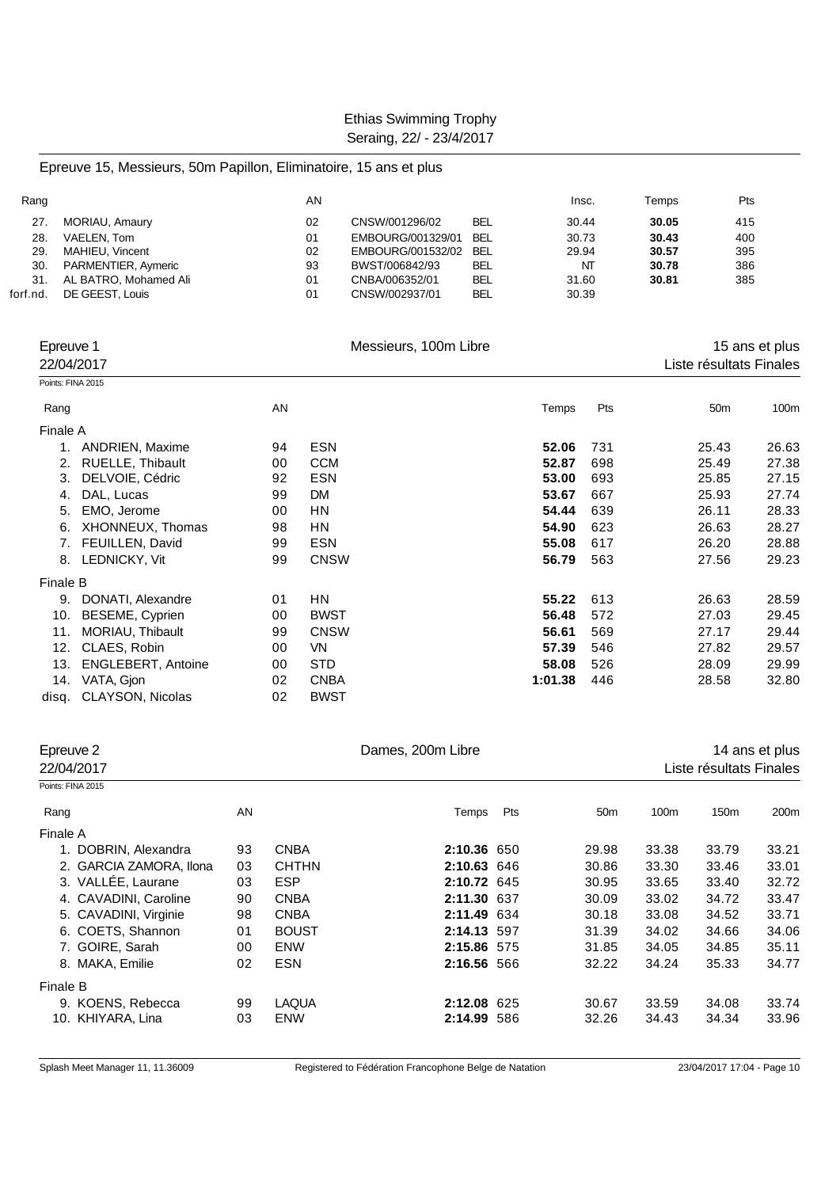Epreuve 15, Messieurs, 50m Papillon, Eliminatoire, 15 ans et plus

| Rang     |                       | AN |                   |            | Insc. | Temps | Pts |  |
|----------|-----------------------|----|-------------------|------------|-------|-------|-----|--|
| 27.      | MORIAU, Amaury        | 02 | CNSW/001296/02    | <b>BEL</b> | 30.44 | 30.05 | 415 |  |
| 28.      | VAELEN. Tom           | 01 | EMBOURG/001329/01 | <b>BEL</b> | 30.73 | 30.43 | 400 |  |
| 29       | MAHIEU, Vincent       | 02 | EMBOURG/001532/02 | <b>BEL</b> | 29.94 | 30.57 | 395 |  |
| 30.      | PARMENTIER, Aymeric   | 93 | BWST/006842/93    | <b>BEL</b> | NT    | 30.78 | 386 |  |
| 31.      | AL BATRO, Mohamed Ali | 01 | CNBA/006352/01    | <b>BEL</b> | 31.60 | 30.81 | 385 |  |
| forf.nd. | DE GEEST, Louis       | 01 | CNSW/002937/01    | <b>BEL</b> | 30.39 |       |     |  |
|          |                       |    |                   |            |       |       |     |  |

|                   | Epreuve 1<br>22/04/2017   |    | Messieurs, 100m Libre |         |     | Liste résultats Finales | 15 ans et plus |
|-------------------|---------------------------|----|-----------------------|---------|-----|-------------------------|----------------|
| Points: FINA 2015 |                           |    |                       |         |     |                         |                |
| Rang              |                           | AN |                       | Temps   | Pts | 50 <sub>m</sub>         | 100m           |
| Finale A          |                           |    |                       |         |     |                         |                |
| 1.                | <b>ANDRIEN, Maxime</b>    | 94 | <b>ESN</b>            | 52.06   | 731 | 25.43                   | 26.63          |
| 2.                | <b>RUELLE, Thibault</b>   | 00 | <b>CCM</b>            | 52.87   | 698 | 25.49                   | 27.38          |
| 3.                | DELVOIE, Cédric           | 92 | <b>ESN</b>            | 53.00   | 693 | 25.85                   | 27.15          |
| 4.                | DAL, Lucas                | 99 | <b>DM</b>             | 53.67   | 667 | 25.93                   | 27.74          |
| 5.                | EMO, Jerome               | 00 | ΗN                    | 54.44   | 639 | 26.11                   | 28.33          |
| 6.                | XHONNEUX, Thomas          | 98 | HN                    | 54.90   | 623 | 26.63                   | 28.27          |
| 7.                | FEUILLEN, David           | 99 | <b>ESN</b>            | 55.08   | 617 | 26.20                   | 28.88          |
| 8.                | LEDNICKY, Vit             | 99 | <b>CNSW</b>           | 56.79   | 563 | 27.56                   | 29.23          |
| Finale B          |                           |    |                       |         |     |                         |                |
| 9.                | DONATI, Alexandre         | 01 | ΗN                    | 55.22   | 613 | 26.63                   | 28.59          |
| 10.               | BESEME, Cyprien           | 00 | <b>BWST</b>           | 56.48   | 572 | 27.03                   | 29.45          |
| 11.               | MORIAU, Thibault          | 99 | <b>CNSW</b>           | 56.61   | 569 | 27.17                   | 29.44          |
| 12.               | CLAES, Robin              | 00 | VN                    | 57.39   | 546 | 27.82                   | 29.57          |
| 13.               | <b>ENGLEBERT, Antoine</b> | 00 | <b>STD</b>            | 58.08   | 526 | 28.09                   | 29.99          |
| 14.               | VATA, Gjon                | 02 | <b>CNBA</b>           | 1:01.38 | 446 | 28.58                   | 32.80          |
|                   | disg. CLAYSON, Nicolas    | 02 | <b>BWST</b>           |         |     |                         |                |

| Epreuve 2               |    |              | Dames, 200m Libre |     |                 |       | 14 ans et plus          |                  |  |  |
|-------------------------|----|--------------|-------------------|-----|-----------------|-------|-------------------------|------------------|--|--|
| 22/04/2017              |    |              |                   |     |                 |       | Liste résultats Finales |                  |  |  |
| Points: FINA 2015       |    |              |                   |     |                 |       |                         |                  |  |  |
| Rang                    | AN |              | Temps             | Pts | 50 <sub>m</sub> | 100m  | 150m                    | 200 <sub>m</sub> |  |  |
| Finale A                |    |              |                   |     |                 |       |                         |                  |  |  |
| 1. DOBRIN, Alexandra    | 93 | <b>CNBA</b>  | 2:10.36 650       |     | 29.98           | 33.38 | 33.79                   | 33.21            |  |  |
| 2. GARCIA ZAMORA, Ilona | 03 | <b>CHTHN</b> | 2:10.63 646       |     | 30.86           | 33.30 | 33.46                   | 33.01            |  |  |
| 3. VALLÉE, Laurane      | 03 | <b>ESP</b>   | 2:10.72 645       |     | 30.95           | 33.65 | 33.40                   | 32.72            |  |  |
| 4. CAVADINI, Caroline   | 90 | <b>CNBA</b>  | 2:11.30 637       |     | 30.09           | 33.02 | 34.72                   | 33.47            |  |  |
| 5. CAVADINI, Virginie   | 98 | <b>CNBA</b>  | 2:11.49 634       |     | 30.18           | 33.08 | 34.52                   | 33.71            |  |  |
| 6. COETS, Shannon       | 01 | <b>BOUST</b> | 2:14.13 597       |     | 31.39           | 34.02 | 34.66                   | 34.06            |  |  |
| 7. GOIRE, Sarah         | 00 | <b>ENW</b>   | 2:15.86 575       |     | 31.85           | 34.05 | 34.85                   | 35.11            |  |  |
| 8. MAKA, Emilie         | 02 | <b>ESN</b>   | 2:16.56 566       |     | 32.22           | 34.24 | 35.33                   | 34.77            |  |  |
| Finale B                |    |              |                   |     |                 |       |                         |                  |  |  |
| 9. KOENS, Rebecca       | 99 | <b>LAQUA</b> | 2:12.08 625       |     | 30.67           | 33.59 | 34.08                   | 33.74            |  |  |
| 10. KHIYARA, Lina       | 03 | <b>ENW</b>   | 2:14.99 586       |     | 32.26           | 34.43 | 34.34                   | 33.96            |  |  |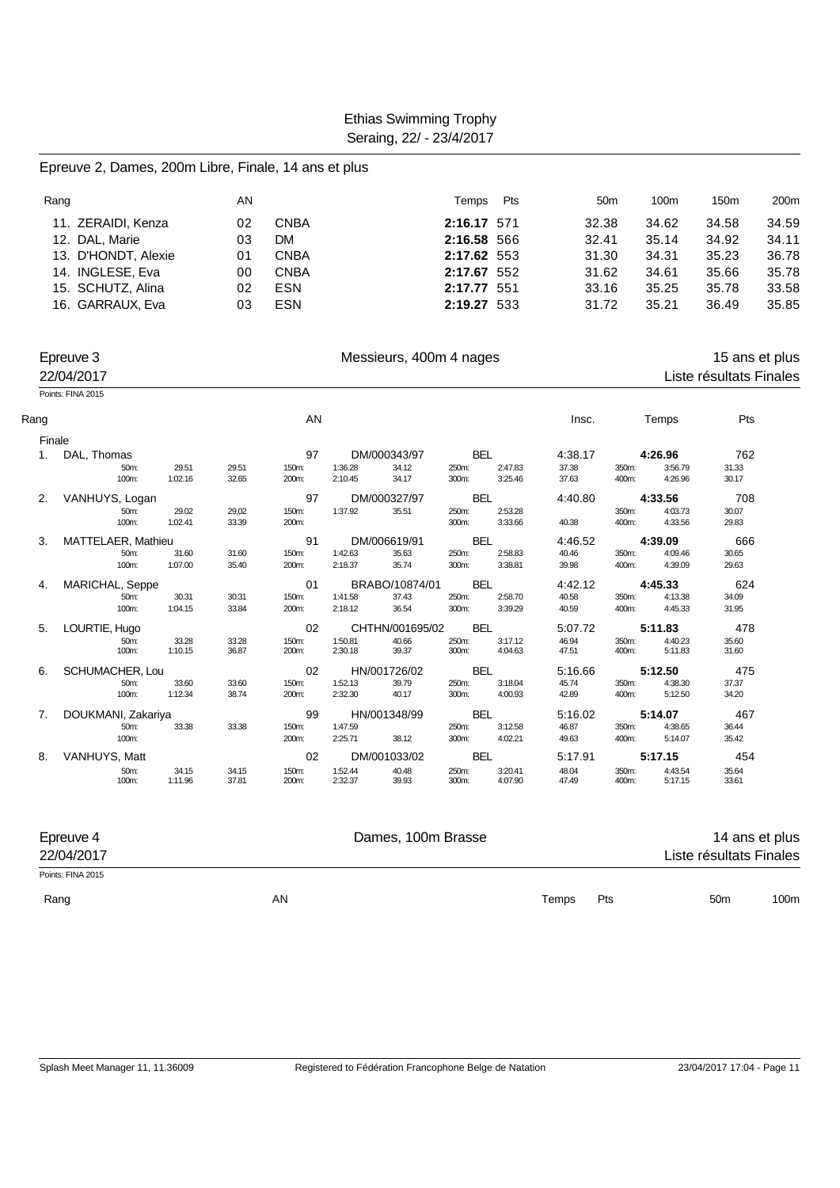#### Epreuve 2, Dames, 200m Libre, Finale, 14 ans et plus

| Rang |                     | AN |             | Temps       | Pts | 50 <sub>m</sub> | 100m  | 150m  | 200 <sub>m</sub> |
|------|---------------------|----|-------------|-------------|-----|-----------------|-------|-------|------------------|
|      | 11. ZERAIDI, Kenza  | 02 | <b>CNBA</b> | 2:16.17 571 |     | 32.38           | 34.62 | 34.58 | 34.59            |
|      | 12. DAL, Marie      | 03 | DМ          | 2:16.58 566 |     | 32.41           | 35.14 | 34.92 | 34.11            |
|      | 13. D'HONDT, Alexie | 01 | <b>CNBA</b> | 2:17.62 553 |     | 31.30           | 34.31 | 35.23 | 36.78            |
|      | 14. INGLESE, Eva    | 00 | <b>CNBA</b> | 2:17.67 552 |     | 31.62           | 34.61 | 35.66 | 35.78            |
|      | 15. SCHUTZ, Alina   | 02 | <b>ESN</b>  | 2:17.77     | 551 | 33.16           | 35.25 | 35.78 | 33.58            |
|      | 16. GARRAUX, Eva    | 03 | <b>ESN</b>  | 2:19.27 533 |     | 31.72           | 35.21 | 36.49 | 35.85            |

|      | Epreuve 3<br>22/04/2017 |         |       |       |         | Messieurs, 400m 4 nages |            |         |         |       |         | 15 ans et plus<br>Liste résultats Finales |  |
|------|-------------------------|---------|-------|-------|---------|-------------------------|------------|---------|---------|-------|---------|-------------------------------------------|--|
|      | Points: FINA 2015       |         |       |       |         |                         |            |         |         |       |         |                                           |  |
| Rang |                         |         |       | AN    |         |                         |            |         | Insc.   |       | Temps   | Pts                                       |  |
|      | Finale                  |         |       |       |         |                         |            |         |         |       |         |                                           |  |
| 1.   | DAL, Thomas             |         |       | 97    |         | DM/000343/97            | <b>BEL</b> |         | 4:38.17 |       | 4:26.96 | 762                                       |  |
|      | 50m:                    | 29.51   | 29.51 | 150m: | 1:36.28 | 34.12                   | 250m:      | 2:47.83 | 37.38   | 350m: | 3:56.79 | 31.33                                     |  |
|      | 100m:                   | 1:02.16 | 32.65 | 200m: | 2:10.45 | 34.17                   | 300m:      | 3:25.46 | 37.63   | 400m: | 4:26.96 | 30.17                                     |  |
| 2.   | VANHUYS, Logan          |         |       | 97    |         | DM/000327/97            | <b>BEL</b> |         | 4:40.80 |       | 4:33.56 | 708                                       |  |
|      | 50m:                    | 29.02   | 29.02 | 150m: | 1:37.92 | 35.51                   | 250m:      | 2:53.28 |         | 350m: | 4:03.73 | 30.07                                     |  |
|      | 100m:                   | 1:02.41 | 33.39 | 200m: |         |                         | 300m:      | 3:33.66 | 40.38   | 400m: | 4:33.56 | 29.83                                     |  |
| 3.   | MATTELAER, Mathieu      |         |       | 91    |         | DM/006619/91            | <b>BEL</b> |         | 4:46.52 |       | 4:39.09 | 666                                       |  |
|      | 50m:                    | 31.60   | 31.60 | 150m: | 1:42.63 | 35.63                   | 250m:      | 2:58.83 | 40.46   | 350m: | 4:09.46 | 30.65                                     |  |
|      | 100m:                   | 1:07.00 | 35.40 | 200m: | 2:18.37 | 35.74                   | 300m:      | 3:38.81 | 39.98   | 400m: | 4:39.09 | 29.63                                     |  |
| 4.   | MARICHAL, Seppe         |         |       | 01    |         | BRABO/10874/01          | <b>BEL</b> |         | 4:42.12 |       | 4:45.33 | 624                                       |  |
|      | 50m:                    | 30.31   | 30.31 | 150m: | 1:41.58 | 37.43                   | 250m:      | 2:58.70 | 40.58   | 350m: | 4:13.38 | 34.09                                     |  |
|      | 100m:                   | 1:04.15 | 33.84 | 200m: | 2:18.12 | 36.54                   | 300m:      | 3:39.29 | 40.59   | 400m: | 4:45.33 | 31.95                                     |  |
| 5.   | LOURTIE, Hugo           |         |       | 02    |         | CHTHN/001695/02         | <b>BEL</b> |         | 5:07.72 |       | 5:11.83 | 478                                       |  |
|      | 50m:                    | 33.28   | 33.28 | 150m: | 1:50.81 | 40.66                   | 250m:      | 3:17.12 | 46.94   | 350m: | 4:40.23 | 35.60                                     |  |
|      | 100m:                   | 1:10.15 | 36.87 | 200m: | 2:30.18 | 39.37                   | 300m:      | 4:04.63 | 47.51   | 400m: | 5:11.83 | 31.60                                     |  |
| 6.   | SCHUMACHER, Lou         |         |       | 02    |         | HN/001726/02            | <b>BEL</b> |         | 5:16.66 |       | 5:12.50 | 475                                       |  |
|      | 50m:                    | 33.60   | 33.60 | 150m: | 1:52.13 | 39.79                   | 250m:      | 3:18.04 | 45.74   | 350m: | 4:38.30 | 37.37                                     |  |
|      | 100m:                   | 1:12.34 | 38.74 | 200m: | 2:32.30 | 40.17                   | 300m:      | 4:00.93 | 42.89   | 400m: | 5:12.50 | 34.20                                     |  |
| 7.   | DOUKMANI, Zakariya      |         |       | 99    |         | HN/001348/99            | <b>BEL</b> |         | 5:16.02 |       | 5:14.07 | 467                                       |  |
|      | 50m:                    | 33.38   | 33.38 | 150m: | 1:47.59 |                         | 250m:      | 3:12.58 | 46.87   | 350m: | 4:38.65 | 36.44                                     |  |
|      | 100m:                   |         |       | 200m: | 2:25.71 | 38.12                   | 300m:      | 4:02.21 | 49.63   | 400m: | 5:14.07 | 35.42                                     |  |
| 8.   | VANHUYS, Matt           |         |       | 02    |         | DM/001033/02            | <b>BEL</b> |         | 5:17.91 |       | 5:17.15 | 454                                       |  |
|      | 50m:                    | 34.15   | 34.15 | 150m: | 1:52.44 | 40.48                   | 250m:      | 3:20.41 | 48.04   | 350m: | 4:43.54 | 35.64                                     |  |
|      | 100m:                   | 1:11.96 | 37.81 | 200m: | 2:32.37 | 39.93                   | 300m:      | 4:07.90 | 47.49   | 400m: | 5:17.15 | 33.61                                     |  |

| Epreuve 4<br>22/04/2017 |    | Dames, 100m Brasse |       |     | 14 ans et plus<br>Liste résultats Finales |      |
|-------------------------|----|--------------------|-------|-----|-------------------------------------------|------|
| Points: FINA 2015       |    |                    |       |     |                                           |      |
| Rang                    | AN |                    | Temps | Pts | 50 <sub>m</sub>                           | 100m |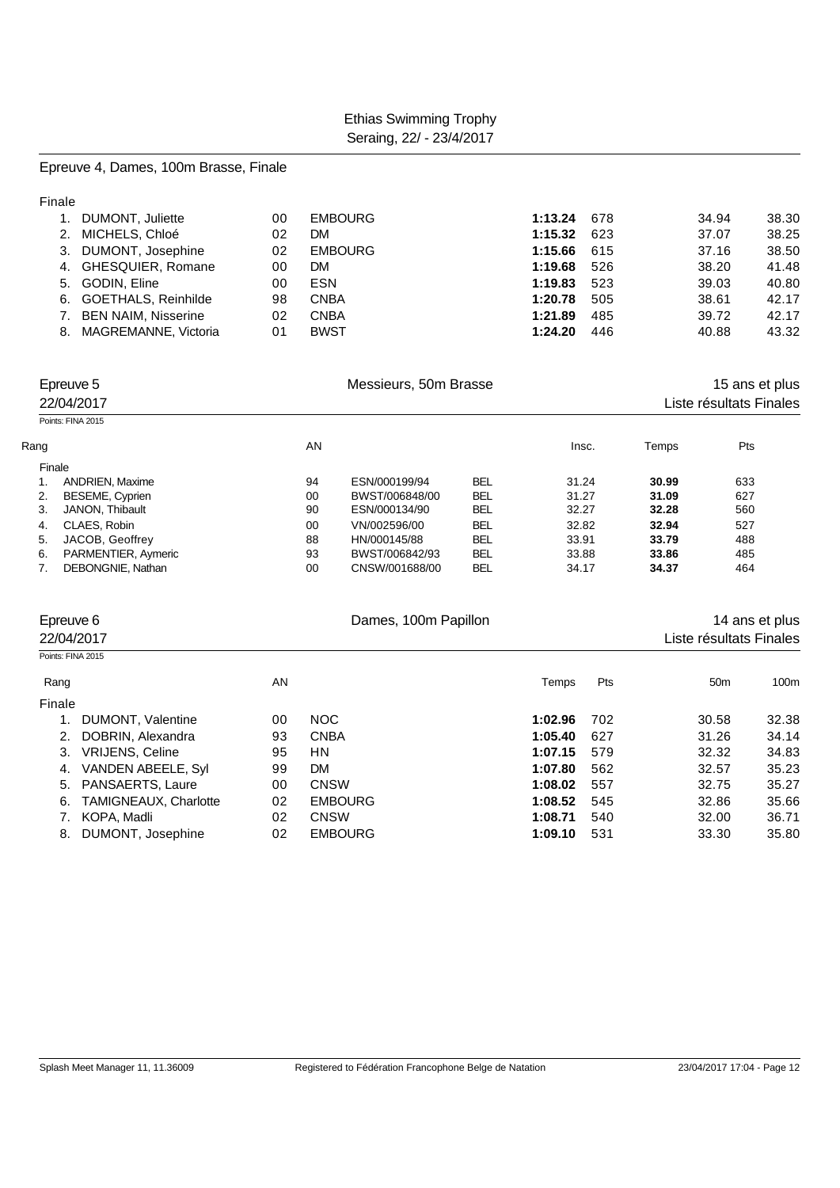#### Epreuve 4, Dames, 100m Brasse, Finale

| 1. DUMONT, Juliette     | 00 | <b>EMBOURG</b> | 1:13.24       | 678 | 34.94 | 38.30 |
|-------------------------|----|----------------|---------------|-----|-------|-------|
| 2. MICHELS, Chloé       | 02 | DM             | $1:15.32$ 623 |     | 37.07 | 38.25 |
| 3. DUMONT, Josephine    | 02 | <b>EMBOURG</b> | 1:15.66       | 615 | 37.16 | 38.50 |
| 4. GHESQUIER, Romane    | 00 | <b>DM</b>      | 1:19.68       | 526 | 38.20 | 41.48 |
| 5. GODIN, Eline         | 00 | <b>ESN</b>     | 1:19.83       | 523 | 39.03 | 40.80 |
| 6. GOETHALS, Reinhilde  | 98 | <b>CNBA</b>    | 1:20.78       | 505 | 38.61 | 42.17 |
| 7. BEN NAIM, Nisserine  | 02 | <b>CNBA</b>    | 1:21.89       | 485 | 39.72 | 42.17 |
| 8. MAGREMANNE, Victoria | 01 | <b>BWST</b>    | 1:24.20       | 446 | 40.88 | 43.32 |

|      | Epreuve 5<br>22/04/2017 |    | Messieurs, 50m Brasse | 15 ans et plus<br>Liste résultats Finales |       |       |     |  |
|------|-------------------------|----|-----------------------|-------------------------------------------|-------|-------|-----|--|
|      | Points: FINA 2015       |    |                       |                                           |       |       |     |  |
| Rang |                         | AN |                       |                                           | Insc. | Temps | Pts |  |
|      | Finale                  |    |                       |                                           |       |       |     |  |
|      | <b>ANDRIEN, Maxime</b>  | 94 | ESN/000199/94         | BEL                                       | 31.24 | 30.99 | 633 |  |
| 2.   | BESEME, Cyprien         | 00 | BWST/006848/00        | <b>BEL</b>                                | 31.27 | 31.09 | 627 |  |
| 3.   | JANON. Thibault         | 90 | ESN/000134/90         | <b>BEL</b>                                | 32.27 | 32.28 | 560 |  |
| 4.   | CLAES, Robin            | 00 | VN/002596/00          | <b>BEL</b>                                | 32.82 | 32.94 | 527 |  |
| 5.   | JACOB, Geoffrey         | 88 | HN/000145/88          | <b>BEL</b>                                | 33.91 | 33.79 | 488 |  |
| 6.   | PARMENTIER, Aymeric     | 93 | BWST/006842/93        | <b>BEL</b>                                | 33.88 | 33.86 | 485 |  |
|      | DEBONGNIE, Nathan       | 00 | CNSW/001688/00        | <b>BEL</b>                                | 34.17 | 34.37 | 464 |  |

|                   | Epreuve 6<br>22/04/2017      |    | Dames, 100m Papillon |         |     | Liste résultats Finales | 14 ans et plus |
|-------------------|------------------------------|----|----------------------|---------|-----|-------------------------|----------------|
| Points: FINA 2015 |                              |    |                      |         |     |                         |                |
| Rang              |                              | AN |                      | Temps   | Pts | 50 <sub>m</sub>         | 100m           |
| Finale            |                              |    |                      |         |     |                         |                |
|                   | DUMONT, Valentine            | 00 | <b>NOC</b>           | 1:02.96 | 702 | 30.58                   | 32.38          |
| 2.                | DOBRIN, Alexandra            | 93 | <b>CNBA</b>          | 1:05.40 | 627 | 31.26                   | 34.14          |
| 3.                | <b>VRIJENS, Celine</b>       | 95 | HN.                  | 1:07.15 | 579 | 32.32                   | 34.83          |
| 4.                | VANDEN ABEELE, Syl           | 99 | DM.                  | 1:07.80 | 562 | 32.57                   | 35.23          |
| 5.                | PANSAERTS, Laure             | 00 | <b>CNSW</b>          | 1:08.02 | 557 | 32.75                   | 35.27          |
| 6.                | <b>TAMIGNEAUX, Charlotte</b> | 02 | <b>EMBOURG</b>       | 1:08.52 | 545 | 32.86                   | 35.66          |
|                   | KOPA, Madli                  | 02 | <b>CNSW</b>          | 1:08.71 | 540 | 32.00                   | 36.71          |
| 8.                | DUMONT, Josephine            | 02 | <b>EMBOURG</b>       | 1:09.10 | 531 | 33.30                   | 35.80          |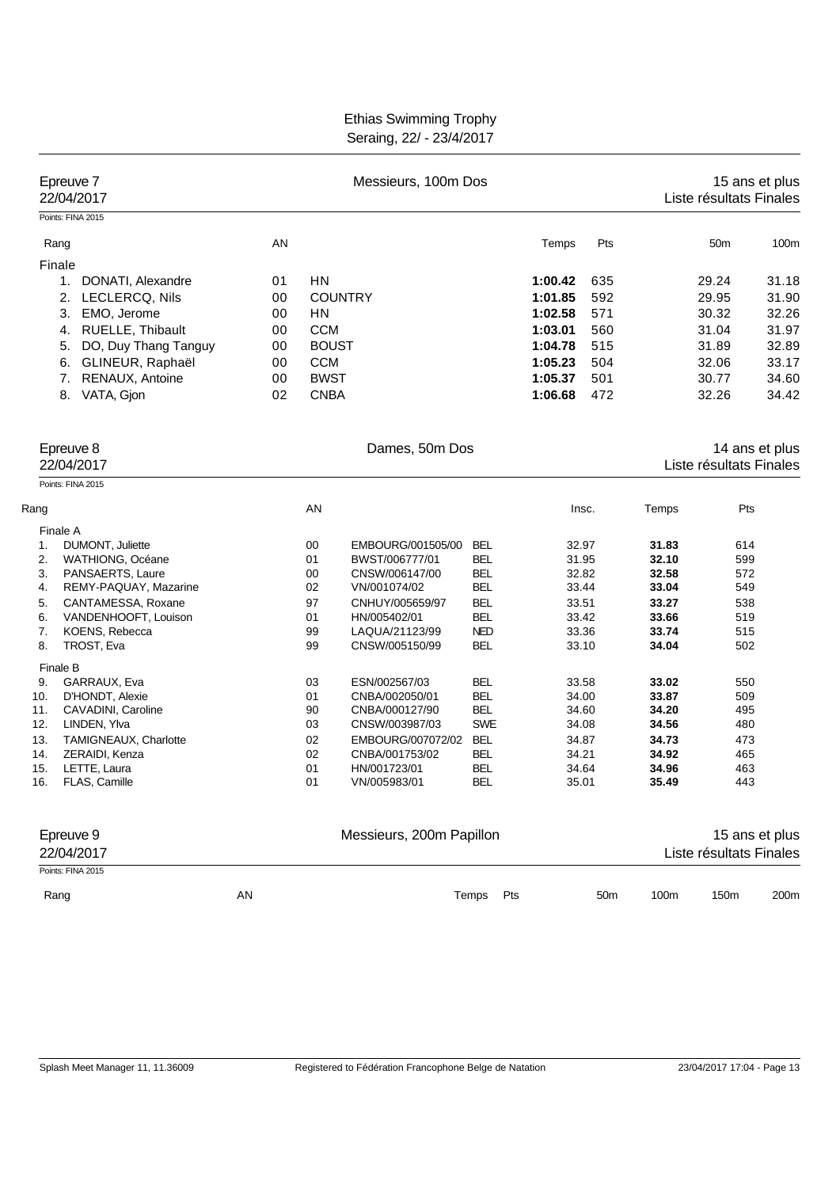| Epreuve 7<br>22/04/2017                               | Messieurs, 100m Dos |              |                                |                          |         |                 | 15 ans et plus<br>Liste résultats Finales |                         |                |  |
|-------------------------------------------------------|---------------------|--------------|--------------------------------|--------------------------|---------|-----------------|-------------------------------------------|-------------------------|----------------|--|
| Points: FINA 2015                                     |                     |              |                                |                          |         |                 |                                           |                         |                |  |
| Rang                                                  | AN                  |              |                                |                          | Temps   | Pts             |                                           | 50 <sub>m</sub>         | 100m           |  |
| Finale                                                |                     |              |                                |                          |         |                 |                                           |                         |                |  |
| DONATI, Alexandre<br>1.                               | 01                  | HN           |                                |                          | 1:00.42 | 635             |                                           | 29.24                   | 31.18          |  |
| LECLERCQ, Nils<br>2.                                  | 00                  |              | <b>COUNTRY</b>                 |                          | 1:01.85 | 592             |                                           | 29.95                   | 31.90          |  |
| 3.<br>EMO, Jerome                                     | 00                  | ΗN           |                                |                          | 1:02.58 | 571             |                                           | 30.32                   | 32.26          |  |
| RUELLE, Thibault<br>4.                                | 00                  | <b>CCM</b>   |                                |                          | 1:03.01 | 560             |                                           | 31.04                   | 31.97          |  |
| DO, Duy Thang Tanguy<br>5.                            | 00                  | <b>BOUST</b> |                                |                          | 1:04.78 | 515             |                                           | 31.89                   | 32.89          |  |
| GLINEUR, Raphaël<br>6.                                | 00                  | <b>CCM</b>   |                                |                          | 1:05.23 | 504             |                                           | 32.06                   | 33.17          |  |
| RENAUX, Antoine<br>7.                                 | 00                  | <b>BWST</b>  |                                |                          | 1:05.37 | 501             |                                           | 30.77                   | 34.60          |  |
| VATA, Gjon<br>8.                                      | 02                  | <b>CNBA</b>  |                                |                          | 1:06.68 | 472             |                                           | 32.26                   | 34.42          |  |
| Epreuve 8                                             |                     |              | Dames, 50m Dos                 |                          |         |                 |                                           |                         | 14 ans et plus |  |
| 22/04/2017                                            |                     |              |                                |                          |         |                 |                                           | Liste résultats Finales |                |  |
| Points: FINA 2015                                     |                     |              |                                |                          |         |                 |                                           |                         |                |  |
| Rang                                                  |                     | AN           |                                |                          |         | Insc.           | Temps                                     | Pts                     |                |  |
| Finale A                                              |                     |              |                                |                          |         |                 |                                           |                         |                |  |
| DUMONT, Juliette<br>1.                                |                     | 00           | EMBOURG/001505/00              | BEL                      | 32.97   |                 | 31.83                                     | 614                     |                |  |
| 2.<br>WATHIONG, Océane                                |                     | 01           | BWST/006777/01                 | <b>BEL</b>               | 31.95   |                 | 32.10                                     | 599                     |                |  |
| 3.<br>PANSAERTS, Laure<br>REMY-PAQUAY, Mazarine<br>4. |                     | 00<br>02     | CNSW/006147/00<br>VN/001074/02 | <b>BEL</b><br><b>BEL</b> | 33.44   | 32.82           | 32.58<br>33.04                            | 572<br>549              |                |  |
| 5.<br>CANTAMESSA, Roxane                              |                     | 97           | CNHUY/005659/97                | <b>BEL</b>               | 33.51   |                 | 33.27                                     | 538                     |                |  |
| VANDENHOOFT, Louison<br>6.                            |                     | 01           | HN/005402/01                   | <b>BEL</b>               | 33.42   |                 | 33.66                                     | 519                     |                |  |
| 7.<br>KOENS, Rebecca                                  |                     | 99           | LAQUA/21123/99                 | <b>NED</b>               | 33.36   |                 | 33.74                                     | 515                     |                |  |
| 8.<br>TROST, Eva                                      |                     | 99           | CNSW/005150/99                 | <b>BEL</b>               | 33.10   |                 | 34.04                                     | 502                     |                |  |
| Finale B<br>GARRAUX, Eva<br>9.                        |                     | 03           | ESN/002567/03                  | <b>BEL</b>               |         | 33.58           | 33.02                                     | 550                     |                |  |
| 10.<br>D'HONDT, Alexie                                |                     | 01           | CNBA/002050/01                 | <b>BEL</b>               |         | 34.00           | 33.87                                     | 509                     |                |  |
| 11.<br>CAVADINI, Caroline                             |                     | 90           | CNBA/000127/90                 | <b>BEL</b>               |         | 34.60           | 34.20                                     | 495                     |                |  |
| 12.<br>LINDEN, Ylva                                   |                     | 03           | CNSW/003987/03                 | <b>SWE</b>               | 34.08   |                 | 34.56                                     | 480                     |                |  |
| 13.<br>TAMIGNEAUX, Charlotte                          |                     | 02           | EMBOURG/007072/02              | <b>BEL</b>               | 34.87   |                 | 34.73                                     | 473                     |                |  |
| 14.<br>ZERAIDI, Kenza                                 |                     | 02           | CNBA/001753/02                 | <b>BEL</b>               | 34.21   |                 | 34.92                                     | 465                     |                |  |
| 15.<br>LETTE, Laura                                   |                     | 01           | HN/001723/01                   | <b>BEL</b>               | 34.64   |                 | 34.96                                     | 463                     |                |  |
| 16.<br>FLAS, Camille                                  |                     | 01           | VN/005983/01                   | <b>BEL</b>               | 35.01   |                 | 35.49                                     | 443                     |                |  |
| Epreuve 9                                             |                     |              | Messieurs, 200m Papillon       |                          |         |                 |                                           |                         | 15 ans et plus |  |
| 22/04/2017                                            |                     |              |                                |                          |         |                 |                                           | Liste résultats Finales |                |  |
| Points: FINA 2015                                     |                     |              |                                |                          |         |                 |                                           |                         |                |  |
| Rang                                                  | AN                  |              |                                | Temps<br>Pts             |         | 50 <sub>m</sub> | 100m                                      | 150m                    | 200m           |  |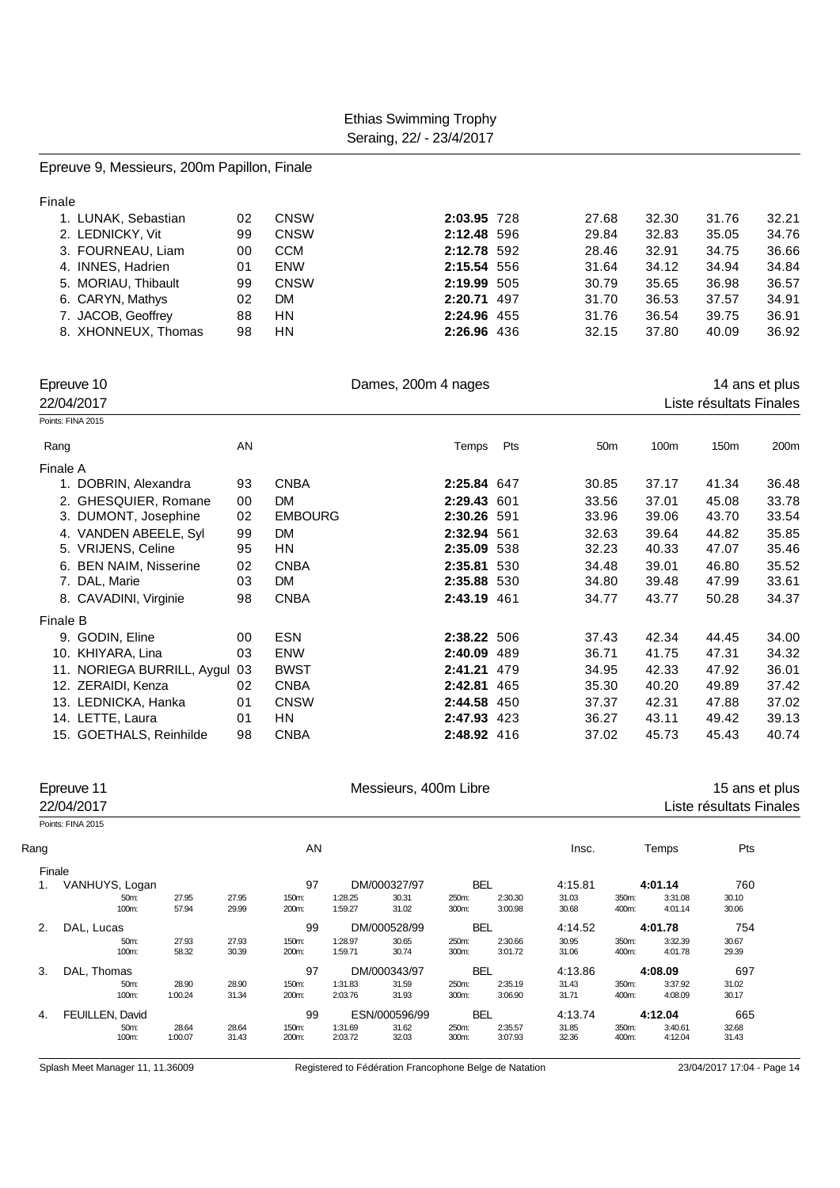#### Epreuve 9, Messieurs, 200m Papillon, Finale

| Finale |                     |    |             |             |       |       |       |       |
|--------|---------------------|----|-------------|-------------|-------|-------|-------|-------|
|        | 1. LUNAK, Sebastian | 02 | <b>CNSW</b> | 2:03.95 728 | 27.68 | 32.30 | 31.76 | 32.21 |
|        | 2. LEDNICKY, Vit    | 99 | <b>CNSW</b> | 2:12.48 596 | 29.84 | 32.83 | 35.05 | 34.76 |
|        | 3. FOURNEAU, Liam   | 00 | <b>CCM</b>  | 2:12.78 592 | 28.46 | 32.91 | 34.75 | 36.66 |
|        | 4. INNES, Hadrien   | 01 | <b>ENW</b>  | 2:15.54 556 | 31.64 | 34.12 | 34.94 | 34.84 |
|        | 5. MORIAU, Thibault | 99 | <b>CNSW</b> | 2:19.99 505 | 30.79 | 35.65 | 36.98 | 36.57 |
|        | 6. CARYN, Mathys    | 02 | DM.         | 2:20.71 497 | 31.70 | 36.53 | 37.57 | 34.91 |
|        | 7. JACOB, Geoffrey  | 88 | <b>HN</b>   | 2:24.96 455 | 31.76 | 36.54 | 39.75 | 36.91 |
|        | 8. XHONNEUX, Thomas | 98 | HN.         | 2:26.96 436 | 32.15 | 37.80 | 40.09 | 36.92 |

| Epreuve 10<br>22/04/2017 |                            |    | Dames, 200m 4 nages |             |     |                 | Liste résultats Finales | 14 ans et plus   |       |
|--------------------------|----------------------------|----|---------------------|-------------|-----|-----------------|-------------------------|------------------|-------|
| Points: FINA 2015        |                            |    |                     |             |     |                 |                         |                  |       |
| Rang                     |                            | AN |                     | Temps       | Pts | 50 <sub>m</sub> | 100m                    | 150 <sub>m</sub> | 200m  |
| Finale A                 |                            |    |                     |             |     |                 |                         |                  |       |
|                          | 1. DOBRIN, Alexandra       | 93 | <b>CNBA</b>         | 2:25.84 647 |     | 30.85           | 37.17                   | 41.34            | 36.48 |
|                          | 2. GHESQUIER, Romane       | 00 | <b>DM</b>           | 2:29.43 601 |     | 33.56           | 37.01                   | 45.08            | 33.78 |
|                          | 3. DUMONT, Josephine       | 02 | <b>EMBOURG</b>      | 2:30.26 591 |     | 33.96           | 39.06                   | 43.70            | 33.54 |
|                          | 4. VANDEN ABEELE, Syl      | 99 | <b>DM</b>           | 2:32.94 561 |     | 32.63           | 39.64                   | 44.82            | 35.85 |
|                          | 5. VRIJENS, Celine         | 95 | ΗN                  | 2:35.09 538 |     | 32.23           | 40.33                   | 47.07            | 35.46 |
|                          | 6. BEN NAIM, Nisserine     | 02 | <b>CNBA</b>         | 2:35.81 530 |     | 34.48           | 39.01                   | 46.80            | 35.52 |
|                          | 7. DAL, Marie              | 03 | DM                  | 2:35.88     | 530 | 34.80           | 39.48                   | 47.99            | 33.61 |
|                          | 8. CAVADINI, Virginie      | 98 | <b>CNBA</b>         | 2:43.19 461 |     | 34.77           | 43.77                   | 50.28            | 34.37 |
| Finale B                 |                            |    |                     |             |     |                 |                         |                  |       |
|                          | 9. GODIN, Eline            | 00 | <b>ESN</b>          | 2:38.22 506 |     | 37.43           | 42.34                   | 44.45            | 34.00 |
|                          | 10. KHIYARA, Lina          | 03 | <b>ENW</b>          | 2:40.09     | 489 | 36.71           | 41.75                   | 47.31            | 34.32 |
|                          | 11. NORIEGA BURRILL, Aygul | 03 | <b>BWST</b>         | 2:41.21     | 479 | 34.95           | 42.33                   | 47.92            | 36.01 |
|                          | 12. ZERAIDI, Kenza         | 02 | <b>CNBA</b>         | 2:42.81     | 465 | 35.30           | 40.20                   | 49.89            | 37.42 |
|                          | 13. LEDNICKA, Hanka        | 01 | <b>CNSW</b>         | 2:44.58     | 450 | 37.37           | 42.31                   | 47.88            | 37.02 |
|                          | 14. LETTE, Laura           | 01 | ΗN                  | 2:47.93     | 423 | 36.27           | 43.11                   | 49.42            | 39.13 |
|                          | 15. GOETHALS, Reinhilde    | 98 | <b>CNBA</b>         | 2:48.92 416 |     | 37.02           | 45.73                   | 45.43            | 40.74 |

|      | Epreuve 11<br>22/04/2017 | Messieurs, 400m Libre |       |       |         |               |            |            |         |       |         | 15 ans et plus<br>Liste résultats Finales |  |
|------|--------------------------|-----------------------|-------|-------|---------|---------------|------------|------------|---------|-------|---------|-------------------------------------------|--|
|      | Points: FINA 2015        |                       |       |       |         |               |            |            |         |       |         |                                           |  |
| Rang |                          |                       |       | AN    |         |               |            |            | Insc.   |       | Temps   | Pts                                       |  |
|      | Finale                   |                       |       |       |         |               |            |            |         |       |         |                                           |  |
| 1.   | VANHUYS, Logan           |                       |       | 97    |         | DM/000327/97  |            | <b>BEL</b> | 4:15.81 |       | 4:01.14 | 760                                       |  |
|      | 50m:                     | 27.95                 | 27.95 | 150m: | 1:28.25 | 30.31         | 250m:      | 2:30.30    | 31.03   | 350m: | 3:31.08 | 30.10                                     |  |
|      | 100m:                    | 57.94                 | 29.99 | 200m: | 1:59.27 | 31.02         | 300m:      | 3:00.98    | 30.68   | 400m: | 4:01.14 | 30.06                                     |  |
| 2.   | DAL, Lucas               |                       |       | 99    |         | DM/000528/99  | <b>BEL</b> |            | 4:14.52 |       | 4:01.78 | 754                                       |  |
|      | 50m:                     | 27.93                 | 27.93 | 150m: | 1:28.97 | 30.65         | 250m:      | 2:30.66    | 30.95   | 350m: | 3:32.39 | 30.67                                     |  |
|      | 100m:                    | 58.32                 | 30.39 | 200m: | 1:59.71 | 30.74         | 300m:      | 3:01.72    | 31.06   | 400m: | 4:01.78 | 29.39                                     |  |
| 3.   | DAL, Thomas              |                       |       | 97    |         | DM/000343/97  |            | <b>BEL</b> | 4:13.86 |       | 4:08.09 | 697                                       |  |
|      | 50m:                     | 28.90                 | 28.90 | 150m: | 1:31.83 | 31.59         | 250m:      | 2:35.19    | 31.43   | 350m: | 3:37.92 | 31.02                                     |  |
|      | 100m:                    | 1:00.24               | 31.34 | 200m: | 2:03.76 | 31.93         | 300m:      | 3:06.90    | 31.71   | 400m: | 4:08.09 | 30.17                                     |  |
| 4.   | FEUILLEN, David          |                       |       | 99    |         | ESN/000596/99 |            | <b>BEL</b> | 4:13.74 |       | 4:12.04 | 665                                       |  |
|      | 50m:                     | 28.64                 | 28.64 | 150m: | 1:31.69 | 31.62         | 250m:      | 2:35.57    | 31.85   | 350m: | 3:40.61 | 32.68                                     |  |
|      | 100m:                    | 1:00.07               | 31.43 | 200m: | 2:03.72 | 32.03         | 300m:      | 3:07.93    | 32.36   | 400m: | 4:12.04 | 31.43                                     |  |
|      |                          |                       |       |       |         |               |            |            |         |       |         |                                           |  |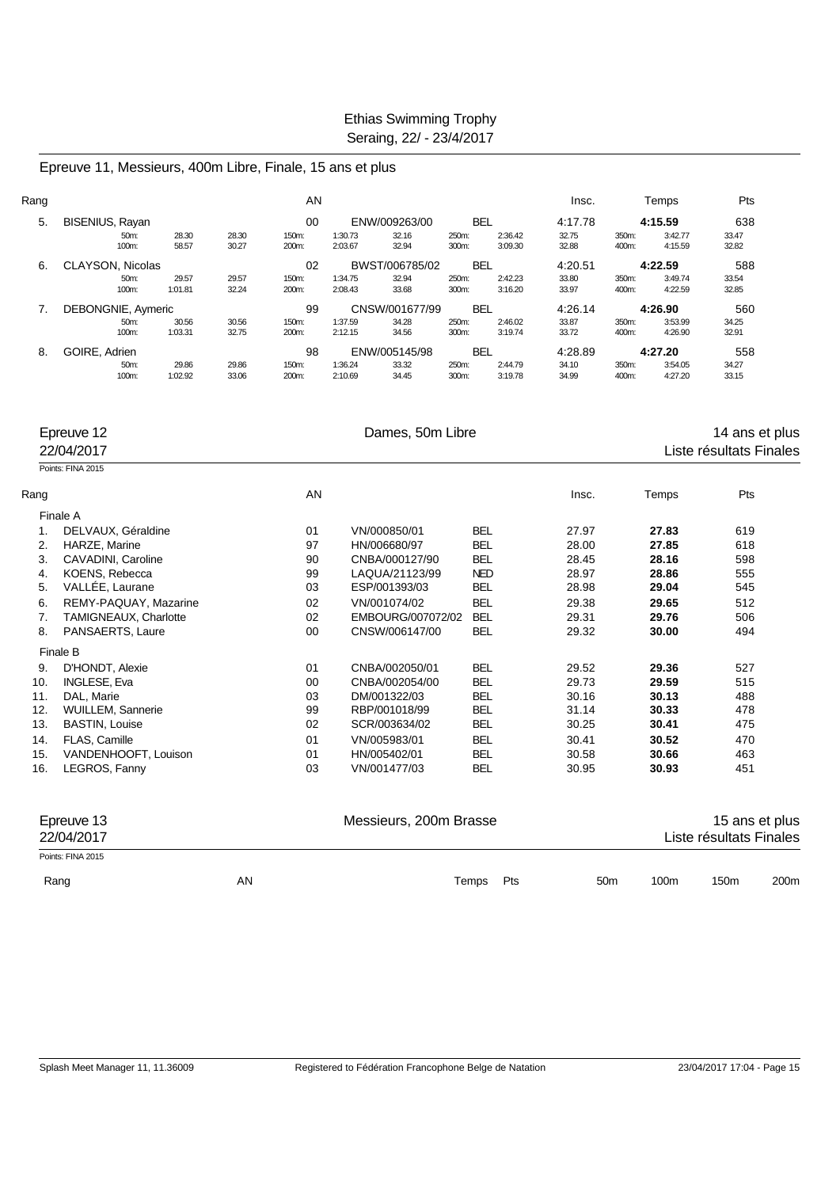Epreuve 11, Messieurs, 400m Libre, Finale, 15 ans et plus

| Rang |                        |                  |                | AN             |                    |                |                |                    | Insc.          |                | Temps              | Pts            |
|------|------------------------|------------------|----------------|----------------|--------------------|----------------|----------------|--------------------|----------------|----------------|--------------------|----------------|
| 5.   | <b>BISENIUS, Rayan</b> |                  |                | 00             |                    | ENW/009263/00  | <b>BEL</b>     |                    | 4:17.78        |                | 4:15.59            | 638            |
|      | 50m:<br>100m:          | 28.30<br>58.57   | 28.30<br>30.27 | 150m:<br>200m: | 1:30.73<br>2:03.67 | 32.16<br>32.94 | 250m:<br>300m: | 2:36.42<br>3:09.30 | 32.75<br>32.88 | 350m:<br>400m: | 3:42.77<br>4:15.59 | 33.47<br>32.82 |
| 6.   | CLAYSON, Nicolas       |                  |                | 02             |                    | BWST/006785/02 | <b>BEL</b>     |                    | 4:20.51        |                | 4:22.59            | 588            |
|      | 50m:                   | 29.57            | 29.57          | 150m:          | 1:34.75            | 32.94          | 250m:          | 2:42.23            | 33.80          | 350m:          | 3:49.74            | 33.54          |
|      | 100m:                  | 1:01.81          | 32.24          | 200m:          | 2:08.43            | 33.68          | 300m:          | 3:16.20            | 33.97          | 400m:          | 4:22.59            | 32.85          |
|      | DEBONGNIE, Aymeric     |                  |                | 99             |                    | CNSW/001677/99 | <b>BEL</b>     |                    | 4:26.14        |                | 4:26.90            | 560            |
|      | 50m:<br>100m:          | 30.56<br>1:03.31 | 30.56<br>32.75 | 150m:<br>200m: | 1:37.59<br>2:12.15 | 34.28<br>34.56 | 250m:<br>300m: | 2:46.02<br>3:19.74 | 33.87<br>33.72 | 350m:<br>400m: | 3:53.99<br>4:26.90 | 34.25<br>32.91 |
| 8.   | GOIRE, Adrien          |                  |                | 98             |                    | ENW/005145/98  | <b>BEL</b>     |                    | 4:28.89        |                | 4:27.20            | 558            |
|      | 50m:                   | 29.86            | 29.86          | 150m:          | 1:36.24            | 33.32          | 250m:          | 2:44.79            | 34.10          | 350m:          | 3:54.05            | 34.27          |
|      | 100m:                  | 1:02.92          | 33.06          | 200m:          | 2:10.69            | 34.45          | 300m:          | 3:19.78            | 34.99          | 400m:          | 4:27.20            | 33.15          |

|      | Epreuve 12               |    | Dames, 50m Libre       |              | 14 ans et plus  |       |                         |      |
|------|--------------------------|----|------------------------|--------------|-----------------|-------|-------------------------|------|
|      | 22/04/2017               |    |                        |              |                 |       | Liste résultats Finales |      |
|      | Points: FINA 2015        |    |                        |              |                 |       |                         |      |
| Rang |                          | AN |                        |              | Insc.           | Temps | Pts                     |      |
|      | Finale A                 |    |                        |              |                 |       |                         |      |
| 1.   | DELVAUX, Géraldine       | 01 | VN/000850/01           | <b>BEL</b>   | 27.97           | 27.83 | 619                     |      |
| 2.   | HARZE, Marine            | 97 | HN/006680/97           | <b>BEL</b>   | 28.00           | 27.85 | 618                     |      |
| 3.   | CAVADINI, Caroline       | 90 | CNBA/000127/90         | <b>BEL</b>   | 28.45           | 28.16 | 598                     |      |
| 4.   | KOENS, Rebecca           | 99 | LAQUA/21123/99         | <b>NED</b>   | 28.97           | 28.86 | 555                     |      |
| 5.   | VALLÉE, Laurane          | 03 | ESP/001393/03          | <b>BEL</b>   | 28.98           | 29.04 | 545                     |      |
| 6.   | REMY-PAQUAY, Mazarine    | 02 | VN/001074/02           | <b>BEL</b>   | 29.38           | 29.65 | 512                     |      |
| 7.   | TAMIGNEAUX, Charlotte    | 02 | EMBOURG/007072/02      | <b>BEL</b>   | 29.31           | 29.76 | 506                     |      |
| 8.   | PANSAERTS, Laure         | 00 | CNSW/006147/00         | <b>BEL</b>   | 29.32           | 30.00 | 494                     |      |
|      | Finale B                 |    |                        |              |                 |       |                         |      |
| 9.   | D'HONDT, Alexie          | 01 | CNBA/002050/01         | <b>BEL</b>   | 29.52           | 29.36 | 527                     |      |
| 10.  | <b>INGLESE, Eva</b>      | 00 | CNBA/002054/00         | <b>BEL</b>   | 29.73           | 29.59 | 515                     |      |
| 11.  | DAL, Marie               | 03 | DM/001322/03           | <b>BEL</b>   | 30.16           | 30.13 | 488                     |      |
| 12.  | <b>WUILLEM, Sannerie</b> | 99 | RBP/001018/99          | <b>BEL</b>   | 31.14           | 30.33 | 478                     |      |
| 13.  | <b>BASTIN, Louise</b>    | 02 | SCR/003634/02          | <b>BEL</b>   | 30.25           | 30.41 | 475                     |      |
| 14.  | <b>FLAS. Camille</b>     | 01 | VN/005983/01           | <b>BEL</b>   | 30.41           | 30.52 | 470                     |      |
| 15.  | VANDENHOOFT, Louison     | 01 | HN/005402/01           | <b>BEL</b>   | 30.58           | 30.66 | 463                     |      |
| 16.  | LEGROS, Fanny            | 03 | VN/001477/03           | <b>BEL</b>   | 30.95           | 30.93 | 451                     |      |
|      | Epreuve 13               |    | Messieurs, 200m Brasse |              |                 |       | 15 ans et plus          |      |
|      | 22/04/2017               |    |                        |              |                 |       | Liste résultats Finales |      |
|      | Points: FINA 2015        |    |                        |              |                 |       |                         |      |
|      | Rang                     | AN |                        | Pts<br>Temps | 50 <sub>m</sub> | 100m  | 150m                    | 200m |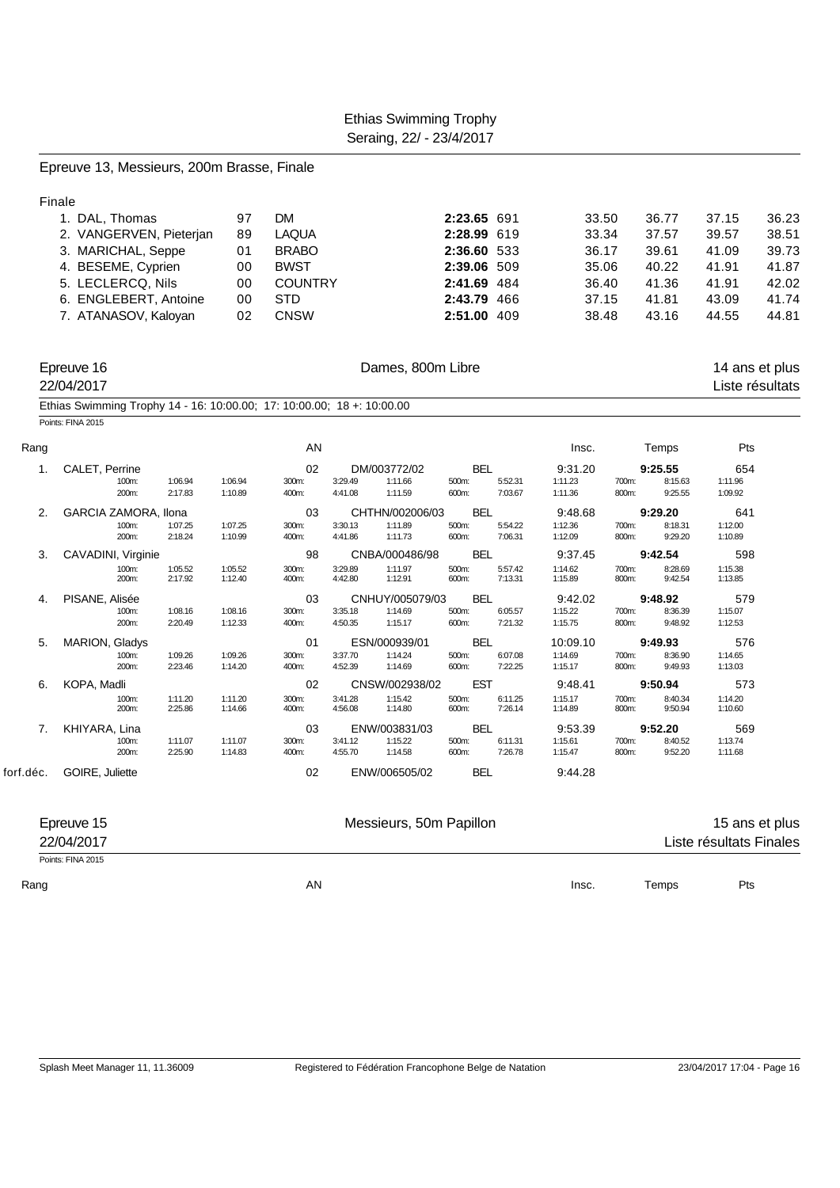| Finale    |                                                                                             |                    |                    |                |                    |                         |                |                    |                    |                |                    |                         |       |
|-----------|---------------------------------------------------------------------------------------------|--------------------|--------------------|----------------|--------------------|-------------------------|----------------|--------------------|--------------------|----------------|--------------------|-------------------------|-------|
|           | 1. DAL, Thomas                                                                              |                    | 97                 | DM             |                    |                         | 2:23.65 691    |                    | 33.50              |                | 36.77              | 37.15                   | 36.23 |
|           | 2. VANGERVEN, Pieterjan                                                                     |                    | 89                 | <b>LAQUA</b>   |                    |                         | 2:28.99 619    |                    | 33.34              |                | 37.57              | 39.57                   | 38.51 |
|           | 3. MARICHAL, Seppe                                                                          |                    | 01                 | <b>BRABO</b>   |                    |                         | 2:36.60 533    |                    | 36.17              |                | 39.61              | 41.09                   | 39.73 |
|           | 4. BESEME, Cyprien                                                                          |                    | 00                 | <b>BWST</b>    |                    |                         | 2:39.06 509    |                    | 35.06              |                | 40.22              | 41.91                   | 41.87 |
|           | 5. LECLERCQ, Nils                                                                           |                    | 00                 | <b>COUNTRY</b> |                    |                         | 2:41.69 484    |                    | 36.40              |                | 41.36              | 41.91                   | 42.02 |
|           | 6. ENGLEBERT, Antoine                                                                       |                    | 00                 | <b>STD</b>     |                    |                         | 2:43.79 466    |                    | 37.15              |                | 41.81              | 43.09                   | 41.74 |
|           | 7. ATANASOV, Kaloyan                                                                        |                    | 02                 | <b>CNSW</b>    |                    |                         | 2:51.00 409    |                    | 38.48              |                | 43.16              | 44.55                   | 44.81 |
|           | Epreuve 16                                                                                  |                    |                    |                |                    | Dames, 800m Libre       |                |                    |                    |                |                    | 14 ans et plus          |       |
|           | 22/04/2017                                                                                  |                    |                    |                |                    |                         |                |                    |                    |                |                    | Liste résultats         |       |
|           | Ethias Swimming Trophy 14 - 16: 10:00.00; 17: 10:00.00; 18 +: 10:00.00<br>Points: FINA 2015 |                    |                    |                |                    |                         |                |                    |                    |                |                    |                         |       |
| Rang      |                                                                                             |                    |                    | AN             |                    |                         |                |                    | Insc.              |                | Temps              | Pts                     |       |
| 1.        | CALET, Perrine                                                                              |                    |                    | 02             | DM/003772/02       |                         | BEL            |                    | 9:31.20            |                | 9:25.55            | 654                     |       |
|           | 100m:<br>200m:                                                                              | 1:06.94<br>2:17.83 | 1:06.94<br>1:10.89 | 300m:<br>400m: | 3:29.49<br>4:41.08 | 1:11.66<br>1:11.59      | 500m:<br>600m: | 5:52.31<br>7:03.67 | 1:11.23<br>1:11.36 | 700m:<br>800m: | 8:15.63<br>9:25.55 | 1:11.96<br>1:09.92      |       |
| 2.        | GARCIA ZAMORA, Ilona                                                                        |                    |                    | 03             |                    | CHTHN/002006/03         | <b>BEL</b>     |                    | 9:48.68            |                | 9:29.20            | 641                     |       |
|           | 100m:<br>200m:                                                                              | 1:07.25<br>2:18.24 | 1:07.25<br>1:10.99 | 300m:<br>400m: | 3:30.13<br>4:41.86 | 1:11.89<br>1:11.73      | 500m:<br>600m: | 5:54.22<br>7:06.31 | 1:12.36<br>1:12.09 | 700m:<br>800m: | 8:18.31<br>9:29.20 | 1:12.00<br>1:10.89      |       |
| 3.        | CAVADINI, Virginie                                                                          |                    |                    | 98             |                    | CNBA/000486/98          | <b>BEL</b>     |                    | 9:37.45            |                | 9:42.54            | 598                     |       |
|           | 100m:<br>200m:                                                                              | 1:05.52<br>2:17.92 | 1:05.52<br>1:12.40 | 300m:<br>400m: | 3:29.89<br>4:42.80 | 1:11.97<br>1:12.91      | 500m:<br>600m: | 5:57.42<br>7:13.31 | 1:14.62<br>1:15.89 | 700m:<br>800m: | 8:28.69<br>9:42.54 | 1:15.38<br>1:13.85      |       |
| 4.        | PISANE, Alisée                                                                              |                    |                    | 03             |                    | CNHUY/005079/03         | BEL            |                    | 9:42.02            |                | 9:48.92            | 579                     |       |
|           | 100m:<br>200m:                                                                              | 1:08.16<br>2:20.49 | 1:08.16<br>1:12.33 | 300m:<br>400m: | 3:35.18<br>4:50.35 | 1:14.69<br>1:15.17      | 500m:<br>600m: | 6:05.57<br>7:21.32 | 1:15.22<br>1:15.75 | 700m:<br>800m: | 8:36.39<br>9:48.92 | 1:15.07<br>1:12.53      |       |
| 5.        | MARION, Gladys                                                                              |                    |                    | 01             | ESN/000939/01      |                         | BEL            |                    | 10:09.10           |                | 9:49.93            | 576                     |       |
|           | 100m:<br>200m:                                                                              | 1:09.26<br>2:23.46 | 1:09.26<br>1:14.20 | 300m:<br>400m: | 3:37.70<br>4:52.39 | 1:14.24<br>1:14.69      | 500m:<br>600m: | 6:07.08<br>7:22.25 | 1:14.69<br>1:15.17 | 700m:<br>800m: | 8:36.90<br>9:49.93 | 1:14.65<br>1:13.03      |       |
| 6.        | KOPA, Madli                                                                                 |                    |                    | 02             |                    | CNSW/002938/02          | <b>EST</b>     |                    | 9:48.41            |                | 9:50.94            | 573                     |       |
|           | 100m:<br>200m:                                                                              | 1:11.20<br>2:25.86 | 1:11.20<br>1:14.66 | 300m:<br>400m: | 3:41.28<br>4:56.08 | 1:15.42<br>1:14.80      | 500m:<br>600m: | 6:11.25<br>7:26.14 | 1:15.17<br>1:14.89 | 700m:<br>800m: | 8:40.34<br>9:50.94 | 1:14.20<br>1:10.60      |       |
| 7.        | KHIYARA, Lina                                                                               |                    |                    | 03             | ENW/003831/03      |                         | <b>BEL</b>     |                    | 9:53.39            |                | 9:52.20            | 569                     |       |
|           | 100m:<br>200m:                                                                              | 1:11.07<br>2:25.90 | 1:11.07<br>1:14.83 | 300m:<br>400m: | 3:41.12<br>4:55.70 | 1:15.22<br>1:14.58      | 500m:<br>600m: | 6:11.31<br>7:26.78 | 1:15.61<br>1:15.47 | 700m:<br>800m: | 8:40.52<br>9:52.20 | 1:13.74<br>1:11.68      |       |
| forf.déc. | GOIRE, Juliette                                                                             |                    |                    | 02             | ENW/006505/02      |                         | BEL            |                    | 9:44.28            |                |                    |                         |       |
|           |                                                                                             |                    |                    |                |                    |                         |                |                    |                    |                |                    |                         |       |
|           | Epreuve 15                                                                                  |                    |                    |                |                    | Messieurs, 50m Papillon |                |                    |                    |                |                    | 15 ans et plus          |       |
|           | 22/04/2017<br>Points: FINA 2015                                                             |                    |                    |                |                    |                         |                |                    |                    |                |                    | Liste résultats Finales |       |
|           |                                                                                             |                    |                    |                |                    |                         |                |                    |                    |                |                    |                         |       |
| Rang      |                                                                                             |                    |                    | AN             |                    |                         |                |                    | Insc.              |                | Temps              | Pts                     |       |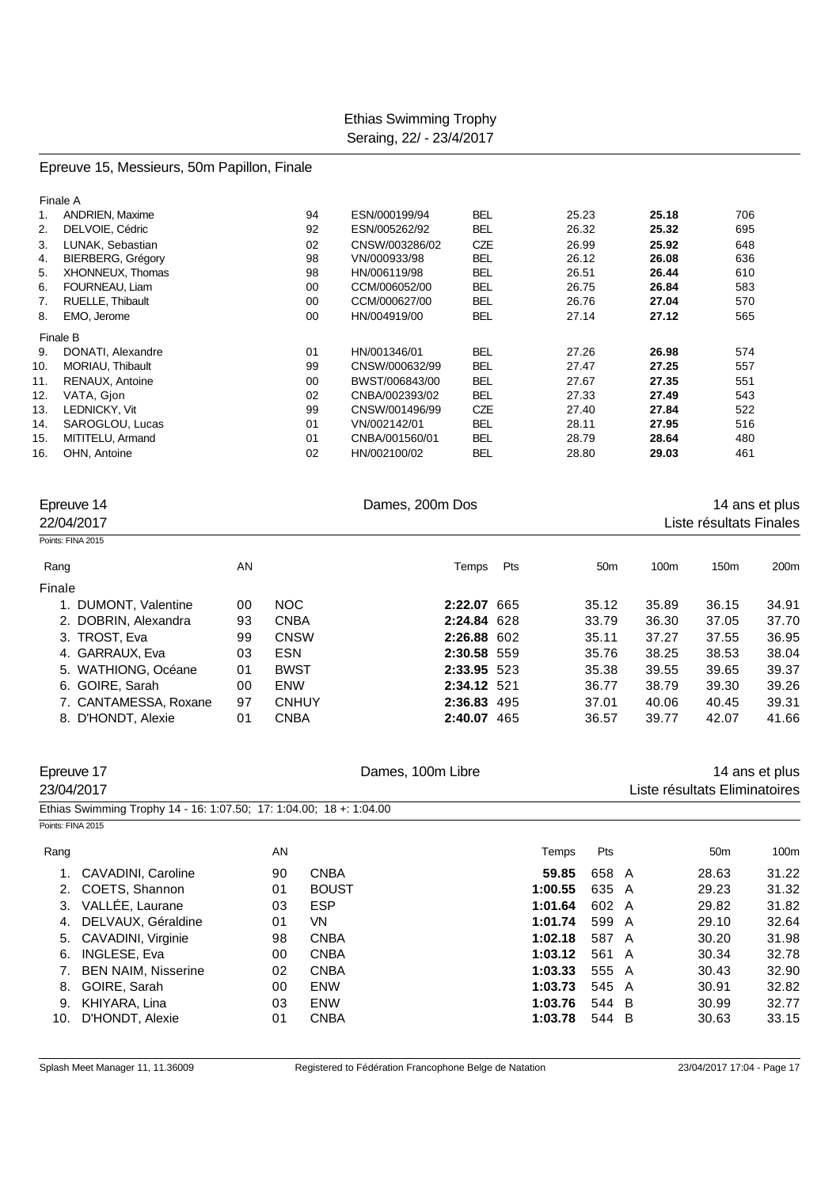# Epreuve 15, Messieurs, 50m Papillon, Finale

|     | Finale A                 |    |                |            |       |       |     |
|-----|--------------------------|----|----------------|------------|-------|-------|-----|
| 1.  | <b>ANDRIEN, Maxime</b>   | 94 | ESN/000199/94  | <b>BEL</b> | 25.23 | 25.18 | 706 |
| 2.  | DELVOIE, Cédric          | 92 | ESN/005262/92  | <b>BEL</b> | 26.32 | 25.32 | 695 |
| 3.  | LUNAK, Sebastian         | 02 | CNSW/003286/02 | <b>CZE</b> | 26.99 | 25.92 | 648 |
| 4.  | <b>BIERBERG, Grégory</b> | 98 | VN/000933/98   | <b>BEL</b> | 26.12 | 26.08 | 636 |
| 5.  | XHONNEUX, Thomas         | 98 | HN/006119/98   | <b>BEL</b> | 26.51 | 26.44 | 610 |
| 6.  | FOURNEAU, Liam           | 00 | CCM/006052/00  | <b>BEL</b> | 26.75 | 26.84 | 583 |
| 7.  | RUELLE, Thibault         | 00 | CCM/000627/00  | <b>BEL</b> | 26.76 | 27.04 | 570 |
| 8.  | EMO, Jerome              | 00 | HN/004919/00   | <b>BEL</b> | 27.14 | 27.12 | 565 |
|     | Finale B                 |    |                |            |       |       |     |
| 9.  | DONATI, Alexandre        | 01 | HN/001346/01   | <b>BEL</b> | 27.26 | 26.98 | 574 |
| 10. | MORIAU, Thibault         | 99 | CNSW/000632/99 | <b>BEL</b> | 27.47 | 27.25 | 557 |
| 11. | RENAUX, Antoine          | 00 | BWST/006843/00 | <b>BEL</b> | 27.67 | 27.35 | 551 |
| 12. | VATA, Gion               | 02 | CNBA/002393/02 | <b>BEL</b> | 27.33 | 27.49 | 543 |
| 13. | LEDNICKY, Vit            | 99 | CNSW/001496/99 | <b>CZE</b> | 27.40 | 27.84 | 522 |
| 14. | SAROGLOU, Lucas          | 01 | VN/002142/01   | <b>BEL</b> | 28.11 | 27.95 | 516 |
| 15. | MITITELU, Armand         | 01 | CNBA/001560/01 | <b>BEL</b> | 28.79 | 28.64 | 480 |
| 16. | OHN. Antoine             | 02 | HN/002100/02   | <b>BEL</b> | 28.80 | 29.03 | 461 |
|     |                          |    |                |            |       |       |     |

| Epreuve 14            |    | Dames, 200m Dos |             |     | 14 ans et plus  |       |                         |       |  |
|-----------------------|----|-----------------|-------------|-----|-----------------|-------|-------------------------|-------|--|
| 22/04/2017            |    |                 |             |     |                 |       | Liste résultats Finales |       |  |
| Points: FINA 2015     |    |                 |             |     |                 |       |                         |       |  |
| Rang                  | AN |                 | Temps       | Pts | 50 <sub>m</sub> | 100m  | 150 <sub>m</sub>        | 200m  |  |
| Finale                |    |                 |             |     |                 |       |                         |       |  |
| 1. DUMONT, Valentine  | 00 | NOC.            | 2:22.07 665 |     | 35.12           | 35.89 | 36.15                   | 34.91 |  |
| 2. DOBRIN, Alexandra  | 93 | <b>CNBA</b>     | 2:24.84 628 |     | 33.79           | 36.30 | 37.05                   | 37.70 |  |
| 3. TROST, Eva         | 99 | <b>CNSW</b>     | 2:26.88 602 |     | 35.11           | 37.27 | 37.55                   | 36.95 |  |
| 4. GARRAUX, Eva       | 03 | <b>ESN</b>      | 2:30.58 559 |     | 35.76           | 38.25 | 38.53                   | 38.04 |  |
| 5. WATHIONG, Océane   | 01 | <b>BWST</b>     | 2:33.95 523 |     | 35.38           | 39.55 | 39.65                   | 39.37 |  |
| 6. GOIRE, Sarah       | 00 | <b>ENW</b>      | 2:34.12 521 |     | 36.77           | 38.79 | 39.30                   | 39.26 |  |
| 7. CANTAMESSA, Roxane | 97 | <b>CNHUY</b>    | 2:36.83 495 |     | 37.01           | 40.06 | 40.45                   | 39.31 |  |
| 8. D'HONDT, Alexie    | 01 | <b>CNBA</b>     | 2:40.07 465 |     | 36.57           | 39.77 | 42.07                   | 41.66 |  |

| Epreuve 17        |                                                                     |    |              | Dames, 100m Libre |       |   |                               |                |  |
|-------------------|---------------------------------------------------------------------|----|--------------|-------------------|-------|---|-------------------------------|----------------|--|
| 23/04/2017        |                                                                     |    |              |                   |       |   | Liste résultats Eliminatoires | 14 ans et plus |  |
|                   | Ethias Swimming Trophy 14 - 16: 1:07.50; 17: 1:04.00; 18 +: 1:04.00 |    |              |                   |       |   |                               |                |  |
| Points: FINA 2015 |                                                                     |    |              |                   |       |   |                               |                |  |
| Rang              |                                                                     | AN |              | Temps             | Pts   |   | 50 <sub>m</sub>               | 100m           |  |
|                   | <b>CAVADINI, Caroline</b>                                           | 90 | CNBA         | 59.85             | 658 A |   | 28.63                         | 31.22          |  |
| 2.                | COETS, Shannon                                                      | 01 | <b>BOUST</b> | 1:00.55           | 635 A |   | 29.23                         | 31.32          |  |
| 3.                | VALLÉE, Laurane                                                     | 03 | <b>ESP</b>   | 1:01.64           | 602 A |   | 29.82                         | 31.82          |  |
| 4.                | DELVAUX, Géraldine                                                  | 01 | VN.          | 1:01.74           | 599 A |   | 29.10                         | 32.64          |  |
| 5.                | CAVADINI, Virginie                                                  | 98 | <b>CNBA</b>  | 1:02.18           | 587 A |   | 30.20                         | 31.98          |  |
| 6.                | INGLESE, Eva                                                        | 00 | <b>CNBA</b>  | 1:03.12           | 561 A |   | 30.34                         | 32.78          |  |
|                   | <b>BEN NAIM, Nisserine</b>                                          | 02 | <b>CNBA</b>  | 1:03.33           | 555 A |   | 30.43                         | 32.90          |  |
| 8.                | GOIRE, Sarah                                                        | 00 | <b>ENW</b>   | 1:03.73           | 545 A |   | 30.91                         | 32.82          |  |
| 9.                | KHIYARA, Lina                                                       | 03 | <b>ENW</b>   | 1:03.76           | 544 B |   | 30.99                         | 32.77          |  |
| 10.               | D'HONDT, Alexie                                                     | 01 | <b>CNBA</b>  | 1:03.78           | 544   | B | 30.63                         | 33.15          |  |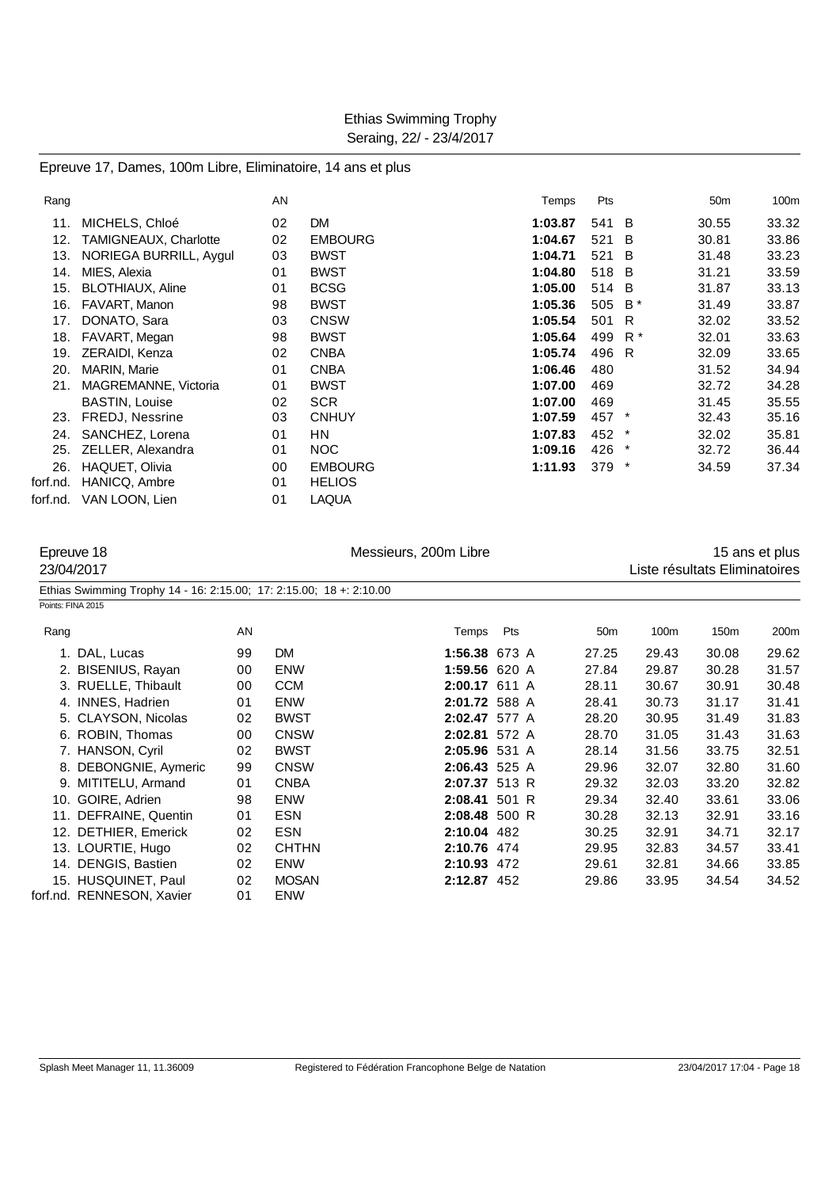#### Epreuve 17, Dames, 100m Libre, Eliminatoire, 14 ans et plus

| Rang     |                         | AN |                | Temps   | Pts     |                | 50 <sub>m</sub> | 100m  |
|----------|-------------------------|----|----------------|---------|---------|----------------|-----------------|-------|
| 11.      | MICHELS, Chloé          | 02 | <b>DM</b>      | 1:03.87 | 541     | B              | 30.55           | 33.32 |
| 12.      | TAMIGNEAUX, Charlotte   | 02 | <b>EMBOURG</b> | 1:04.67 | 521     | <b>B</b>       | 30.81           | 33.86 |
| 13.      | NORIEGA BURRILL, Aygul  | 03 | <b>BWST</b>    | 1:04.71 | 521     | -B             | 31.48           | 33.23 |
| 14.      | MIES, Alexia            | 01 | <b>BWST</b>    | 1:04.80 | 518     | $\overline{B}$ | 31.21           | 33.59 |
| 15.      | <b>BLOTHIAUX, Aline</b> | 01 | <b>BCSG</b>    | 1:05.00 | 514     | B              | 31.87           | 33.13 |
| 16.      | FAVART, Manon           | 98 | <b>BWST</b>    | 1:05.36 | 505     | $B^*$          | 31.49           | 33.87 |
| 17.      | DONATO, Sara            | 03 | <b>CNSW</b>    | 1:05.54 | 501     | - R            | 32.02           | 33.52 |
| 18.      | FAVART, Megan           | 98 | <b>BWST</b>    | 1:05.64 | 499     | R *            | 32.01           | 33.63 |
| 19.      | ZERAIDI, Kenza          | 02 | <b>CNBA</b>    | 1:05.74 | 496 R   |                | 32.09           | 33.65 |
| 20.      | MARIN, Marie            | 01 | <b>CNBA</b>    | 1:06.46 | 480     |                | 31.52           | 34.94 |
| 21.      | MAGREMANNE, Victoria    | 01 | <b>BWST</b>    | 1:07.00 | 469     |                | 32.72           | 34.28 |
|          | <b>BASTIN, Louise</b>   | 02 | <b>SCR</b>     | 1:07.00 | 469     |                | 31.45           | 35.55 |
| 23.      | <b>FREDJ, Nessrine</b>  | 03 | <b>CNHUY</b>   | 1:07.59 | 457     | $\star$        | 32.43           | 35.16 |
| 24.      | SANCHEZ, Lorena         | 01 | <b>HN</b>      | 1:07.83 | 452 *   |                | 32.02           | 35.81 |
| 25.      | ZELLER, Alexandra       | 01 | NOC            | 1:09.16 | 426     |                | 32.72           | 36.44 |
| 26.      | HAQUET, Olivia          | 00 | <b>EMBOURG</b> | 1:11.93 | $379$ * |                | 34.59           | 37.34 |
| forf.nd. | HANICQ, Ambre           | 01 | <b>HELIOS</b>  |         |         |                |                 |       |
| forf.nd. | VAN LOON, Lien          | 01 | <b>LAQUA</b>   |         |         |                |                 |       |

Epreuve 18 **Exercise 200m** Libre 18 and the United States 15 and the 15 ans et plus 23/04/2017 Liste résultats Eliminatoires Ethias Swimming Trophy 14 - 16: 2:15.00; 17: 2:15.00; 18 +: 2:10.00 Points: FINA 2015 Rang AN Temps Pts 50m 100m 150m 200m 1. DAL, Lucas 99 DM **1:56.38** 673 A 27.25 29.43 30.08 29.62

| I. DAL, Lucas             |    |              |      |                                                                                                                                                                                                                                                          |         | ov.oo  | ZJ.UZ |
|---------------------------|----|--------------|------|----------------------------------------------------------------------------------------------------------------------------------------------------------------------------------------------------------------------------------------------------------|---------|--------|-------|
| 2. BISENIUS, Rayan        | 00 | <b>ENW</b>   |      | 27.84                                                                                                                                                                                                                                                    | 29.87   | 30.28  | 31.57 |
| 3. RUELLE, Thibault       | 00 | <b>CCM</b>   |      | 28.11                                                                                                                                                                                                                                                    | 30.67   | 30.91  | 30.48 |
| 4. INNES, Hadrien         | 01 | <b>ENW</b>   |      | 28.41                                                                                                                                                                                                                                                    | 30.73   | 31.17  | 31.41 |
| 5. CLAYSON, Nicolas       | 02 | <b>BWST</b>  |      | 28.20                                                                                                                                                                                                                                                    | 30.95   | 31.49  | 31.83 |
| 6. ROBIN, Thomas          | 00 | <b>CNSW</b>  |      | 28.70                                                                                                                                                                                                                                                    | 31.05   | 31.43  | 31.63 |
| 7. HANSON, Cyril          | 02 | <b>BWST</b>  |      | 28.14                                                                                                                                                                                                                                                    | 31.56   | 33.75  | 32.51 |
| 8. DEBONGNIE, Aymeric     | 99 | <b>CNSW</b>  |      | 29.96                                                                                                                                                                                                                                                    | 32.07   | 32.80  | 31.60 |
| 9. MITITELU, Armand       | 01 | <b>CNBA</b>  |      | 29.32                                                                                                                                                                                                                                                    | 32.03   | 33.20  | 32.82 |
| 10. GOIRE, Adrien         | 98 | <b>ENW</b>   |      | 29.34                                                                                                                                                                                                                                                    | 32.40   | 33.61  | 33.06 |
| 11. DEFRAINE, Quentin     | 01 | <b>ESN</b>   |      | 30.28                                                                                                                                                                                                                                                    | 32.13   | 32.91  | 33.16 |
| 12. DETHIER, Emerick      | 02 | <b>ESN</b>   |      | 30.25                                                                                                                                                                                                                                                    | 32.91   | 34.71  | 32.17 |
| 13. LOURTIE, Hugo         | 02 | <b>CHTHN</b> |      | 29.95                                                                                                                                                                                                                                                    | 32.83   | 34.57  | 33.41 |
| 14. DENGIS, Bastien       | 02 | <b>ENW</b>   |      | 29.61                                                                                                                                                                                                                                                    | 32.81   | 34.66  | 33.85 |
| 15. HUSQUINET, Paul       | 02 | <b>MOSAN</b> |      | 29.86                                                                                                                                                                                                                                                    | 33.95   | 34.54  | 34.52 |
| forf.nd. RENNESON. Xavier | 01 | <b>ENW</b>   |      |                                                                                                                                                                                                                                                          |         |        |       |
|                           |    | ັບ           | ועוש | ה טוט טישייו<br>1:59.56 620 A<br>2:00.17 611 A<br>2:01.72 588 A<br>2:02.47 577 A<br>2:02.81 572 A<br>2:05.96 531 A<br>$2:06.43$ 525 A<br>2:07.37 513 R<br>$2:08.41$ 501 R<br>$2:08.48$ 500 R<br>2:10.04 482<br>2:10.76 474<br>2:10.93 472<br>2:12.87 452 | ں ے، اے | ں ــرے |       |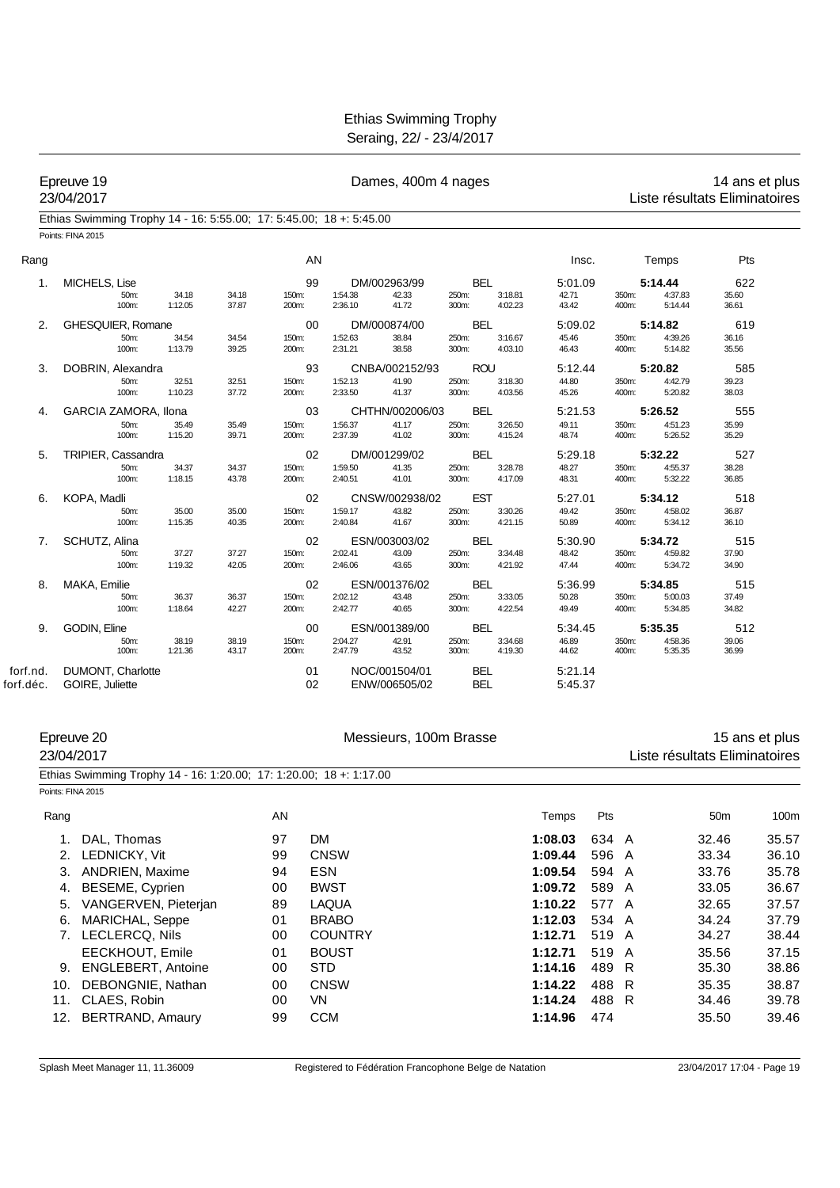|           | Epreuve 19<br>23/04/2017                                            |                  |                |                      |                    | Dames, 400m 4 nages            |                              |                    |                           |                |                               | Liste résultats Eliminatoires | 14 ans et plus |
|-----------|---------------------------------------------------------------------|------------------|----------------|----------------------|--------------------|--------------------------------|------------------------------|--------------------|---------------------------|----------------|-------------------------------|-------------------------------|----------------|
|           | Ethias Swimming Trophy 14 - 16: 5:55.00; 17: 5:45.00; 18 +: 5:45.00 |                  |                |                      |                    |                                |                              |                    |                           |                |                               |                               |                |
|           | Points: FINA 2015                                                   |                  |                |                      |                    |                                |                              |                    |                           |                |                               |                               |                |
| Rang      |                                                                     |                  |                | AN                   |                    |                                |                              |                    | Insc.                     |                | Temps                         | Pts                           |                |
| 1.        | MICHELS, Lise<br>50m:<br>100m:                                      | 34.18<br>1:12.05 | 34.18<br>37.87 | 99<br>150m:<br>200m: | 1:54.38<br>2:36.10 | DM/002963/99<br>42.33<br>41.72 | <b>BEL</b><br>250m:<br>300m: | 3:18.81<br>4:02.23 | 5:01.09<br>42.71<br>43.42 | 350m:<br>400m: | 5:14.44<br>4:37.83<br>5:14.44 | 622<br>35.60<br>36.61         |                |
| 2.        | GHESQUIER, Romane                                                   |                  |                | 00                   |                    | DM/000874/00                   | <b>BEL</b>                   |                    | 5:09.02                   |                | 5:14.82                       | 619                           |                |
|           | 50m:<br>100m:                                                       | 34.54<br>1:13.79 | 34.54<br>39.25 | 150m:<br>200m:       | 1:52.63<br>2:31.21 | 38.84<br>38.58                 | 250m:<br>300m:               | 3:16.67<br>4:03.10 | 45.46<br>46.43            | 350m:<br>400m: | 4:39.26<br>5:14.82            | 36.16<br>35.56                |                |
| 3.        | DOBRIN, Alexandra                                                   |                  |                | 93                   |                    | CNBA/002152/93                 | <b>ROU</b>                   |                    | 5:12.44                   |                | 5:20.82                       | 585                           |                |
|           | 50m:<br>100m:                                                       | 32.51<br>1:10.23 | 32.51<br>37.72 | 150m:<br>200m:       | 1:52.13<br>2:33.50 | 41.90<br>41.37                 | 250m:<br>300m:               | 3:18.30<br>4:03.56 | 44.80<br>45.26            | 350m:<br>400m: | 4:42.79<br>5:20.82            | 39.23<br>38.03                |                |
| 4.        | GARCIA ZAMORA, Ilona                                                |                  |                | 03                   |                    | CHTHN/002006/03                | <b>BEL</b>                   |                    | 5:21.53                   |                | 5:26.52                       | 555                           |                |
|           | 50m:<br>100m:                                                       | 35.49<br>1:15.20 | 35.49<br>39.71 | 150m:<br>200m:       | 1:56.37<br>2:37.39 | 41.17<br>41.02                 | 250m:<br>300m:               | 3:26.50<br>4:15.24 | 49.11<br>48.74            | 350m:<br>400m: | 4:51.23<br>5:26.52            | 35.99<br>35.29                |                |
| 5.        | TRIPIER, Cassandra                                                  |                  |                | 02                   |                    | DM/001299/02                   | <b>BEL</b>                   |                    | 5:29.18                   |                | 5:32.22                       | 527                           |                |
|           | 50m:<br>100m:                                                       | 34.37<br>1:18.15 | 34.37<br>43.78 | 150m:<br>200m:       | 1:59.50<br>2:40.51 | 41.35<br>41.01                 | 250m:<br>300m:               | 3:28.78<br>4:17.09 | 48.27<br>48.31            | 350m:<br>400m: | 4:55.37<br>5:32.22            | 38.28<br>36.85                |                |
| 6.        | KOPA, Madli                                                         |                  |                | 02                   |                    | CNSW/002938/02                 | <b>EST</b>                   |                    | 5:27.01                   |                | 5:34.12                       | 518                           |                |
|           | 50m:<br>100m:                                                       | 35.00<br>1:15.35 | 35.00<br>40.35 | 150m:<br>200m:       | 1:59.17<br>2:40.84 | 43.82<br>41.67                 | 250m:<br>300m:               | 3:30.26<br>4:21.15 | 49.42<br>50.89            | 350m:<br>400m: | 4:58.02<br>5:34.12            | 36.87<br>36.10                |                |
| 7.        | SCHUTZ, Alina                                                       |                  |                | 02                   |                    | ESN/003003/02                  | <b>BEL</b>                   |                    | 5:30.90                   |                | 5:34.72                       | 515                           |                |
|           | 50m:<br>100m:                                                       | 37.27<br>1:19.32 | 37.27<br>42.05 | 150m:<br>200m:       | 2:02.41<br>2:46.06 | 43.09<br>43.65                 | 250m:<br>300m:               | 3:34.48<br>4:21.92 | 48.42<br>47.44            | 350m:<br>400m: | 4:59.82<br>5:34.72            | 37.90<br>34.90                |                |
| 8.        | MAKA, Emilie                                                        |                  |                | 02                   |                    | ESN/001376/02                  | <b>BEL</b>                   |                    | 5:36.99                   |                | 5:34.85                       | 515                           |                |
|           | 50m:<br>100m:                                                       | 36.37<br>1:18.64 | 36.37<br>42.27 | 150m:<br>200m:       | 2:02.12<br>2:42.77 | 43.48<br>40.65                 | 250m:<br>300m:               | 3:33.05<br>4:22.54 | 50.28<br>49.49            | 350m:<br>400m: | 5:00.03<br>5:34.85            | 37.49<br>34.82                |                |
| 9.        | GODIN, Eline                                                        |                  |                | 00                   |                    | ESN/001389/00                  | <b>BEL</b>                   |                    | 5:34.45                   |                | 5:35.35                       | 512                           |                |
|           | 50m:<br>100m:                                                       | 38.19<br>1:21.36 | 38.19<br>43.17 | 150m:<br>200m:       | 2:04.27<br>2:47.79 | 42.91<br>43.52                 | 250m:<br>300m:               | 3:34.68<br>4:19.30 | 46.89<br>44.62            | 350m:<br>400m: | 4:58.36<br>5:35.35            | 39.06<br>36.99                |                |
| forf.nd.  | DUMONT, Charlotte                                                   |                  |                | 01                   |                    | NOC/001504/01                  | <b>BEL</b>                   |                    | 5:21.14                   |                |                               |                               |                |
| forf.déc. | GOIRE, Juliette                                                     |                  |                | 02                   |                    | ENW/006505/02                  | <b>BEL</b>                   |                    | 5:45.37                   |                |                               |                               |                |
|           | Epreuve 20                                                          |                  |                |                      |                    | Messieurs, 100m Brasse         |                              |                    |                           |                |                               |                               | 15 ans et plus |
|           | 23/04/2017                                                          |                  |                |                      |                    |                                |                              |                    |                           |                |                               | Liste résultats Eliminatoires |                |
|           | Ethias Swimming Trophy 14 - 16: 1:20.00; 17: 1:20.00; 18 +: 1:17.00 |                  |                |                      |                    |                                |                              |                    |                           |                |                               |                               |                |
|           | Points: FINA 2015                                                   |                  |                |                      |                    |                                |                              |                    |                           |                |                               |                               |                |
|           | Rang                                                                |                  |                | AN                   |                    |                                |                              |                    | Temps                     | Pts            |                               | 50 <sub>m</sub>               | 100m           |
|           | DAL, Thomas<br>1.                                                   |                  |                | 97<br><b>DM</b>      |                    |                                |                              |                    | 1:08.03                   | 634 A          |                               | 32.46                         | 35.57          |

|                         | ັ  | - - -          |         |       | -- 1 - | <b></b> |
|-------------------------|----|----------------|---------|-------|--------|---------|
| 2. LEDNICKY, Vit        | 99 | <b>CNSW</b>    | 1:09.44 | 596 A | 33.34  | 36.10   |
| 3. ANDRIEN, Maxime      | 94 | <b>ESN</b>     | 1:09.54 | 594 A | 33.76  | 35.78   |
| 4. BESEME, Cyprien      | 00 | <b>BWST</b>    | 1:09.72 | 589 A | 33.05  | 36.67   |
| 5. VANGERVEN, Pieterjan | 89 | <b>LAQUA</b>   | 1:10.22 | 577 A | 32.65  | 37.57   |
| 6. MARICHAL, Seppe      | 01 | <b>BRABO</b>   | 1:12.03 | 534 A | 34.24  | 37.79   |
| 7. LECLERCQ, Nils       | 00 | <b>COUNTRY</b> | 1:12.71 | 519 A | 34.27  | 38.44   |
| EECKHOUT, Emile         | 01 | <b>BOUST</b>   | 1:12.71 | 519 A | 35.56  | 37.15   |
| 9. ENGLEBERT, Antoine   | 00 | <b>STD</b>     | 1:14.16 | 489 R | 35.30  | 38.86   |
| 10. DEBONGNIE, Nathan   | 00 | <b>CNSW</b>    | 1:14.22 | 488 R | 35.35  | 38.87   |
| 11. CLAES, Robin        | 00 | VN             | 1:14.24 | 488 R | 34.46  | 39.78   |
| 12. BERTRAND, Amaury    | 99 | <b>CCM</b>     | 1:14.96 | 474   | 35.50  | 39.46   |
|                         |    |                |         |       |        |         |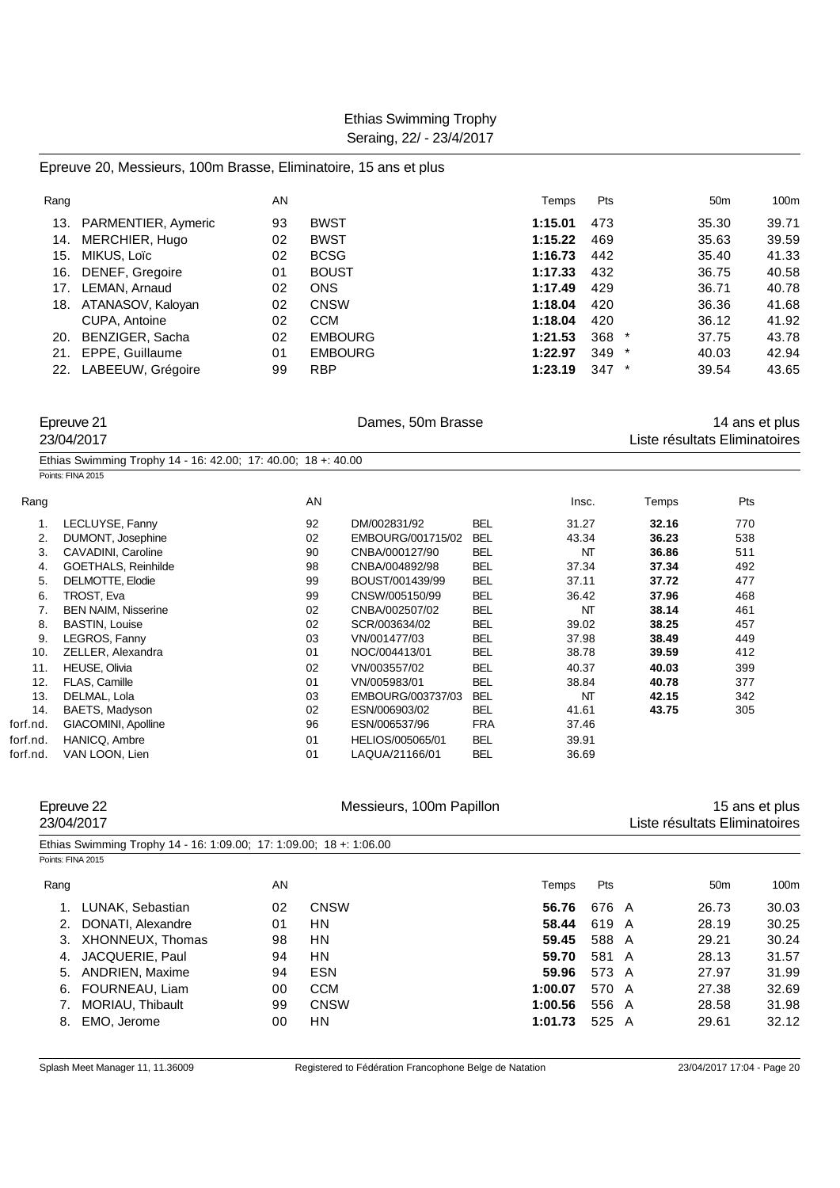#### Epreuve 20, Messieurs, 100m Brasse, Eliminatoire, 15 ans et plus

| Rang |                     | AN |                | Temps   | Pts     | 50 <sub>m</sub> | 100m  |
|------|---------------------|----|----------------|---------|---------|-----------------|-------|
| 13.  | PARMENTIER, Aymeric | 93 | <b>BWST</b>    | 1:15.01 | 473     | 35.30           | 39.71 |
| 14.  | MERCHIER, Hugo      | 02 | <b>BWST</b>    | 1:15.22 | 469     | 35.63           | 39.59 |
| 15.  | MIKUS, Loïc         | 02 | <b>BCSG</b>    | 1:16.73 | 442     | 35.40           | 41.33 |
| 16.  | DENEF, Gregoire     | 01 | <b>BOUST</b>   | 1:17.33 | 432     | 36.75           | 40.58 |
| 17.  | LEMAN, Arnaud       | 02 | <b>ONS</b>     | 1:17.49 | 429     | 36.71           | 40.78 |
| 18.  | ATANASOV, Kaloyan   | 02 | <b>CNSW</b>    | 1:18.04 | 420     | 36.36           | 41.68 |
|      | CUPA, Antoine       | 02 | <b>CCM</b>     | 1:18.04 | 420     | 36.12           | 41.92 |
| 20.  | BENZIGER, Sacha     | 02 | <b>EMBOURG</b> | 1:21.53 | $368$ * | 37.75           | 43.78 |
| 21.  | EPPE, Guillaume     | 01 | <b>EMBOURG</b> | 1:22.97 | $349$ * | 40.03           | 42.94 |
| 22.  | LABEEUW, Grégoire   | 99 | <b>RBP</b>     | 1:23.19 | $347$ * | 39.54           | 43.65 |

|      | Epreuve 21<br>23/04/2017                                      |    |                   | 14 ans et plus<br>Liste résultats Eliminatoires |       |       |     |  |
|------|---------------------------------------------------------------|----|-------------------|-------------------------------------------------|-------|-------|-----|--|
|      | Ethias Swimming Trophy 14 - 16: 42.00; 17: 40.00; 18 +: 40.00 |    |                   |                                                 |       |       |     |  |
|      | Points: FINA 2015                                             |    |                   |                                                 |       |       |     |  |
| Rang |                                                               | AN |                   |                                                 | Insc. | Temps | Pts |  |
|      | LECLUYSE, Fanny                                               | 92 | DM/002831/92      | <b>BEL</b>                                      | 31.27 | 32.16 | 770 |  |
| 2.   | DUMONT, Josephine                                             | 02 | EMBOURG/001715/02 | <b>BEL</b>                                      | 43.34 | 36.23 | 538 |  |
| 3.   | CAVADINI, Caroline                                            | 90 | CNBA/000127/90    | <b>BEL</b>                                      | NT    | 36.86 | 511 |  |
| 4.   | <b>GOETHALS, Reinhilde</b>                                    | 98 | CNBA/004892/98    | <b>BEL</b>                                      | 37.34 | 37.34 | 492 |  |
| 5.   | DELMOTTE, Elodie                                              | 99 | BOUST/001439/99   | <b>BEL</b>                                      | 37.11 | 37.72 | 477 |  |
| 6.   | TROST, Eva                                                    | 99 | CNSW/005150/99    | <b>BEL</b>                                      | 36.42 | 37.96 | 468 |  |
|      | <b>BEN NAIM, Nisserine</b>                                    | 02 | CNBA/002507/02    | <b>BEL</b>                                      | NT    | 38.14 | 461 |  |
| 8.   | <b>BASTIN, Louise</b>                                         | 02 | SCR/003634/02     | <b>BEL</b>                                      | 39.02 | 38.25 | 457 |  |
| 9.   | LEGROS, Fanny                                                 | 03 | VN/001477/03      | <b>BEL</b>                                      | 37.98 | 38.49 | 449 |  |
| 10.  | ZELLER, Alexandra                                             | 01 | NOC/004413/01     | <b>BEL</b>                                      | 38.78 | 39.59 | 412 |  |
| 11.  | <b>HEUSE, Olivia</b>                                          | 02 | VN/003557/02      | <b>BEL</b>                                      | 40.37 | 40.03 | 399 |  |
| 12.  | FLAS, Camille                                                 | 01 | VN/005983/01      | <b>BEL</b>                                      | 38.84 | 40.78 | 377 |  |
| 13.  | DELMAL, Lola                                                  | 03 | EMBOURG/003737/03 | <b>BEL</b>                                      | NT    | 42.15 | 342 |  |
| 14.  | BAETS, Madyson                                                | 02 | ESN/006903/02     | <b>BEL</b>                                      | 41.61 | 43.75 | 305 |  |
|      |                                                               |    |                   |                                                 |       |       |     |  |

forf.nd. GIACOMINI, Apolline 96 ESN/006537/96 FRA 37.46 forf.nd. HANICQ, Ambre 01 HELIOS/005065/01 BEL 39.91

| Epreuve 22<br>23/04/2017                                            |    | Messieurs, 100m Papillon |         |       | Liste résultats Eliminatoires | 15 ans et plus |
|---------------------------------------------------------------------|----|--------------------------|---------|-------|-------------------------------|----------------|
| Ethias Swimming Trophy 14 - 16: 1:09.00; 17: 1:09.00; 18 +: 1:06.00 |    |                          |         |       |                               |                |
| Points: FINA 2015                                                   |    |                          |         |       |                               |                |
| Rang                                                                | AN |                          | Temps   | Pts   | 50 <sub>m</sub>               | 100m           |
| LUNAK, Sebastian                                                    | 02 | <b>CNSW</b>              | 56.76   | 676 A | 26.73                         | 30.03          |
| DONATI, Alexandre<br>2.                                             | 01 | <b>HN</b>                | 58.44   | 619 A | 28.19                         | 30.25          |
| XHONNEUX, Thomas<br>3.                                              | 98 | <b>HN</b>                | 59.45   | 588 A | 29.21                         | 30.24          |
| JACQUERIE, Paul<br>4.                                               | 94 | <b>HN</b>                | 59.70   | 581 A | 28.13                         | 31.57          |
| ANDRIEN, Maxime<br>5.                                               | 94 | <b>ESN</b>               | 59.96   | 573 A | 27.97                         | 31.99          |
| FOURNEAU, Liam<br>6.                                                | 00 | <b>CCM</b>               | 1:00.07 | 570 A | 27.38                         | 32.69          |
| MORIAU, Thibault                                                    | 99 | <b>CNSW</b>              | 1:00.56 | 556 A | 28.58                         | 31.98          |
| EMO, Jerome<br>8.                                                   | 00 | <b>HN</b>                | 1:01.73 | 525 A | 29.61                         | 32.12          |

forf.nd. VAN LOON, Lien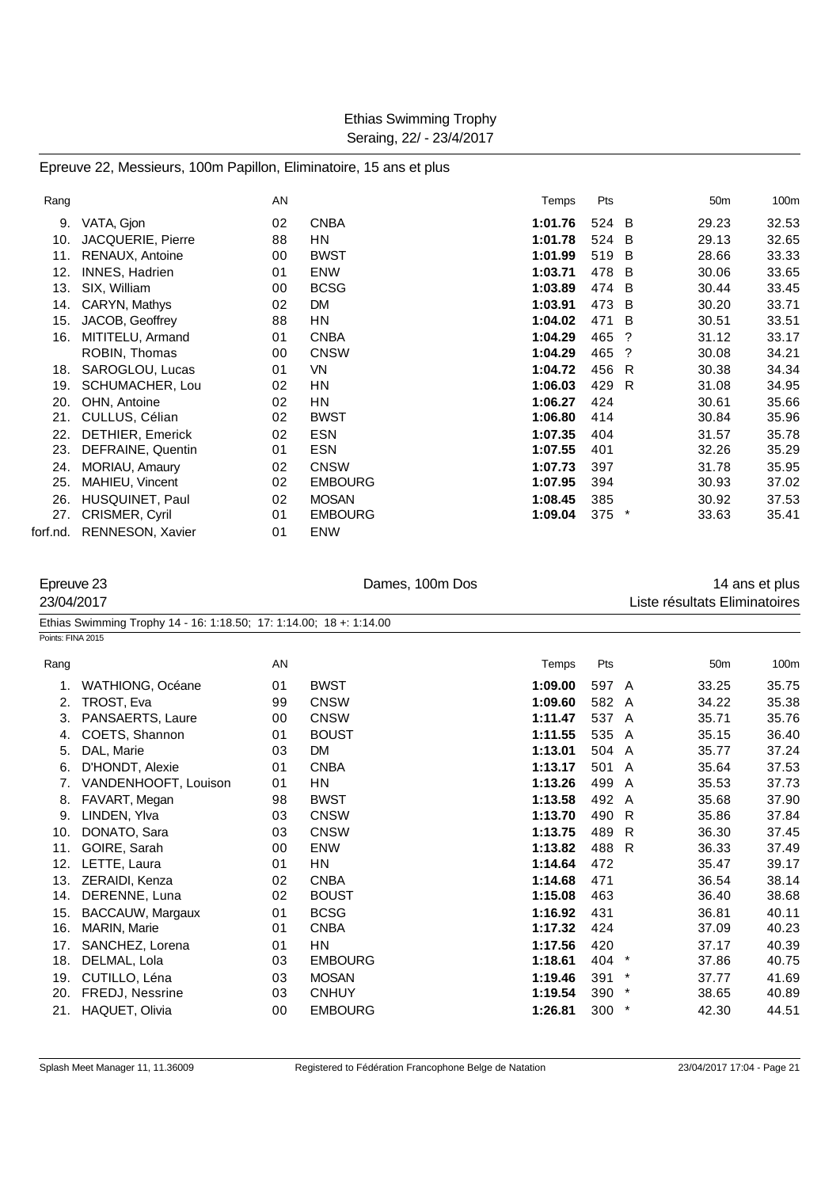| Rang     |                       | AN |                | Temps   | Pts     |   | 50 <sub>m</sub> | 100m  |
|----------|-----------------------|----|----------------|---------|---------|---|-----------------|-------|
| 9.       | VATA, Gjon            | 02 | <b>CNBA</b>    | 1:01.76 | 524 B   |   | 29.23           | 32.53 |
| 10.      | JACQUERIE, Pierre     | 88 | <b>HN</b>      | 1:01.78 | 524     | B | 29.13           | 32.65 |
| 11.      | RENAUX, Antoine       | 00 | <b>BWST</b>    | 1:01.99 | 519     | B | 28.66           | 33.33 |
| 12.      | <b>INNES, Hadrien</b> | 01 | ENW            | 1:03.71 | 478 B   |   | 30.06           | 33.65 |
| 13.      | SIX, William          | 00 | <b>BCSG</b>    | 1:03.89 | 474     | B | 30.44           | 33.45 |
| 14.      | CARYN, Mathys         | 02 | <b>DM</b>      | 1:03.91 | 473 B   |   | 30.20           | 33.71 |
| 15.      | JACOB, Geoffrey       | 88 | ΗN             | 1:04.02 | 471     | B | 30.51           | 33.51 |
| 16.      | MITITELU, Armand      | 01 | <b>CNBA</b>    | 1:04.29 | 465     | ? | 31.12           | 33.17 |
|          | ROBIN, Thomas         | 00 | <b>CNSW</b>    | 1:04.29 | 465     | ? | 30.08           | 34.21 |
| 18.      | SAROGLOU, Lucas       | 01 | VN             | 1:04.72 | 456     | R | 30.38           | 34.34 |
| 19.      | SCHUMACHER, Lou       | 02 | ΗN             | 1:06.03 | 429     | R | 31.08           | 34.95 |
| 20.      | OHN, Antoine          | 02 | <b>HN</b>      | 1:06.27 | 424     |   | 30.61           | 35.66 |
| 21.      | CULLUS, Célian        | 02 | <b>BWST</b>    | 1:06.80 | 414     |   | 30.84           | 35.96 |
| 22.      | DETHIER, Emerick      | 02 | <b>ESN</b>     | 1:07.35 | 404     |   | 31.57           | 35.78 |
| 23.      | DEFRAINE, Quentin     | 01 | <b>ESN</b>     | 1:07.55 | 401     |   | 32.26           | 35.29 |
| 24.      | MORIAU, Amaury        | 02 | <b>CNSW</b>    | 1:07.73 | 397     |   | 31.78           | 35.95 |
| 25.      | MAHIEU, Vincent       | 02 | <b>EMBOURG</b> | 1:07.95 | 394     |   | 30.93           | 37.02 |
| 26.      | HUSQUINET, Paul       | 02 | <b>MOSAN</b>   | 1:08.45 | 385     |   | 30.92           | 37.53 |
| 27.      | CRISMER, Cyril        | 01 | <b>EMBOURG</b> | 1:09.04 | $375$ * |   | 33.63           | 35.41 |
| forf.nd. | RENNESON, Xavier      | 01 | <b>ENW</b>     |         |         |   |                 |       |

| Epreuve 23<br>23/04/2017 |                                                                     |    | Dames, 100m Dos |         |         |         | Liste résultats Eliminatoires | 14 ans et plus |
|--------------------------|---------------------------------------------------------------------|----|-----------------|---------|---------|---------|-------------------------------|----------------|
|                          | Ethias Swimming Trophy 14 - 16: 1:18.50; 17: 1:14.00; 18 +: 1:14.00 |    |                 |         |         |         |                               |                |
| Points: FINA 2015        |                                                                     |    |                 |         |         |         |                               |                |
| Rang                     |                                                                     | AN |                 | Temps   | Pts     |         | 50 <sub>m</sub>               | 100m           |
| 1.                       | <b>WATHIONG, Océane</b>                                             | 01 | <b>BWST</b>     | 1:09.00 | 597 A   |         | 33.25                         | 35.75          |
| 2.                       | TROST, Eva                                                          | 99 | <b>CNSW</b>     | 1:09.60 | 582 A   |         | 34.22                         | 35.38          |
| 3.                       | PANSAERTS, Laure                                                    | 00 | <b>CNSW</b>     | 1:11.47 | 537 A   |         | 35.71                         | 35.76          |
| 4.                       | COETS, Shannon                                                      | 01 | <b>BOUST</b>    | 1:11.55 | 535 A   |         | 35.15                         | 36.40          |
| 5.                       | DAL, Marie                                                          | 03 | <b>DM</b>       | 1:13.01 | 504 A   |         | 35.77                         | 37.24          |
| 6.                       | D'HONDT, Alexie                                                     | 01 | <b>CNBA</b>     | 1:13.17 | 501 A   |         | 35.64                         | 37.53          |
| 7.                       | VANDENHOOFT, Louison                                                | 01 | <b>HN</b>       | 1:13.26 | 499     | A       | 35.53                         | 37.73          |
| 8.                       | FAVART, Megan                                                       | 98 | <b>BWST</b>     | 1:13.58 | 492 A   |         | 35.68                         | 37.90          |
| 9.                       | LINDEN, Ylva                                                        | 03 | <b>CNSW</b>     | 1:13.70 | 490     | R       | 35.86                         | 37.84          |
| 10.                      | DONATO, Sara                                                        | 03 | <b>CNSW</b>     | 1:13.75 | 489     | R.      | 36.30                         | 37.45          |
| 11.                      | GOIRE, Sarah                                                        | 00 | <b>ENW</b>      | 1:13.82 | 488 R   |         | 36.33                         | 37.49          |
| 12.                      | LETTE, Laura                                                        | 01 | <b>HN</b>       | 1:14.64 | 472     |         | 35.47                         | 39.17          |
| 13.                      | <b>ZERAIDI, Kenza</b>                                               | 02 | <b>CNBA</b>     | 1:14.68 | 471     |         | 36.54                         | 38.14          |
| 14.                      | DERENNE, Luna                                                       | 02 | <b>BOUST</b>    | 1:15.08 | 463     |         | 36.40                         | 38.68          |
| 15.                      | BACCAUW, Margaux                                                    | 01 | <b>BCSG</b>     | 1:16.92 | 431     |         | 36.81                         | 40.11          |
| 16.                      | MARIN, Marie                                                        | 01 | <b>CNBA</b>     | 1:17.32 | 424     |         | 37.09                         | 40.23          |
| 17.                      | SANCHEZ, Lorena                                                     | 01 | <b>HN</b>       | 1:17.56 | 420     |         | 37.17                         | 40.39          |
| 18.                      | DELMAL, Lola                                                        | 03 | <b>EMBOURG</b>  | 1:18.61 | 404 *   |         | 37.86                         | 40.75          |
| 19.                      | CUTILLO, Léna                                                       | 03 | <b>MOSAN</b>    | 1:19.46 | 391     | $\star$ | 37.77                         | 41.69          |
| 20.                      | FREDJ, Nessrine                                                     | 03 | <b>CNHUY</b>    | 1:19.54 | $390 *$ |         | 38.65                         | 40.89          |
| 21.                      | HAQUET, Olivia                                                      | 00 | <b>EMBOURG</b>  | 1:26.81 | $300 *$ |         | 42.30                         | 44.51          |
|                          |                                                                     |    |                 |         |         |         |                               |                |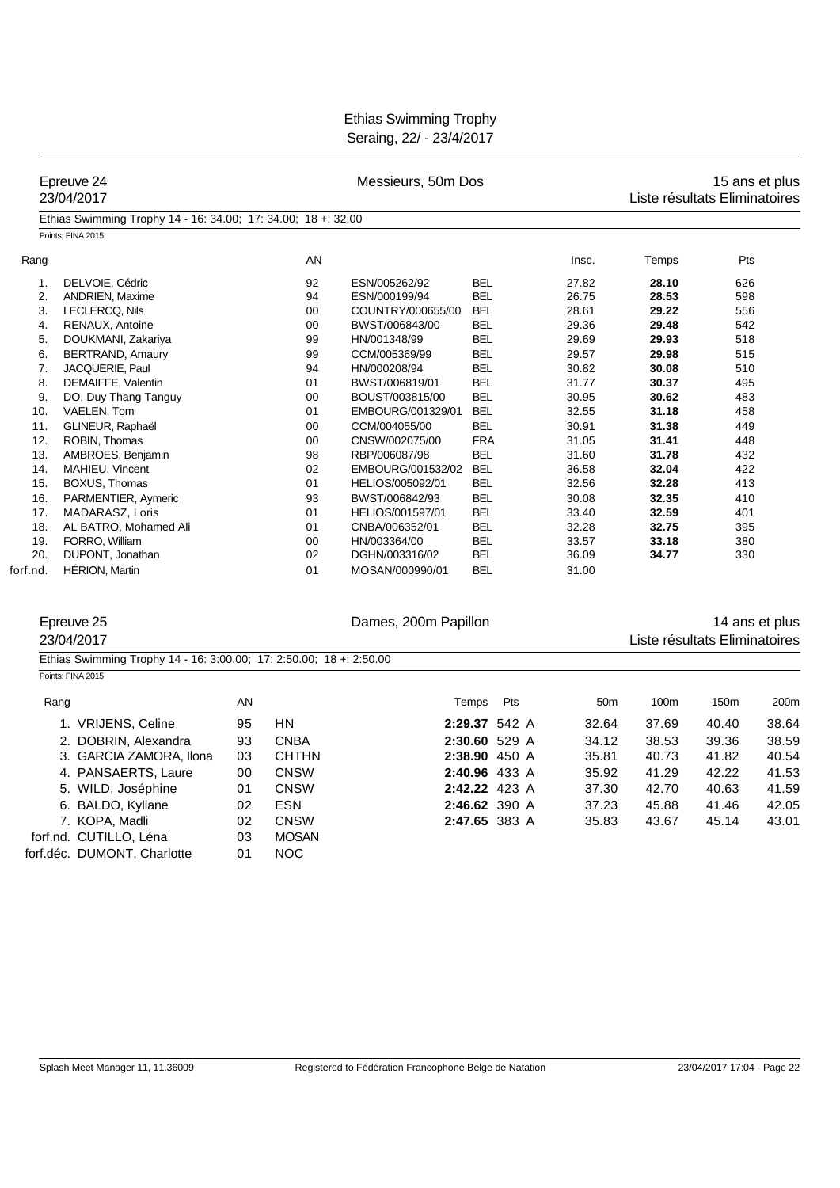|          | Epreuve 24<br>23/04/2017                                            |    |              | Messieurs, 50m Dos   |               | 15 ans et plus<br>Liste résultats Eliminatoires |                               |       |                |
|----------|---------------------------------------------------------------------|----|--------------|----------------------|---------------|-------------------------------------------------|-------------------------------|-------|----------------|
|          | Ethias Swimming Trophy 14 - 16: 34.00; 17: 34.00; 18 +: 32.00       |    |              |                      |               |                                                 |                               |       |                |
|          | Points: FINA 2015                                                   |    |              |                      |               |                                                 |                               |       |                |
| Rang     |                                                                     |    | AN           |                      |               | Insc.                                           | Temps                         | Pts   |                |
| 1.       | DELVOIE, Cédric                                                     |    | 92           | ESN/005262/92        | <b>BEL</b>    | 27.82                                           | 28.10                         | 626   |                |
| 2.       | <b>ANDRIEN, Maxime</b>                                              |    | 94           | ESN/000199/94        | <b>BEL</b>    | 26.75                                           | 28.53                         | 598   |                |
| 3.       | LECLERCQ, Nils                                                      |    | 00           | COUNTRY/000655/00    | <b>BEL</b>    | 28.61                                           | 29.22                         | 556   |                |
| 4.       | RENAUX, Antoine                                                     |    | 00           | BWST/006843/00       | <b>BEL</b>    | 29.36                                           | 29.48                         | 542   |                |
| 5.       | DOUKMANI, Zakariya                                                  |    | 99           | HN/001348/99         | <b>BEL</b>    | 29.69                                           | 29.93                         | 518   |                |
| 6.       | BERTRAND, Amaury                                                    |    | 99           | CCM/005369/99        | <b>BEL</b>    | 29.57                                           | 29.98                         | 515   |                |
| 7.       | JACQUERIE, Paul                                                     |    | 94           | HN/000208/94         | <b>BEL</b>    | 30.82                                           | 30.08                         | 510   |                |
| 8.       | DEMAIFFE, Valentin                                                  |    | 01           | BWST/006819/01       | <b>BEL</b>    | 31.77                                           | 30.37                         | 495   |                |
| 9.       | DO, Duy Thang Tanguy                                                |    | 00           | BOUST/003815/00      | <b>BEL</b>    | 30.95                                           | 30.62                         | 483   |                |
| 10.      | VAELEN, Tom                                                         |    | 01           | EMBOURG/001329/01    | <b>BEL</b>    | 32.55                                           | 31.18                         | 458   |                |
| 11.      | GLINEUR, Raphaël                                                    |    | 00           | CCM/004055/00        | <b>BEL</b>    | 30.91                                           | 31.38                         | 449   |                |
| 12.      | ROBIN, Thomas                                                       |    | 00           | CNSW/002075/00       | <b>FRA</b>    | 31.05                                           | 31.41                         | 448   |                |
| 13.      | AMBROES, Benjamin                                                   |    | 98           | RBP/006087/98        | <b>BEL</b>    | 31.60                                           | 31.78                         | 432   |                |
| 14.      | MAHIEU, Vincent                                                     |    | 02           | EMBOURG/001532/02    | <b>BEL</b>    | 36.58                                           | 32.04                         | 422   |                |
| 15.      | BOXUS, Thomas                                                       |    | 01           | HELIOS/005092/01     | <b>BEL</b>    | 32.56                                           | 32.28                         | 413   |                |
| 16.      | PARMENTIER, Aymeric                                                 |    | 93           | BWST/006842/93       | <b>BEL</b>    | 30.08                                           | 32.35                         | 410   |                |
| 17.      | MADARASZ, Loris                                                     |    | 01           | HELIOS/001597/01     | <b>BEL</b>    | 33.40                                           | 32.59                         | 401   |                |
| 18.      | AL BATRO, Mohamed Ali                                               |    | 01           | CNBA/006352/01       | <b>BEL</b>    | 32.28                                           | 32.75                         | 395   |                |
| 19.      | FORRO, William                                                      |    | 00           | HN/003364/00         | <b>BEL</b>    | 33.57                                           | 33.18                         | 380   |                |
| 20.      | DUPONT, Jonathan                                                    |    | 02           | DGHN/003316/02       | <b>BEL</b>    | 36.09                                           | 34.77                         | 330   |                |
| forf.nd. | <b>HERION, Martin</b>                                               |    | 01           | MOSAN/000990/01      | <b>BEL</b>    | 31.00                                           |                               |       |                |
|          |                                                                     |    |              |                      |               |                                                 |                               |       |                |
|          | Epreuve 25                                                          |    |              | Dames, 200m Papillon |               |                                                 |                               |       | 14 ans et plus |
|          | 23/04/2017                                                          |    |              |                      |               |                                                 | Liste résultats Eliminatoires |       |                |
|          | Ethias Swimming Trophy 14 - 16: 3:00.00; 17: 2:50.00; 18 +: 2:50.00 |    |              |                      |               |                                                 |                               |       |                |
|          | Points: FINA 2015                                                   |    |              |                      |               |                                                 |                               |       |                |
|          | Rang                                                                | AN |              |                      | Pts<br>Temps  | 50 <sub>m</sub>                                 | 100m                          | 150m  | 200m           |
|          | 1. VRIJENS, Celine                                                  | 95 | <b>HN</b>    |                      | 2:29.37 542 A | 32.64                                           | 37.69                         | 40.40 | 38.64          |
|          | 2. DOBRIN, Alexandra                                                | 93 | <b>CNBA</b>  |                      | 2:30.60 529 A | 34.12                                           | 38.53                         | 39.36 | 38.59          |
|          | 3. GARCIA ZAMORA, Ilona                                             | 03 | <b>CHTHN</b> |                      | 2:38.90 450 A | 35.81                                           | 40.73                         | 41.82 | 40.54          |
|          | 4. PANSAERTS, Laure                                                 | 00 | <b>CNSW</b>  |                      | 2:40.96 433 A | 35.92                                           | 41.29                         | 42.22 | 41.53          |
|          | 5. WILD, Joséphine                                                  | 01 | <b>CNSW</b>  |                      | 2:42.22 423 A | 37.30                                           | 42.70                         | 40.63 | 41.59          |
|          |                                                                     |    | <b>ESN</b>   |                      |               |                                                 |                               |       |                |
|          | 6. BALDO, Kyliane                                                   | 02 |              |                      | 2:46.62 390 A | 37.23                                           | 45.88                         | 41.46 | 42.05          |
|          | 7. KOPA, Madli                                                      | 02 | <b>CNSW</b>  |                      | 2:47.65 383 A | 35.83                                           | 43.67                         | 45.14 | 43.01          |
|          | forf.nd. CUTILLO, Léna                                              | 03 | <b>MOSAN</b> |                      |               |                                                 |                               |       |                |
|          | forf.déc. DUMONT, Charlotte                                         | 01 | <b>NOC</b>   |                      |               |                                                 |                               |       |                |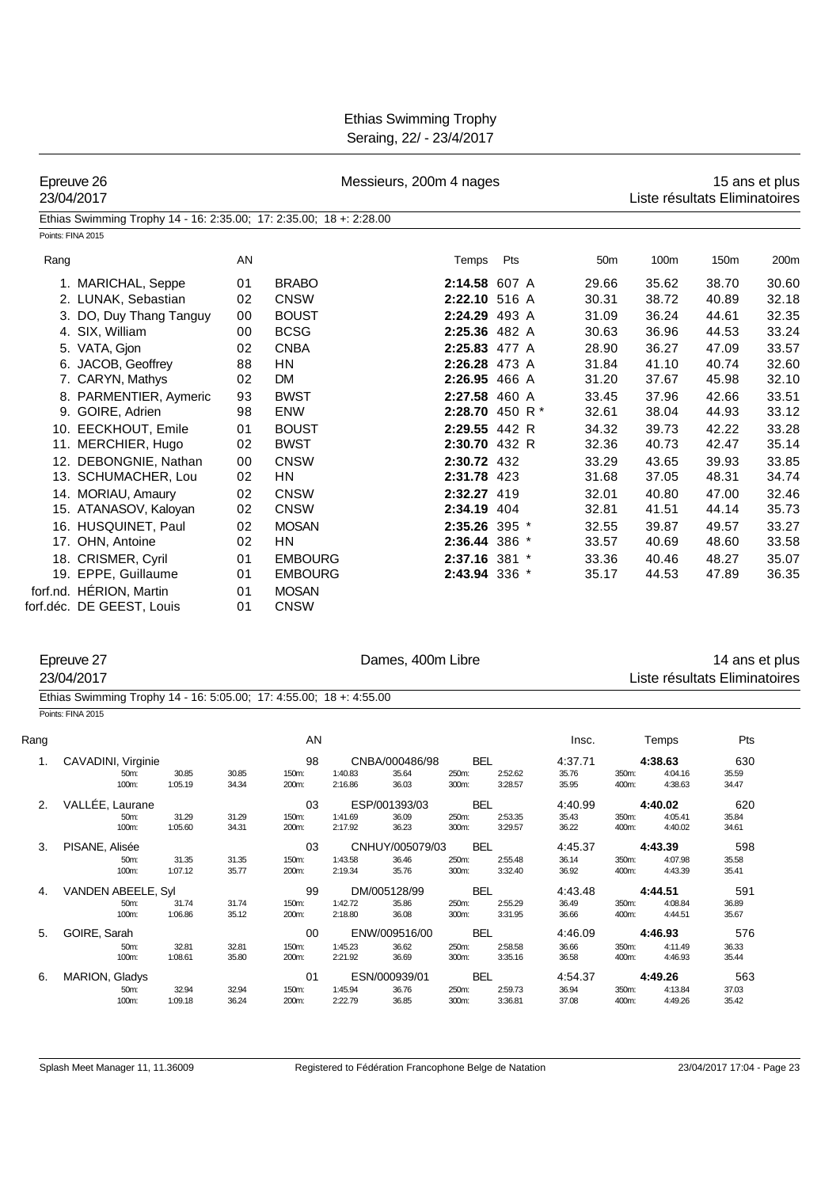| 23/04/2017        | Epreuve 26                                                          |    |                | Messieurs, 200m 4 nages |                 |                 | 15 ans et plus<br>Liste résultats Eliminatoires |       |                |  |
|-------------------|---------------------------------------------------------------------|----|----------------|-------------------------|-----------------|-----------------|-------------------------------------------------|-------|----------------|--|
|                   | Ethias Swimming Trophy 14 - 16: 2:35.00; 17: 2:35.00; 18 +: 2:28.00 |    |                |                         |                 |                 |                                                 |       |                |  |
| Points: FINA 2015 |                                                                     |    |                |                         |                 |                 |                                                 |       |                |  |
| Rang              |                                                                     | AN |                | Temps                   | Pts             | 50 <sub>m</sub> | 100m                                            | 150m  | 200m           |  |
|                   | 1. MARICHAL, Seppe                                                  | 01 | <b>BRABO</b>   | 2:14.58 607 A           |                 | 29.66           | 35.62                                           | 38.70 | 30.60          |  |
|                   | 2. LUNAK, Sebastian                                                 | 02 | <b>CNSW</b>    | 2:22.10 516 A           |                 | 30.31           | 38.72                                           | 40.89 | 32.18          |  |
|                   | 3. DO, Duy Thang Tanguy                                             | 00 | <b>BOUST</b>   | 2:24.29 493 A           |                 | 31.09           | 36.24                                           | 44.61 | 32.35          |  |
|                   | 4. SIX, William                                                     | 00 | <b>BCSG</b>    | 2:25.36 482 A           |                 | 30.63           | 36.96                                           | 44.53 | 33.24          |  |
|                   | 5. VATA, Gjon                                                       | 02 | <b>CNBA</b>    | 2:25.83 477 A           |                 | 28.90           | 36.27                                           | 47.09 | 33.57          |  |
|                   | 6. JACOB, Geoffrey                                                  | 88 | <b>HN</b>      | 2:26.28 473 A           |                 | 31.84           | 41.10                                           | 40.74 | 32.60          |  |
|                   | 7. CARYN, Mathys                                                    | 02 | DM             | 2:26.95 466 A           |                 | 31.20           | 37.67                                           | 45.98 | 32.10          |  |
|                   | 8. PARMENTIER, Aymeric                                              | 93 | <b>BWST</b>    | 2:27.58 460 A           |                 | 33.45           | 37.96                                           | 42.66 | 33.51          |  |
|                   | 9. GOIRE, Adrien                                                    | 98 | <b>ENW</b>     |                         | 2:28.70 450 R * | 32.61           | 38.04                                           | 44.93 | 33.12          |  |
|                   | 10. EECKHOUT, Emile                                                 | 01 | <b>BOUST</b>   | 2:29.55 442 R           |                 | 34.32           | 39.73                                           | 42.22 | 33.28          |  |
|                   | 11. MERCHIER, Hugo                                                  | 02 | <b>BWST</b>    | 2:30.70 432 R           |                 | 32.36           | 40.73                                           | 42.47 | 35.14          |  |
|                   | 12. DEBONGNIE, Nathan                                               | 00 | <b>CNSW</b>    | 2:30.72 432             |                 | 33.29           | 43.65                                           | 39.93 | 33.85          |  |
|                   | 13. SCHUMACHER, Lou                                                 | 02 | <b>HN</b>      | 2:31.78 423             |                 | 31.68           | 37.05                                           | 48.31 | 34.74          |  |
|                   | 14. MORIAU, Amaury                                                  | 02 | <b>CNSW</b>    | 2:32.27 419             |                 | 32.01           | 40.80                                           | 47.00 | 32.46          |  |
|                   | 15. ATANASOV, Kaloyan                                               | 02 | <b>CNSW</b>    | 2:34.19 404             |                 | 32.81           | 41.51                                           | 44.14 | 35.73          |  |
|                   | 16. HUSQUINET, Paul                                                 | 02 | <b>MOSAN</b>   | 2:35.26 395 *           |                 | 32.55           | 39.87                                           | 49.57 | 33.27          |  |
|                   | 17. OHN, Antoine                                                    | 02 | <b>HN</b>      | 2:36.44 386 *           |                 | 33.57           | 40.69                                           | 48.60 | 33.58          |  |
|                   | 18. CRISMER, Cyril                                                  | 01 | <b>EMBOURG</b> | 2:37.16 381 *           |                 | 33.36           | 40.46                                           | 48.27 | 35.07          |  |
|                   | 19. EPPE, Guillaume                                                 | 01 | <b>EMBOURG</b> | 2:43.94 336 *           |                 | 35.17           | 44.53                                           | 47.89 | 36.35          |  |
|                   | forf.nd. HÉRION, Martin                                             | 01 | <b>MOSAN</b>   |                         |                 |                 |                                                 |       |                |  |
|                   | forf.déc. DE GEEST, Louis                                           | 01 | <b>CNSW</b>    |                         |                 |                 |                                                 |       |                |  |
|                   | Epreuve 27                                                          |    |                | Dames, 400m Libre       |                 |                 |                                                 |       | 14 ans et plus |  |
|                   | 23/04/2017                                                          |    |                |                         |                 |                 | Liste résultats Eliminatoires                   |       |                |  |
|                   | Ethias Swimming Trophy 14 - 16: 5:05.00; 17: 4:55.00; 18 +: 4:55.00 |    |                |                         |                 |                 |                                                 |       |                |  |

Points: FINA 2015

| Rang |                                     |                  |                | AN                   |                    |                                   |                              |                    | Insc.                     |                | Temps                         | Pts                   |
|------|-------------------------------------|------------------|----------------|----------------------|--------------------|-----------------------------------|------------------------------|--------------------|---------------------------|----------------|-------------------------------|-----------------------|
| 1.   | CAVADINI, Virginie<br>50m<br>100m:  | 30.85<br>1:05.19 | 30.85<br>34.34 | 98<br>150m:<br>200m: | 1:40.83<br>2:16.86 | CNBA/000486/98<br>35.64<br>36.03  | <b>BEL</b><br>250m:<br>300m: | 2:52.62<br>3:28.57 | 4:37.71<br>35.76<br>35.95 | 350m:<br>400m: | 4:38.63<br>4:04.16<br>4:38.63 | 630<br>35.59<br>34.47 |
| 2.   | VALLÉE, Laurane<br>50m:<br>100m:    | 31.29<br>1:05.60 | 31.29<br>34.31 | 03<br>150m:<br>200m: | 1:41.69<br>2:17.92 | ESP/001393/03<br>36.09<br>36.23   | <b>BEL</b><br>250m:<br>300m: | 2:53.35<br>3:29.57 | 4:40.99<br>35.43<br>36.22 | 350m:<br>400m: | 4:40.02<br>4:05.41<br>4:40.02 | 620<br>35.84<br>34.61 |
| 3.   | PISANE, Alisée<br>50m:<br>100m:     | 31.35<br>1:07.12 | 31.35<br>35.77 | 03<br>150m:<br>200m: | 1:43.58<br>2:19.34 | CNHUY/005079/03<br>36.46<br>35.76 | <b>BEL</b><br>250m:<br>300m: | 2:55.48<br>3:32.40 | 4:45.37<br>36.14<br>36.92 | 350m:<br>400m: | 4:43.39<br>4:07.98<br>4:43.39 | 598<br>35.58<br>35.41 |
| 4.   | VANDEN ABEELE, Syl<br>50m:<br>100m: | 31.74<br>1:06.86 | 31.74<br>35.12 | 99<br>150m:<br>200m: | 1:42.72<br>2:18.80 | DM/005128/99<br>35.86<br>36.08    | <b>BEL</b><br>250m:<br>300m: | 2:55.29<br>3:31.95 | 4:43.48<br>36.49<br>36.66 | 350m:<br>400m: | 4:44.51<br>4:08.84<br>4:44.51 | 591<br>36.89<br>35.67 |
| 5.   | GOIRE, Sarah<br>50m:<br>100m:       | 32.81<br>1:08.61 | 32.81<br>35.80 | 00<br>150m:<br>200m: | 1:45.23<br>2:21.92 | ENW/009516/00<br>36.62<br>36.69   | <b>BEL</b><br>250m:<br>300m: | 2:58.58<br>3:35.16 | 4:46.09<br>36.66<br>36.58 | 350m:<br>400m: | 4:46.93<br>4:11.49<br>4:46.93 | 576<br>36.33<br>35.44 |
| 6.   | MARION, Gladys<br>50m:<br>100m:     | 32.94<br>1:09.18 | 32.94<br>36.24 | 01<br>150m:<br>200m: | 1:45.94<br>2:22.79 | ESN/000939/01<br>36.76<br>36.85   | <b>BEL</b><br>250m:<br>300m: | 2:59.73<br>3:36.81 | 4:54.37<br>36.94<br>37.08 | 350m:<br>400m: | 4:49.26<br>4:13.84<br>4:49.26 | 563<br>37.03<br>35.42 |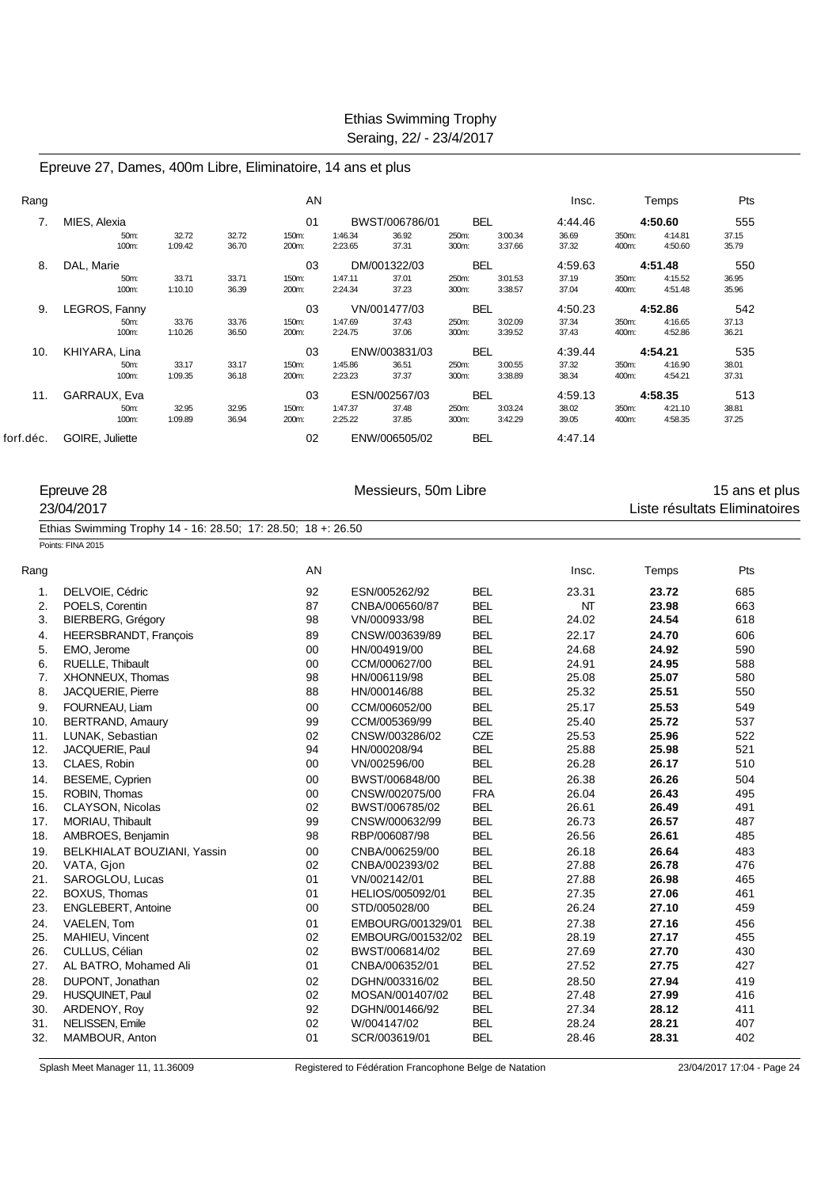Epreuve 27, Dames, 400m Libre, Eliminatoire, 14 ans et plus

| Rang      |                 |                  |                | AN             |                    |                |                |                    | Insc.          |                | Temps              | Pts            |  |
|-----------|-----------------|------------------|----------------|----------------|--------------------|----------------|----------------|--------------------|----------------|----------------|--------------------|----------------|--|
| 7.        | MIES, Alexia    |                  |                | 01             |                    | BWST/006786/01 | <b>BEL</b>     |                    | 4:44.46        |                | 4:50.60            | 555            |  |
|           | 50m:<br>100m:   | 32.72<br>1:09.42 | 32.72<br>36.70 | 150m:<br>200m: | 1:46.34<br>2:23.65 | 36.92<br>37.31 | 250m:<br>300m: | 3:00.34<br>3:37.66 | 36.69<br>37.32 | 350m:<br>400m: | 4:14.81<br>4:50.60 | 37.15<br>35.79 |  |
| 8.        | DAL, Marie      |                  |                | 03             |                    | DM/001322/03   | <b>BEL</b>     |                    | 4:59.63        |                | 4:51.48            | 550            |  |
|           | 50m:            | 33.71            | 33.71          | 150m:          | 1:47.11            | 37.01          | 250m:          | 3:01.53            | 37.19          | 350m:          | 4:15.52            | 36.95          |  |
|           | 100m:           | 1:10.10          | 36.39          | 200m:          | 2:24.34            | 37.23          | 300m:          | 3:38.57            | 37.04          | 400m:          | 4:51.48            | 35.96          |  |
| 9.        | LEGROS, Fanny   |                  |                | 03             |                    | VN/001477/03   | <b>BEL</b>     |                    | 4:50.23        |                | 4:52.86            | 542            |  |
|           | 50m:<br>100m:   | 33.76<br>1:10.26 | 33.76<br>36.50 | 150m:<br>200m: | 1:47.69<br>2:24.75 | 37.43<br>37.06 | 250m:<br>300m: | 3:02.09<br>3:39.52 | 37.34<br>37.43 | 350m:<br>400m: | 4:16.65<br>4:52.86 | 37.13<br>36.21 |  |
| 10.       | KHIYARA, Lina   |                  |                | 03             |                    | ENW/003831/03  | <b>BEL</b>     |                    | 4:39.44        |                | 4:54.21            | 535            |  |
|           | 50m:            | 33.17            | 33.17          | 150m:          | 1:45.86            | 36.51          | 250m:          | 3:00.55            | 37.32          | 350m:          | 4:16.90            | 38.01          |  |
|           | 100m:           | 1:09.35          | 36.18          | 200m:          | 2:23.23            | 37.37          | 300m:          | 3:38.89            | 38.34          | 400m:          | 4:54.21            | 37.31          |  |
| 11.       | GARRAUX, Eva    |                  |                | 03             |                    | ESN/002567/03  | <b>BEL</b>     |                    | 4:59.13        |                | 4:58.35            | 513            |  |
|           | 50m:            | 32.95            | 32.95          | 150m:          | 1:47.37            | 37.48          | 250m:          | 3:03.24            | 38.02          | 350m:          | 4:21.10            | 38.81          |  |
|           | 100m:           | 1:09.89          | 36.94          | 200m:          | 2:25.22            | 37.85          | 300m:          | 3:42.29            | 39.05          | 400m:          | 4:58.35            | 37.25          |  |
| forf.déc. | GOIRE, Juliette |                  |                | 02             |                    | ENW/006505/02  | <b>BEL</b>     |                    | 4:47.14        |                |                    |                |  |

|      | Epreuve 28<br>23/04/2017                                      | Messieurs, 50m Libre |                   | 15 ans et plus<br>Liste résultats Eliminatoires |       |       |     |
|------|---------------------------------------------------------------|----------------------|-------------------|-------------------------------------------------|-------|-------|-----|
|      | Ethias Swimming Trophy 14 - 16: 28.50; 17: 28.50; 18 +: 26.50 |                      |                   |                                                 |       |       |     |
|      | Points: FINA 2015                                             |                      |                   |                                                 |       |       |     |
| Rang |                                                               | AN                   |                   |                                                 | Insc. | Temps | Pts |
| 1.   | DELVOIE, Cédric                                               | 92                   | ESN/005262/92     | <b>BEL</b>                                      | 23.31 | 23.72 | 685 |
| 2.   | POELS, Corentin                                               | 87                   | CNBA/006560/87    | <b>BEL</b>                                      | NT    | 23.98 | 663 |
| 3.   | <b>BIERBERG, Grégory</b>                                      | 98                   | VN/000933/98      | <b>BEL</b>                                      | 24.02 | 24.54 | 618 |
| 4.   | HEERSBRANDT, Francois                                         | 89                   | CNSW/003639/89    | <b>BEL</b>                                      | 22.17 | 24.70 | 606 |
| 5.   | EMO, Jerome                                                   | 00                   | HN/004919/00      | <b>BEL</b>                                      | 24.68 | 24.92 | 590 |
| 6.   | RUELLE, Thibault                                              | 00                   | CCM/000627/00     | <b>BEL</b>                                      | 24.91 | 24.95 | 588 |
| 7.   | XHONNEUX, Thomas                                              | 98                   | HN/006119/98      | <b>BEL</b>                                      | 25.08 | 25.07 | 580 |
| 8.   | JACQUERIE, Pierre                                             | 88                   | HN/000146/88      | <b>BEL</b>                                      | 25.32 | 25.51 | 550 |
| 9.   | FOURNEAU, Liam                                                | 00                   | CCM/006052/00     | <b>BEL</b>                                      | 25.17 | 25.53 | 549 |
| 10.  | <b>BERTRAND, Amaury</b>                                       | 99                   | CCM/005369/99     | <b>BEL</b>                                      | 25.40 | 25.72 | 537 |
| 11.  | LUNAK, Sebastian                                              | 02                   | CNSW/003286/02    | CZE                                             | 25.53 | 25.96 | 522 |
| 12.  | JACQUERIE, Paul                                               | 94                   | HN/000208/94      | <b>BEL</b>                                      | 25.88 | 25.98 | 521 |
| 13.  | CLAES, Robin                                                  | 00                   | VN/002596/00      | <b>BEL</b>                                      | 26.28 | 26.17 | 510 |
| 14.  | BESEME, Cyprien                                               | 00                   | BWST/006848/00    | <b>BEL</b>                                      | 26.38 | 26.26 | 504 |
| 15.  | ROBIN, Thomas                                                 | 00                   | CNSW/002075/00    | <b>FRA</b>                                      | 26.04 | 26.43 | 495 |
| 16.  | CLAYSON, Nicolas                                              | 02                   | BWST/006785/02    | <b>BEL</b>                                      | 26.61 | 26.49 | 491 |
| 17.  | MORIAU, Thibault                                              | 99                   | CNSW/000632/99    | <b>BEL</b>                                      | 26.73 | 26.57 | 487 |
| 18.  | AMBROES, Benjamin                                             | 98                   | RBP/006087/98     | <b>BEL</b>                                      | 26.56 | 26.61 | 485 |
| 19.  | BELKHIALAT BOUZIANI, Yassin                                   | 00                   | CNBA/006259/00    | <b>BEL</b>                                      | 26.18 | 26.64 | 483 |
| 20.  | VATA, Gjon                                                    | 02                   | CNBA/002393/02    | <b>BEL</b>                                      | 27.88 | 26.78 | 476 |
| 21.  | SAROGLOU, Lucas                                               | 01                   | VN/002142/01      | <b>BEL</b>                                      | 27.88 | 26.98 | 465 |
| 22.  | BOXUS, Thomas                                                 | 01                   | HELIOS/005092/01  | <b>BEL</b>                                      | 27.35 | 27.06 | 461 |
| 23.  | ENGLEBERT, Antoine                                            | 00                   | STD/005028/00     | <b>BEL</b>                                      | 26.24 | 27.10 | 459 |
| 24.  | VAELEN, Tom                                                   | 01                   | EMBOURG/001329/01 | <b>BEL</b>                                      | 27.38 | 27.16 | 456 |
| 25.  | MAHIEU, Vincent                                               | 02                   | EMBOURG/001532/02 | <b>BEL</b>                                      | 28.19 | 27.17 | 455 |
| 26.  | CULLUS, Célian                                                | 02                   | BWST/006814/02    | <b>BEL</b>                                      | 27.69 | 27.70 | 430 |
| 27.  | AL BATRO, Mohamed Ali                                         | 01                   | CNBA/006352/01    | <b>BEL</b>                                      | 27.52 | 27.75 | 427 |

Splash Meet Manager 11, 11.36009 Registered to Fédération Francophone Belge de Natation 23/04/2017 17:04 - Page 24

28. DUPONT, Jonathan 02 DGHN/003316/02 BEL 28.50 **27.94** 419  $MOSAN/001407/02$ 30. ARDENOY, Roy 92 DGHN/001466/92 BEL 27.34 **28.12** 411

32. MAMBOUR, Anton 01 SCR/003619/01 BEL 28.46 **28.31** 402

31. NELISSEN, Emile 28.24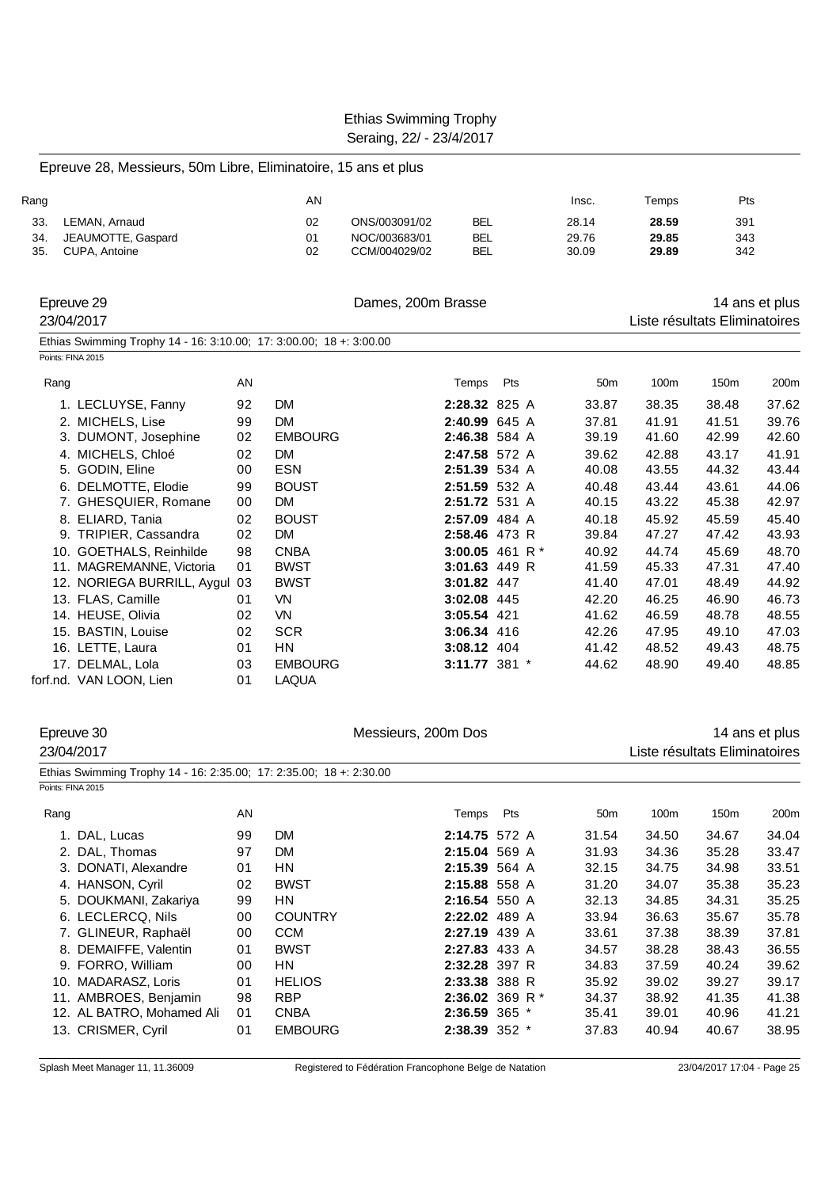Epreuve 28, Messieurs, 50m Libre, Eliminatoire, 15 ans et plus

|      | cave zo, meconomo, com Elbre, Elliminatolic, To ano et pluc         |          |                 |                     |                            |                   |                 |                               |                |                |
|------|---------------------------------------------------------------------|----------|-----------------|---------------------|----------------------------|-------------------|-----------------|-------------------------------|----------------|----------------|
| Rang |                                                                     |          | AN              |                     |                            |                   | Insc.           | Temps                         | Pts            |                |
| 33.  | LEMAN, Arnaud                                                       |          | 02              | ONS/003091/02       | <b>BEL</b>                 |                   | 28.14           | 28.59                         | 391            |                |
| 34.  | JEAUMOTTE, Gaspard                                                  |          | 01              | NOC/003683/01       | <b>BEL</b>                 |                   | 29.76           | 29.85                         | 343            |                |
| 35.  | CUPA, Antoine                                                       |          | 02              | CCM/004029/02       | <b>BEL</b>                 |                   | 30.09           | 29.89                         | 342            |                |
|      | Epreuve 29                                                          |          |                 | Dames, 200m Brasse  |                            |                   |                 |                               |                | 14 ans et plus |
|      | 23/04/2017                                                          |          |                 |                     |                            |                   |                 | Liste résultats Eliminatoires |                |                |
|      | Ethias Swimming Trophy 14 - 16: 3:10.00; 17: 3:00.00; 18 +: 3:00.00 |          |                 |                     |                            |                   |                 |                               |                |                |
|      | Points: FINA 2015                                                   |          |                 |                     |                            |                   |                 |                               |                |                |
|      | Rang                                                                | AN       |                 |                     | Temps                      | Pts               | 50 <sub>m</sub> | 100m                          | 150m           | 200m           |
|      | 1. LECLUYSE, Fanny                                                  | 92       | <b>DM</b>       |                     | 2:28.32 825 A              |                   | 33.87           | 38.35                         | 38.48          | 37.62          |
|      | 2. MICHELS, Lise                                                    | 99       | <b>DM</b>       |                     | 2:40.99 645 A              |                   | 37.81           | 41.91                         | 41.51          | 39.76          |
|      | 3. DUMONT, Josephine                                                | 02       | <b>EMBOURG</b>  |                     | 2:46.38 584 A              |                   | 39.19           | 41.60                         | 42.99          | 42.60          |
|      | 4. MICHELS, Chloé                                                   | 02       | DM.             |                     | 2:47.58 572 A              |                   | 39.62           | 42.88                         | 43.17          | 41.91          |
|      | 5. GODIN, Eline                                                     | 00       | <b>ESN</b>      |                     | 2:51.39 534 A              |                   | 40.08           | 43.55                         | 44.32          | 43.44          |
|      | 6. DELMOTTE, Elodie                                                 | 99       | <b>BOUST</b>    |                     | 2:51.59 532 A              |                   | 40.48           | 43.44                         | 43.61          | 44.06          |
|      | 7. GHESQUIER, Romane                                                | 00       | <b>DM</b>       |                     | 2:51.72 531 A              |                   | 40.15           | 43.22                         | 45.38          | 42.97          |
|      | 8. ELIARD, Tania                                                    | 02       | <b>BOUST</b>    |                     | 2:57.09 484 A              |                   | 40.18           | 45.92                         | 45.59          | 45.40          |
|      | 9. TRIPIER, Cassandra                                               | 02       | <b>DM</b>       |                     | 2:58.46 473 R              |                   | 39.84           | 47.27                         | 47.42          | 43.93          |
|      | 10. GOETHALS, Reinhilde                                             | 98       | <b>CNBA</b>     |                     |                            | 3:00.05 461 R $*$ | 40.92           | 44.74                         | 45.69          | 48.70          |
|      | 11. MAGREMANNE, Victoria                                            | 01       | <b>BWST</b>     |                     | 3:01.63 449 R              |                   | 41.59           | 45.33                         | 47.31          | 47.40          |
|      | 12. NORIEGA BURRILL, Aygul 03                                       |          | <b>BWST</b>     |                     | 3:01.82 447                |                   | 41.40           | 47.01                         | 48.49          | 44.92          |
|      | 13. FLAS, Camille                                                   | 01<br>02 | VN<br><b>VN</b> |                     | 3:02.08 445<br>3:05.54 421 |                   | 42.20<br>41.62  | 46.25<br>46.59                | 46.90<br>48.78 | 46.73<br>48.55 |
|      | 14. HEUSE, Olivia                                                   |          | <b>SCR</b>      |                     |                            |                   |                 | 47.95                         |                |                |
|      | 15. BASTIN, Louise<br>16. LETTE, Laura                              | 02<br>01 | <b>HN</b>       |                     | 3:06.34 416<br>3:08.12 404 |                   | 42.26<br>41.42  | 48.52                         | 49.10<br>49.43 | 47.03<br>48.75 |
|      | 17. DELMAL, Lola                                                    | 03       | <b>EMBOURG</b>  |                     | 3:11.77 381 *              |                   | 44.62           | 48.90                         | 49.40          | 48.85          |
|      | forf.nd. VAN LOON, Lien                                             | 01       | <b>LAQUA</b>    |                     |                            |                   |                 |                               |                |                |
|      | Epreuve 30                                                          |          |                 | Messieurs, 200m Dos |                            |                   |                 |                               |                | 14 ans et plus |
|      | 23/04/2017                                                          |          |                 |                     |                            |                   |                 | Liste résultats Eliminatoires |                |                |
|      | Ethias Swimming Trophy 14 - 16: 2:35.00; 17: 2:35.00; 18 +: 2:30.00 |          |                 |                     |                            |                   |                 |                               |                |                |
|      | Points: FINA 2015                                                   |          |                 |                     |                            |                   |                 |                               |                |                |
|      | Rang                                                                | AN       |                 |                     | Temps                      | Pts               | 50m             | 100m                          | 150m           | 200m           |
|      | 1. DAL, Lucas                                                       | 99       | DM              |                     | 2:14.75 572 A              |                   | 31.54           | 34.50                         | 34.67          | 34.04          |
|      | 2. DAL, Thomas                                                      | 97       | <b>DM</b>       |                     | 2:15.04 569 A              |                   | 31.93           | 34.36                         | 35.28          | 33.47          |
|      | 3. DONATI, Alexandre                                                | 01       | ΗN              |                     | 2:15.39 564 A              |                   | 32.15           | 34.75                         | 34.98          | 33.51          |
|      | 4. HANSON, Cyril                                                    | 02       | <b>BWST</b>     |                     | 2:15.88 558 A              |                   | 31.20           | 34.07                         | 35.38          | 35.23          |
|      | 5. DOUKMANI, Zakariya                                               | 99       | HN              |                     | 2:16.54 550 A              |                   | 32.13           | 34.85                         | 34.31          | 35.25          |
|      | 6. LECLERCQ, Nils                                                   | 00       | <b>COUNTRY</b>  |                     | 2:22.02 489 A              |                   | 33.94           | 36.63                         | 35.67          | 35.78          |
|      | 7. GLINEUR, Raphaël                                                 | 00       | <b>CCM</b>      |                     | 2:27.19 439 A              |                   | 33.61           | 37.38                         | 38.39          | 37.81          |
|      | 8. DEMAIFFE, Valentin                                               | 01       | <b>BWST</b>     |                     | 2:27.83 433 A              |                   | 34.57           | 38.28                         | 38.43          | 36.55          |

| 9. FORRO, William         | 00   | HN.            | 2:32.28 397 R     |                   | 34.83 | 37.59 | 40.24 | 39.62 |
|---------------------------|------|----------------|-------------------|-------------------|-------|-------|-------|-------|
| 10. MADARASZ, Loris       | 01   | <b>HELIOS</b>  | 2:33.38 388 R     |                   | 35.92 | 39.02 | 39.27 | 39.17 |
| 11. AMBROES, Benjamin     | 98   | <b>RBP</b>     |                   | 2:36.02 369 R $*$ | 34.37 | 38.92 | 41.35 | 41.38 |
| 12. AL BATRO, Mohamed Ali | - 01 | CNBA           | $2:36.59$ 365 $*$ |                   | 35.41 | 39.01 | 40.96 | 41.21 |
| 13. CRISMER, Cyril        | 01   | <b>EMBOURG</b> | $2:38.39$ 352 $*$ |                   | 37.83 | 40.94 | 40.67 | 38.95 |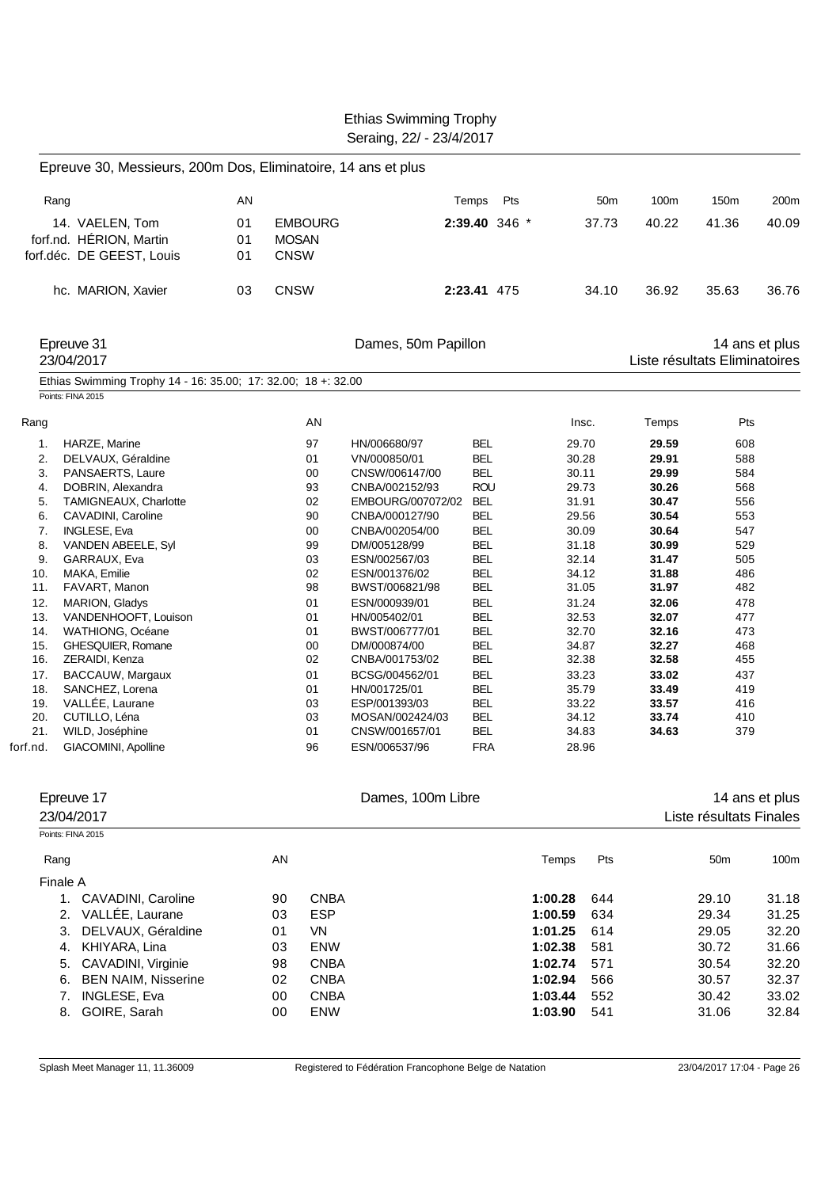|                                                                                                                                                                                                                                                                                                                                                                                                                                                                                                                                                                                                           |                |                                                                                                                                                   | Seraing, 22/ - 23/4/2017                                                                                                                                                                                                                                                                                                                                                                    |                                                                                                                                                                                                                                                                                                    |               |                                                                                                                                                                                                    |                                                      |                                                                                                                                                                                           |                                                                                                                                                 |                                                                      |
|-----------------------------------------------------------------------------------------------------------------------------------------------------------------------------------------------------------------------------------------------------------------------------------------------------------------------------------------------------------------------------------------------------------------------------------------------------------------------------------------------------------------------------------------------------------------------------------------------------------|----------------|---------------------------------------------------------------------------------------------------------------------------------------------------|---------------------------------------------------------------------------------------------------------------------------------------------------------------------------------------------------------------------------------------------------------------------------------------------------------------------------------------------------------------------------------------------|----------------------------------------------------------------------------------------------------------------------------------------------------------------------------------------------------------------------------------------------------------------------------------------------------|---------------|----------------------------------------------------------------------------------------------------------------------------------------------------------------------------------------------------|------------------------------------------------------|-------------------------------------------------------------------------------------------------------------------------------------------------------------------------------------------|-------------------------------------------------------------------------------------------------------------------------------------------------|----------------------------------------------------------------------|
| Epreuve 30, Messieurs, 200m Dos, Eliminatoire, 14 ans et plus                                                                                                                                                                                                                                                                                                                                                                                                                                                                                                                                             |                |                                                                                                                                                   |                                                                                                                                                                                                                                                                                                                                                                                             |                                                                                                                                                                                                                                                                                                    |               |                                                                                                                                                                                                    |                                                      |                                                                                                                                                                                           |                                                                                                                                                 |                                                                      |
| Rang                                                                                                                                                                                                                                                                                                                                                                                                                                                                                                                                                                                                      | AN             |                                                                                                                                                   |                                                                                                                                                                                                                                                                                                                                                                                             | Temps                                                                                                                                                                                                                                                                                              | Pts           |                                                                                                                                                                                                    | 50 <sub>m</sub>                                      | 100m                                                                                                                                                                                      | 150m                                                                                                                                            | 200m                                                                 |
| 14. VAELEN, Tom<br>forf.nd. HÉRION, Martin<br>forf.déc. DE GEEST, Louis                                                                                                                                                                                                                                                                                                                                                                                                                                                                                                                                   | 01<br>01<br>01 | <b>EMBOURG</b><br><b>MOSAN</b><br><b>CNSW</b>                                                                                                     |                                                                                                                                                                                                                                                                                                                                                                                             |                                                                                                                                                                                                                                                                                                    | 2:39.40 346 * |                                                                                                                                                                                                    | 37.73                                                | 40.22                                                                                                                                                                                     | 41.36                                                                                                                                           | 40.09                                                                |
| hc. MARION, Xavier                                                                                                                                                                                                                                                                                                                                                                                                                                                                                                                                                                                        | 03             | <b>CNSW</b>                                                                                                                                       |                                                                                                                                                                                                                                                                                                                                                                                             | 2:23.41 475                                                                                                                                                                                                                                                                                        |               |                                                                                                                                                                                                    | 34.10                                                | 36.92                                                                                                                                                                                     | 35.63                                                                                                                                           | 36.76                                                                |
| Epreuve 31<br>23/04/2017                                                                                                                                                                                                                                                                                                                                                                                                                                                                                                                                                                                  |                |                                                                                                                                                   | Dames, 50m Papillon                                                                                                                                                                                                                                                                                                                                                                         |                                                                                                                                                                                                                                                                                                    |               |                                                                                                                                                                                                    |                                                      |                                                                                                                                                                                           | Liste résultats Eliminatoires                                                                                                                   | 14 ans et plus                                                       |
| Ethias Swimming Trophy 14 - 16: 35.00; 17: 32.00; 18 +: 32.00<br>Points: FINA 2015                                                                                                                                                                                                                                                                                                                                                                                                                                                                                                                        |                |                                                                                                                                                   |                                                                                                                                                                                                                                                                                                                                                                                             |                                                                                                                                                                                                                                                                                                    |               |                                                                                                                                                                                                    |                                                      |                                                                                                                                                                                           |                                                                                                                                                 |                                                                      |
| Rang                                                                                                                                                                                                                                                                                                                                                                                                                                                                                                                                                                                                      |                | AN                                                                                                                                                |                                                                                                                                                                                                                                                                                                                                                                                             |                                                                                                                                                                                                                                                                                                    |               | Insc.                                                                                                                                                                                              |                                                      | Temps                                                                                                                                                                                     | Pts                                                                                                                                             |                                                                      |
| HARZE, Marine<br>1.<br>2.<br>DELVAUX, Géraldine<br>3.<br>PANSAERTS, Laure<br>DOBRIN, Alexandra<br>4.<br>TAMIGNEAUX, Charlotte<br>5.<br>6.<br>CAVADINI, Caroline<br>7.<br><b>INGLESE, Eva</b><br>8.<br>VANDEN ABEELE, Syl<br>9.<br>GARRAUX, Eva<br>MAKA, Emilie<br>10.<br>11.<br>FAVART, Manon<br>12.<br>MARION, Gladys<br>13.<br>VANDENHOOFT, Louison<br>14.<br>WATHIONG, Océane<br>15.<br>GHESQUIER, Romane<br>16.<br>ZERAIDI, Kenza<br>17.<br>BACCAUW, Margaux<br>18.<br>SANCHEZ, Lorena<br>VALLÉE, Laurane<br>19.<br>20.<br>CUTILLO, Léna<br>21.<br>WILD, Joséphine<br>forf.nd.<br>GIACOMINI, Apolline |                | 97<br>01<br>00<br>93<br>02<br>90<br>00<br>99<br>03<br>02<br>98<br>01<br>01<br>01<br>00<br>02<br>01<br>01<br>03<br>03<br>01<br>96                  | HN/006680/97<br>VN/000850/01<br>CNSW/006147/00<br>CNBA/002152/93<br>EMBOURG/007072/02<br>CNBA/000127/90<br>CNBA/002054/00<br>DM/005128/99<br>ESN/002567/03<br>ESN/001376/02<br>BWST/006821/98<br>ESN/000939/01<br>HN/005402/01<br>BWST/006777/01<br>DM/000874/00<br>CNBA/001753/02<br>BCSG/004562/01<br>HN/001725/01<br>ESP/001393/03<br>MOSAN/002424/03<br>CNSW/001657/01<br>ESN/006537/96 | <b>BEL</b><br><b>BEL</b><br><b>BEL</b><br><b>ROU</b><br>BEL<br><b>BEL</b><br><b>BEL</b><br><b>BEL</b><br><b>BEL</b><br><b>BEL</b><br><b>BEL</b><br><b>BEL</b><br><b>BEL</b><br><b>BEL</b><br>BEL<br><b>BEL</b><br><b>BEL</b><br><b>BEL</b><br><b>BEL</b><br><b>BEL</b><br><b>BEL</b><br><b>FRA</b> |               | 29.70<br>30.28<br>30.11<br>29.73<br>31.91<br>29.56<br>30.09<br>31.18<br>32.14<br>34.12<br>31.05<br>31.24<br>32.53<br>32.70<br>34.87<br>32.38<br>33.23<br>35.79<br>33.22<br>34.12<br>34.83<br>28.96 |                                                      | 29.59<br>29.91<br>29.99<br>30.26<br>30.47<br>30.54<br>30.64<br>30.99<br>31.47<br>31.88<br>31.97<br>32.06<br>32.07<br>32.16<br>32.27<br>32.58<br>33.02<br>33.49<br>33.57<br>33.74<br>34.63 | 608<br>588<br>584<br>568<br>556<br>553<br>547<br>529<br>505<br>486<br>482<br>478<br>477<br>473<br>468<br>455<br>437<br>419<br>416<br>410<br>379 |                                                                      |
| Epreuve 17<br>23/04/2017                                                                                                                                                                                                                                                                                                                                                                                                                                                                                                                                                                                  |                |                                                                                                                                                   | Dames, 100m Libre                                                                                                                                                                                                                                                                                                                                                                           |                                                                                                                                                                                                                                                                                                    |               |                                                                                                                                                                                                    |                                                      |                                                                                                                                                                                           | Liste résultats Finales                                                                                                                         | 14 ans et plus                                                       |
| Points: FINA 2015                                                                                                                                                                                                                                                                                                                                                                                                                                                                                                                                                                                         |                |                                                                                                                                                   |                                                                                                                                                                                                                                                                                                                                                                                             |                                                                                                                                                                                                                                                                                                    |               |                                                                                                                                                                                                    |                                                      |                                                                                                                                                                                           |                                                                                                                                                 |                                                                      |
| Rang<br>Finale A                                                                                                                                                                                                                                                                                                                                                                                                                                                                                                                                                                                          |                | AN                                                                                                                                                |                                                                                                                                                                                                                                                                                                                                                                                             |                                                                                                                                                                                                                                                                                                    |               | Temps                                                                                                                                                                                              | Pts                                                  |                                                                                                                                                                                           | 50 <sub>m</sub>                                                                                                                                 | 100m                                                                 |
| 1. CAVADINI, Caroline<br>2. VALLÉE, Laurane<br>DELVAUX, Géraldine<br>3.<br>4. KHIYARA, Lina<br>5. CAVADINI, Virginie<br>6. BEN NAIM, Nisserine<br>INGLESE, Eva<br>7.<br>8. GOIRE, Sarah                                                                                                                                                                                                                                                                                                                                                                                                                   |                | <b>CNBA</b><br>90<br><b>ESP</b><br>03<br>VN<br>01<br>03<br>ENW<br><b>CNBA</b><br>98<br><b>CNBA</b><br>02<br><b>CNBA</b><br>00<br>00<br><b>ENW</b> |                                                                                                                                                                                                                                                                                                                                                                                             |                                                                                                                                                                                                                                                                                                    |               | 1:00.28<br>1:00.59<br>1:01.25<br>1:02.38<br>1:02.74<br>1:02.94<br>1:03.44<br>1:03.90                                                                                                               | 644<br>634<br>614<br>581<br>571<br>566<br>552<br>541 |                                                                                                                                                                                           | 29.10<br>29.34<br>29.05<br>30.72<br>30.54<br>30.57<br>30.42<br>31.06                                                                            | 31.18<br>31.25<br>32.20<br>31.66<br>32.20<br>32.37<br>33.02<br>32.84 |

Ethias Swimming Trophy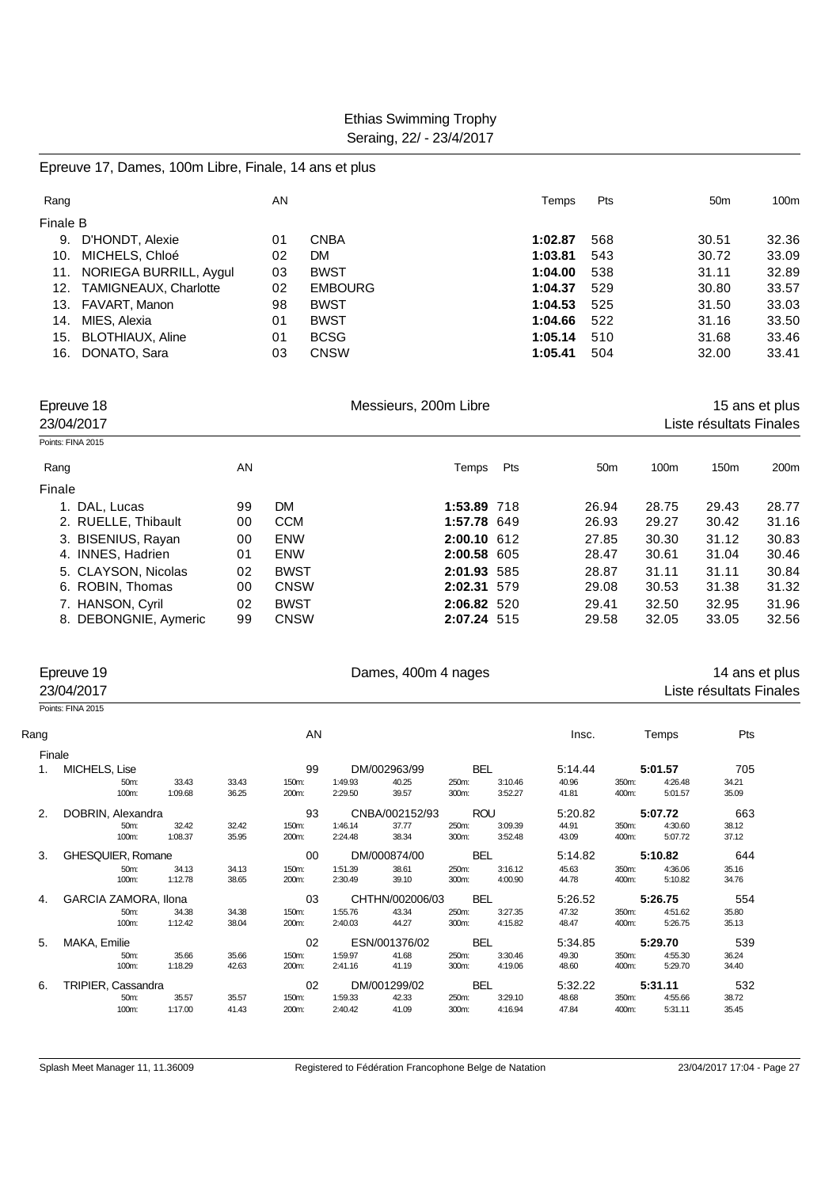#### Epreuve 17, Dames, 100m Libre, Finale, 14 ans et plus

|                         | AN                                                         |                | Temps   | Pts | 50 <sub>m</sub> | 100m  |
|-------------------------|------------------------------------------------------------|----------------|---------|-----|-----------------|-------|
|                         |                                                            |                |         |     |                 |       |
| D'HONDT, Alexie         | 01                                                         | CNBA           | 1:02.87 | 568 | 30.51           | 32.36 |
| MICHELS, Chloé          | 02                                                         | DM             | 1:03.81 | 543 | 30.72           | 33.09 |
| NORIEGA BURRILL, Aygul  | 03                                                         | <b>BWST</b>    | 1:04.00 | 538 | 31.11           | 32.89 |
|                         | 02                                                         | <b>EMBOURG</b> | 1:04.37 | 529 | 30.80           | 33.57 |
|                         | 98                                                         | <b>BWST</b>    | 1:04.53 | 525 | 31.50           | 33.03 |
| MIES, Alexia            | 01                                                         | <b>BWST</b>    | 1:04.66 | 522 | 31.16           | 33.50 |
| <b>BLOTHIAUX, Aline</b> | 01                                                         | <b>BCSG</b>    | 1:05.14 | 510 | 31.68           | 33.46 |
| DONATO, Sara            | 03                                                         | <b>CNSW</b>    | 1:05.41 | 504 | 32.00           | 33.41 |
|                         | Finale B<br>12. TAMIGNEAUX, Charlotte<br>13. FAVART, Manon |                |         |     |                 |       |

| Epreuve 18<br>23/04/2017 |    | Messieurs, 200m Libre | 15 ans et plus<br>Liste résultats Finales |     |                 |                  |                  |                  |
|--------------------------|----|-----------------------|-------------------------------------------|-----|-----------------|------------------|------------------|------------------|
| Points: FINA 2015        |    |                       |                                           |     |                 |                  |                  |                  |
| Rang                     | AN |                       | Temps                                     | Pts | 50 <sub>m</sub> | 100 <sub>m</sub> | 150 <sub>m</sub> | 200 <sub>m</sub> |
| Finale                   |    |                       |                                           |     |                 |                  |                  |                  |
| 1. DAL, Lucas            | 99 | <b>DM</b>             | 1:53.89 718                               |     | 26.94           | 28.75            | 29.43            | 28.77            |
| 2. RUELLE, Thibault      | 00 | <b>CCM</b>            | 1:57.78 649                               |     | 26.93           | 29.27            | 30.42            | 31.16            |
| 3. BISENIUS, Rayan       | 00 | <b>ENW</b>            | 2:00.10 612                               |     | 27.85           | 30.30            | 31.12            | 30.83            |
| 4. INNES, Hadrien        | 01 | <b>ENW</b>            | 2:00.58 605                               |     | 28.47           | 30.61            | 31.04            | 30.46            |
| 5. CLAYSON, Nicolas      | 02 | <b>BWST</b>           | 2:01.93 585                               |     | 28.87           | 31.11            | 31.11            | 30.84            |
| 6. ROBIN, Thomas         | 00 | <b>CNSW</b>           | 2:02.31 579                               |     | 29.08           | 30.53            | 31.38            | 31.32            |
| 7. HANSON, Cyril         | 02 | <b>BWST</b>           | 2:06.82 520                               |     | 29.41           | 32.50            | 32.95            | 31.96            |
| 8. DEBONGNIE, Aymeric    | 99 | <b>CNSW</b>           | 2:07.24 515                               |     | 29.58           | 32.05            | 33.05            | 32.56            |
|                          |    |                       |                                           |     |                 |                  |                  |                  |

#### Epreuve 19 **Example 2018** Dames, 400m 4 nages 14 ans et plus 23/04/2017 Liste résultats Finales

Points: FINA 2015

| Rang          |         | AN                                                                                                            |       |         |         |                                                               |                                            |                                                                                  |       | Pts     |                                                                         |
|---------------|---------|---------------------------------------------------------------------------------------------------------------|-------|---------|---------|---------------------------------------------------------------|--------------------------------------------|----------------------------------------------------------------------------------|-------|---------|-------------------------------------------------------------------------|
| Finale        |         |                                                                                                               |       |         |         |                                                               |                                            |                                                                                  |       |         |                                                                         |
| MICHELS, Lise |         |                                                                                                               | 99    |         |         |                                                               |                                            | 5.14.44                                                                          |       |         | 705                                                                     |
| 50m:          | 33.43   | 33.43                                                                                                         | 150m: | 1:49.93 | 40.25   | 250m:                                                         | 3:10.46                                    | 40.96                                                                            | 350m: | 4:26.48 | 34.21                                                                   |
| 100m:         | 1:09.68 | 36.25                                                                                                         | 200m: | 2:29.50 | 39.57   | 300m:                                                         | 3:52.27                                    | 41.81                                                                            | 400m: | 5:01.57 | 35.09                                                                   |
|               |         |                                                                                                               | 93    |         |         |                                                               |                                            | 5.20.82                                                                          |       |         | 663                                                                     |
| 50m:          | 32.42   | 32.42                                                                                                         | 150m: | 1:46.14 | 37.77   | 250m:                                                         | 3:09.39                                    | 44.91                                                                            | 350m: | 4:30.60 | 38.12                                                                   |
| 100m:         | 1:08.37 | 35.95                                                                                                         | 200m: | 2:24.48 | 38.34   | 300m:                                                         | 3:52.48                                    | 43.09                                                                            | 400m: | 5:07.72 | 37.12                                                                   |
|               |         |                                                                                                               | 00    |         |         |                                                               |                                            | 5.14.82                                                                          |       |         | 644                                                                     |
| 50m:          | 34.13   | 34.13                                                                                                         | 150m: | 1:51.39 | 38.61   | 250m:                                                         | 3:16.12                                    | 45.63                                                                            | 350m: | 4:36.06 | 35.16                                                                   |
| 100m:         | 1:12.78 | 38.65                                                                                                         | 200m: | 2:30.49 | 39.10   | 300m:                                                         | 4:00.90                                    | 44.78                                                                            | 400m: | 5:10.82 | 34.76                                                                   |
|               |         |                                                                                                               | 03    |         |         |                                                               |                                            | 5:26.52                                                                          |       |         | 554                                                                     |
| 50m:          | 34.38   | 34.38                                                                                                         | 150m: | 1:55.76 | 43.34   | 250m:                                                         | 3:27.35                                    | 47.32                                                                            | 350m: | 4:51.62 | 35.80                                                                   |
| 100m:         | 1:12.42 | 38.04                                                                                                         | 200m: | 2:40.03 | 44.27   | 300m:                                                         | 4:15.82                                    | 48.47                                                                            | 400m: | 5:26.75 | 35.13                                                                   |
| MAKA, Emilie  |         |                                                                                                               | 02    |         |         |                                                               |                                            | 5.34.85                                                                          |       |         | 539                                                                     |
| 50m:          | 35.66   | 35.66                                                                                                         | 150m: | 1:59.97 | 41.68   | 250m:                                                         | 3:30.46                                    | 49.30                                                                            | 350m: | 4:55.30 | 36.24                                                                   |
| 100m:         |         | 42.63                                                                                                         | 200m: |         | 41.19   |                                                               | 4:19.06                                    | 48.60                                                                            | 400m: | 5:29.70 | 34.40                                                                   |
|               |         |                                                                                                               | 02    |         |         |                                                               |                                            | 5:32.22                                                                          |       |         | 532                                                                     |
| 50m:          | 35.57   | 35.57                                                                                                         | 150m: | 1:59.33 | 42.33   | 250m:                                                         | 3:29.10                                    | 48.68                                                                            | 350m: | 4:55.66 | 38.72                                                                   |
| 100m:         | 1:17.00 | 41.43                                                                                                         | 200m: | 2:40.42 | 41.09   | 300m:                                                         | 4:16.94                                    | 47.84                                                                            | 400m: | 5:31.11 | 35.45                                                                   |
|               |         | DOBRIN, Alexandra<br>GHESQUIER, Romane<br><b>GARCIA ZAMORA, Ilona</b><br>1:18.29<br><b>TRIPIER, Cassandra</b> |       |         | 2:41.16 | DM/002963/99<br>DM/000874/00<br>ESN/001376/02<br>DM/001299/02 | CNBA/002152/93<br>CHTHN/002006/03<br>300m: | <b>BEL</b><br><b>ROU</b><br><b>BEL</b><br><b>BEL</b><br><b>BEL</b><br><b>BEL</b> | Insc. |         | Temps<br>5:01.57<br>5:07.72<br>5:10.82<br>5:26.75<br>5:29.70<br>5:31.11 |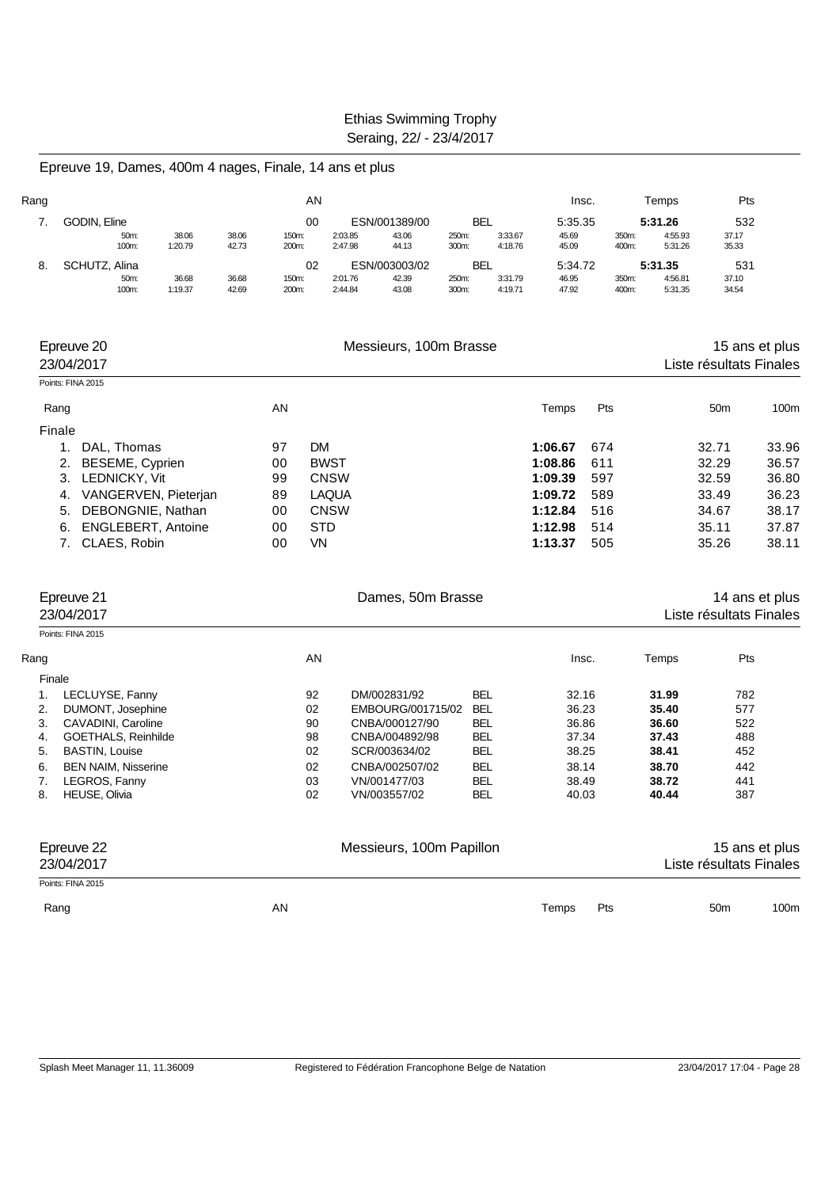Epreuve 19, Dames, 400m 4 nages, Finale, 14 ans et plus

| Rang |                       |                  |                | AN             |                    |                        |                     |                    | Insc.            |                | Temps              | Pts            |
|------|-----------------------|------------------|----------------|----------------|--------------------|------------------------|---------------------|--------------------|------------------|----------------|--------------------|----------------|
|      | GODIN, Eline          |                  |                | 00             |                    | ESN/001389/00          | BEL                 |                    | 5:35.35          |                | 5:31.26            | 532            |
|      | 50m:<br>100m:         | 38.06<br>1:20.79 | 38.06<br>42.73 | 150m:<br>200m: | 2:03.85<br>2:47.98 | 43.06<br>44.13         | 250m:<br>300m:      | 3:33.67<br>4:18.76 | 45.69<br>45.09   | 350m:<br>400m: | 4:55.93<br>5:31.26 | 37.17<br>35.33 |
| 8.   | SCHUTZ, Alina<br>50m: | 36.68            | 36.68          | 02<br>150m:    | 2:01.76            | ESN/003003/02<br>42.39 | <b>BEL</b><br>250m: | 3:31.79            | 5:34.72<br>46.95 | 350m:          | 5:31.35<br>4:56.81 | 531<br>37.10   |

| Epreuve 20<br>23/04/2017 |                           |    | Messieurs, 100m Brasse |         |     | Liste résultats Finales | 15 ans et plus |
|--------------------------|---------------------------|----|------------------------|---------|-----|-------------------------|----------------|
| Points: FINA 2015        |                           |    |                        |         |     |                         |                |
| Rang                     |                           | AN |                        | Temps   | Pts | 50 <sub>m</sub>         | 100m           |
| Finale                   |                           |    |                        |         |     |                         |                |
|                          | DAL. Thomas               | 97 | <b>DM</b>              | 1:06.67 | 674 | 32.71                   | 33.96          |
|                          | BESEME, Cyprien           | 00 | <b>BWST</b>            | 1:08.86 | 611 | 32.29                   | 36.57          |
| 3.                       | LEDNICKY, Vit             | 99 | <b>CNSW</b>            | 1:09.39 | 597 | 32.59                   | 36.80          |
| 4.                       | VANGERVEN, Pieterjan      | 89 | <b>LAQUA</b>           | 1:09.72 | 589 | 33.49                   | 36.23          |
| 5.                       | DEBONGNIE, Nathan         | 00 | <b>CNSW</b>            | 1:12.84 | 516 | 34.67                   | 38.17          |
| 6.                       | <b>ENGLEBERT, Antoine</b> | 00 | <b>STD</b>             | 1:12.98 | 514 | 35.11                   | 37.87          |
|                          | CLAES, Robin              | 00 | VN.                    | 1:13.37 | 505 | 35.26                   | 38.11          |

|      | Epreuve 21<br>23/04/2017   |    | Dames, 50m Brasse        | 14 ans et plus<br>Liste résultats Finales |              |       |                         |      |
|------|----------------------------|----|--------------------------|-------------------------------------------|--------------|-------|-------------------------|------|
|      | Points: FINA 2015          |    |                          |                                           |              |       |                         |      |
| Rang |                            | AN |                          |                                           | Insc.        | Temps | Pts                     |      |
|      | Finale                     |    |                          |                                           |              |       |                         |      |
| 1.   | LECLUYSE, Fanny            | 92 | DM/002831/92             | <b>BEL</b>                                | 32.16        | 31.99 | 782                     |      |
| 2.   | DUMONT, Josephine          | 02 | EMBOURG/001715/02        | <b>BEL</b>                                | 36.23        | 35.40 | 577                     |      |
| 3.   | CAVADINI, Caroline         | 90 | CNBA/000127/90           | <b>BEL</b>                                | 36.86        | 36.60 | 522                     |      |
| 4.   | GOETHALS, Reinhilde        | 98 | CNBA/004892/98           | <b>BEL</b>                                | 37.34        | 37.43 | 488                     |      |
| 5.   | <b>BASTIN, Louise</b>      | 02 | SCR/003634/02            | <b>BEL</b>                                | 38.25        | 38.41 | 452                     |      |
| 6.   | <b>BEN NAIM, Nisserine</b> | 02 | CNBA/002507/02           | <b>BEL</b>                                | 38.14        | 38.70 | 442                     |      |
| 7.   | LEGROS, Fanny              | 03 | VN/001477/03             | <b>BEL</b>                                | 38.49        | 38.72 | 441                     |      |
| 8.   | <b>HEUSE, Olivia</b>       | 02 | VN/003557/02             | <b>BEL</b>                                | 40.03        | 40.44 | 387                     |      |
|      | Epreuve 22                 |    | Messieurs, 100m Papillon |                                           |              |       | 15 ans et plus          |      |
|      | 23/04/2017                 |    |                          |                                           |              |       | Liste résultats Finales |      |
|      | Points: FINA 2015          |    |                          |                                           |              |       |                         |      |
|      | Rang                       | AN |                          |                                           | Pts<br>Temps |       | 50 <sub>m</sub>         | 100m |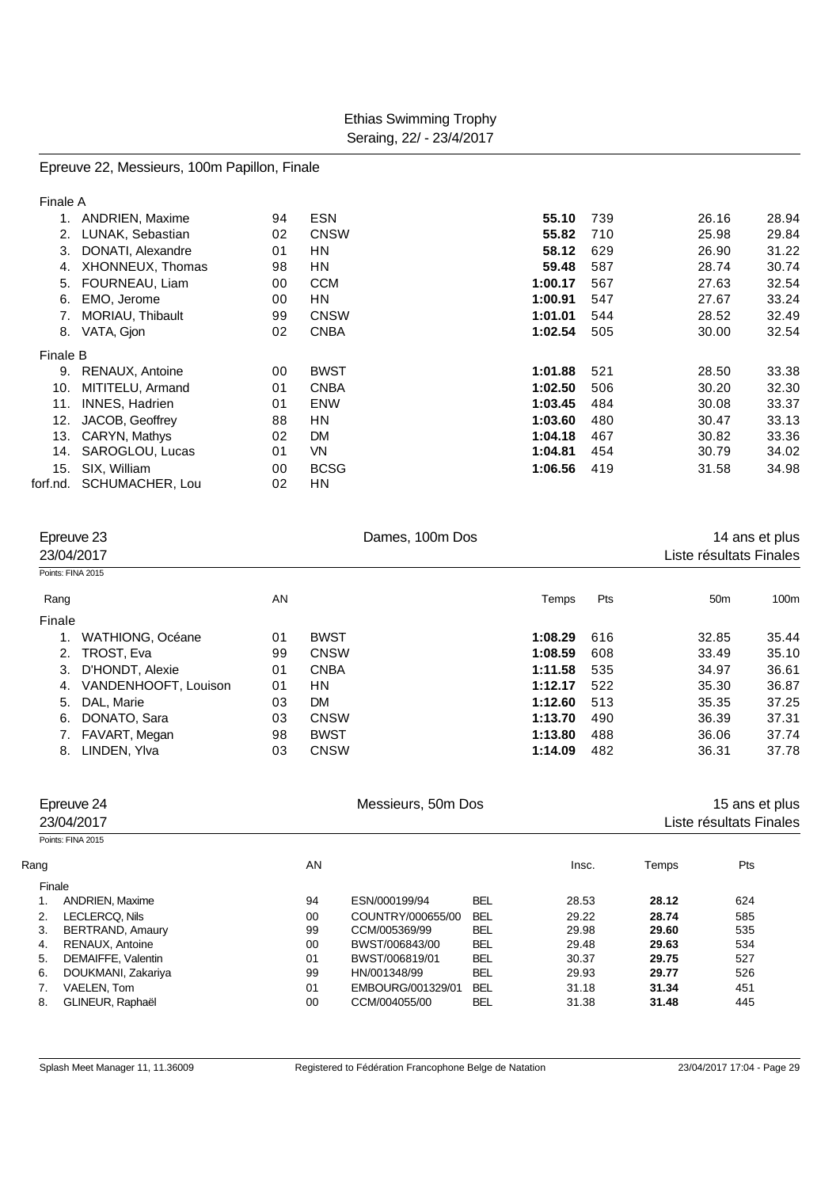Epreuve 22, Messieurs, 100m Papillon, Finale

| Finale A |                        |    |             |         |     |       |       |
|----------|------------------------|----|-------------|---------|-----|-------|-------|
|          | <b>ANDRIEN, Maxime</b> | 94 | <b>ESN</b>  | 55.10   | 739 | 26.16 | 28.94 |
| 2.       | LUNAK, Sebastian       | 02 | <b>CNSW</b> | 55.82   | 710 | 25.98 | 29.84 |
| 3.       | DONATI, Alexandre      | 01 | HN          | 58.12   | 629 | 26.90 | 31.22 |
| 4.       | XHONNEUX, Thomas       | 98 | HN          | 59.48   | 587 | 28.74 | 30.74 |
| 5.       | FOURNEAU, Liam         | 00 | <b>CCM</b>  | 1:00.17 | 567 | 27.63 | 32.54 |
| 6.       | EMO, Jerome            | 00 | ΗN          | 1:00.91 | 547 | 27.67 | 33.24 |
| 7.       | MORIAU, Thibault       | 99 | <b>CNSW</b> | 1:01.01 | 544 | 28.52 | 32.49 |
| 8.       | VATA, Gion             | 02 | <b>CNBA</b> | 1:02.54 | 505 | 30.00 | 32.54 |
| Finale B |                        |    |             |         |     |       |       |
| 9.       | RENAUX, Antoine        | 00 | <b>BWST</b> | 1:01.88 | 521 | 28.50 | 33.38 |
| 10.      | MITITELU, Armand       | 01 | <b>CNBA</b> | 1:02.50 | 506 | 30.20 | 32.30 |
| 11.      | <b>INNES, Hadrien</b>  | 01 | <b>ENW</b>  | 1:03.45 | 484 | 30.08 | 33.37 |
| 12.      | JACOB, Geoffrey        | 88 | <b>HN</b>   | 1:03.60 | 480 | 30.47 | 33.13 |
| 13.      | CARYN, Mathys          | 02 | <b>DM</b>   | 1:04.18 | 467 | 30.82 | 33.36 |
| 14.      | SAROGLOU, Lucas        | 01 | <b>VN</b>   | 1:04.81 | 454 | 30.79 | 34.02 |
| 15.      | SIX, William           | 00 | <b>BCSG</b> | 1:06.56 | 419 | 31.58 | 34.98 |
| forf.nd. | SCHUMACHER, Lou        | 02 | ΗN          |         |     |       |       |
|          |                        |    |             |         |     |       |       |

|        | Epreuve 23<br>23/04/2017<br>Points: FINA 2015 |    |             | Dames, 100m Dos | 14 ans et plus<br>Liste résultats Finales |                 |       |
|--------|-----------------------------------------------|----|-------------|-----------------|-------------------------------------------|-----------------|-------|
|        |                                               |    |             |                 |                                           |                 |       |
| Rang   |                                               | AN |             | Temps           | Pts                                       | 50 <sub>m</sub> | 100m  |
| Finale |                                               |    |             |                 |                                           |                 |       |
|        | WATHIONG, Océane                              | 01 | <b>BWST</b> | 1:08.29         | 616                                       | 32.85           | 35.44 |
| 2.     | TROST, Eva                                    | 99 | <b>CNSW</b> | 1:08.59         | 608                                       | 33.49           | 35.10 |
| 3.     | D'HONDT, Alexie                               | 01 | <b>CNBA</b> | 1:11.58         | 535                                       | 34.97           | 36.61 |
| 4.     | VANDENHOOFT, Louison                          | 01 | HN          | 1:12.17         | 522                                       | 35.30           | 36.87 |
| 5.     | DAL, Marie                                    | 03 | <b>DM</b>   | 1:12.60         | 513                                       | 35.35           | 37.25 |
| 6.     | DONATO, Sara                                  | 03 | <b>CNSW</b> | 1:13.70         | 490                                       | 36.39           | 37.31 |
|        | FAVART, Megan                                 | 98 | <b>BWST</b> | 1:13.80         | 488                                       | 36.06           | 37.74 |
| 8.     | LINDEN, Ylva                                  | 03 | <b>CNSW</b> | 1:14.09         | 482                                       | 36.31           | 37.78 |

|      | Epreuve 24<br>23/04/2017 |    | Messieurs, 50m Dos | 15 ans et plus<br>Liste résultats Finales |       |       |     |  |
|------|--------------------------|----|--------------------|-------------------------------------------|-------|-------|-----|--|
|      | Points: FINA 2015        |    |                    |                                           |       |       |     |  |
| Rang |                          | AN |                    |                                           | Insc. | Temps | Pts |  |
|      | Finale                   |    |                    |                                           |       |       |     |  |
|      | <b>ANDRIEN, Maxime</b>   | 94 | ESN/000199/94      | <b>BEL</b>                                | 28.53 | 28.12 | 624 |  |
| 2.   | LECLERCQ. Nils           | 00 | COUNTRY/000655/00  | <b>BEL</b>                                | 29.22 | 28.74 | 585 |  |
| 3.   | <b>BERTRAND, Amaury</b>  | 99 | CCM/005369/99      | <b>BEL</b>                                | 29.98 | 29.60 | 535 |  |
| 4.   | RENAUX, Antoine          | 00 | BWST/006843/00     | <b>BEL</b>                                | 29.48 | 29.63 | 534 |  |
| 5.   | DEMAIFFE, Valentin       | 01 | BWST/006819/01     | <b>BEL</b>                                | 30.37 | 29.75 | 527 |  |
| 6.   | DOUKMANI, Zakariya       | 99 | HN/001348/99       | <b>BEL</b>                                | 29.93 | 29.77 | 526 |  |
|      | VAELEN, Tom              | 01 | EMBOURG/001329/01  | <b>BEL</b>                                | 31.18 | 31.34 | 451 |  |
| 8.   | GLINEUR, Raphaël         | 00 | CCM/004055/00      | <b>BEL</b>                                | 31.38 | 31.48 | 445 |  |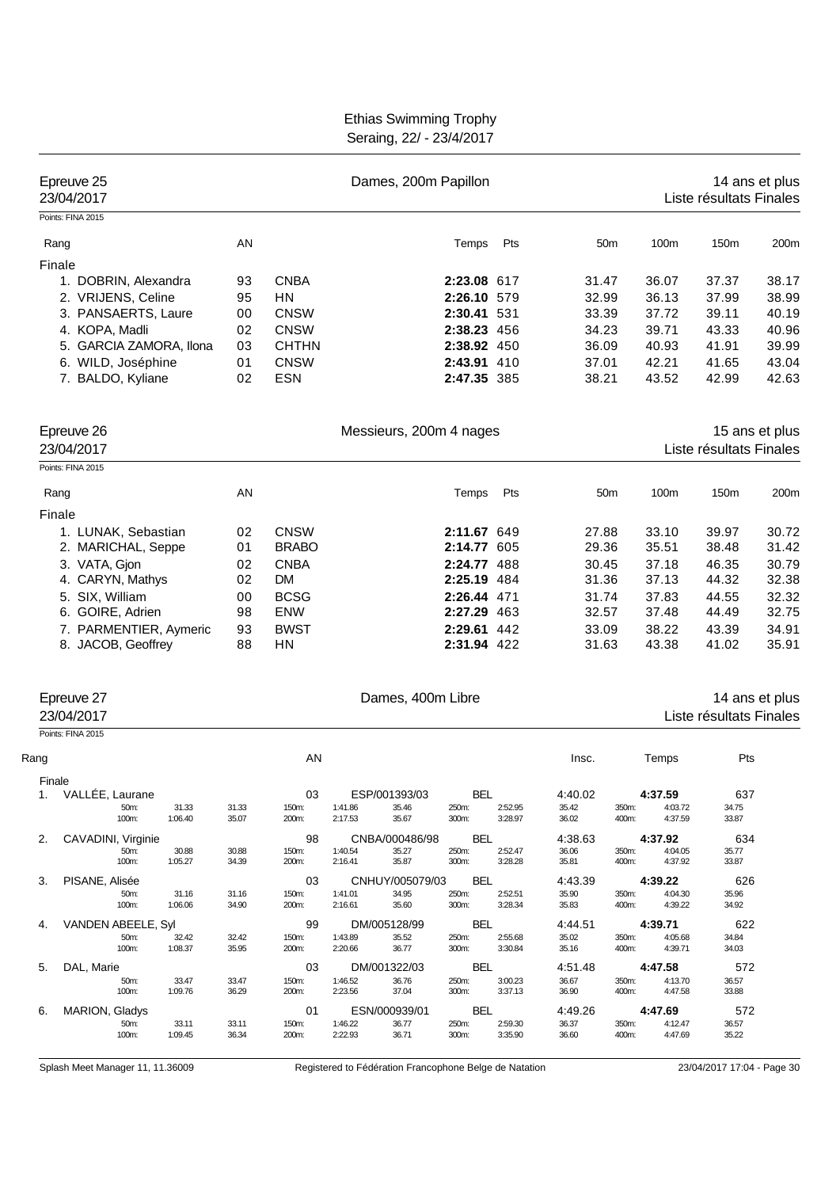| Epreuve 25<br>23/04/2017                   |                  |                |                           |                    | Dames, 200m Papillon |                            |                    |                |                 | Liste résultats Finales | 14 ans et plus          |                |
|--------------------------------------------|------------------|----------------|---------------------------|--------------------|----------------------|----------------------------|--------------------|----------------|-----------------|-------------------------|-------------------------|----------------|
| Points: FINA 2015                          |                  |                |                           |                    |                      |                            |                    |                |                 |                         |                         |                |
| Rang                                       |                  | AN             |                           |                    |                      | Temps                      | Pts                |                | 50 <sub>m</sub> | 100m                    | 150m                    | 200m           |
| Finale                                     |                  |                |                           |                    |                      |                            |                    |                |                 |                         |                         |                |
| 1. DOBRIN, Alexandra                       |                  | 93             | <b>CNBA</b>               |                    |                      | 2:23.08 617                |                    | 31.47          |                 | 36.07                   | 37.37                   | 38.17          |
| 2. VRIJENS, Celine                         |                  | 95             | HN                        |                    |                      | 2:26.10 579                |                    | 32.99          |                 | 36.13                   | 37.99                   | 38.99          |
| 3. PANSAERTS, Laure                        |                  | 00             | <b>CNSW</b>               |                    |                      | 2:30.41 531                |                    | 33.39          |                 | 37.72                   | 39.11                   | 40.19          |
| 4. KOPA, Madli                             |                  | 02             | <b>CNSW</b>               |                    |                      | 2:38.23 456                |                    | 34.23          |                 | 39.71                   | 43.33                   | 40.96          |
| 5. GARCIA ZAMORA, Ilona                    |                  | 03             | <b>CHTHN</b>              |                    |                      | 2:38.92 450                |                    | 36.09          |                 | 40.93                   | 41.91                   | 39.99          |
| 6. WILD, Joséphine                         |                  | 01             | <b>CNSW</b>               |                    |                      | 2:43.91 410                |                    | 37.01          |                 | 42.21                   | 41.65                   | 43.04          |
| 7. BALDO, Kyliane                          |                  | 02             | <b>ESN</b>                |                    |                      | 2:47.35 385                |                    | 38.21          |                 | 43.52                   | 42.99                   | 42.63          |
| Epreuve 26<br>23/04/2017                   |                  |                |                           |                    |                      | Messieurs, 200m 4 nages    |                    |                |                 |                         | Liste résultats Finales | 15 ans et plus |
| Points: FINA 2015                          |                  |                |                           |                    |                      |                            |                    |                |                 |                         |                         |                |
|                                            |                  |                |                           |                    |                      |                            |                    |                |                 |                         |                         |                |
| Rang                                       |                  | AN             |                           |                    |                      | Temps                      | Pts                |                | 50 <sub>m</sub> | 100m                    | 150m                    | 200m           |
| Finale                                     |                  |                |                           |                    |                      |                            |                    |                |                 |                         |                         |                |
| 1. LUNAK, Sebastian                        |                  | 02             | <b>CNSW</b>               |                    |                      | 2:11.67 649                |                    | 27.88          |                 | 33.10                   | 39.97                   | 30.72          |
| 2. MARICHAL, Seppe                         |                  | 01             | <b>BRABO</b>              |                    |                      | 2:14.77 605                |                    | 29.36          |                 | 35.51                   | 38.48                   | 31.42          |
| 3. VATA, Gjon                              |                  | 02             | <b>CNBA</b>               |                    |                      | 2:24.77 488                |                    | 30.45          |                 | 37.18                   | 46.35                   | 30.79          |
| 4. CARYN, Mathys                           |                  | 02             | <b>DM</b>                 |                    |                      | 2:25.19 484                |                    | 31.36          |                 | 37.13                   | 44.32                   | 32.38          |
| 5. SIX, William                            |                  | 00             | <b>BCSG</b>               |                    |                      | 2:26.44 471                |                    | 31.74          |                 | 37.83                   | 44.55                   | 32.32          |
| 6. GOIRE, Adrien<br>7. PARMENTIER, Aymeric |                  | 98             | <b>ENW</b><br><b>BWST</b> |                    |                      | 2:27.29 463<br>2:29.61 442 |                    | 32.57          |                 | 37.48                   | 44.49                   | 32.75          |
| 8. JACOB, Geoffrey                         |                  | 93<br>88       | HN                        |                    |                      | 2:31.94 422                |                    | 33.09<br>31.63 |                 | 38.22<br>43.38          | 43.39<br>41.02          | 34.91<br>35.91 |
|                                            |                  |                |                           |                    |                      |                            |                    |                |                 |                         |                         |                |
| Epreuve 27                                 |                  |                |                           |                    | Dames, 400m Libre    |                            |                    |                |                 |                         |                         | 14 ans et plus |
| 23/04/2017                                 |                  |                |                           |                    |                      |                            |                    |                |                 |                         | Liste résultats Finales |                |
| Points: FINA 2015                          |                  |                |                           |                    |                      |                            |                    |                |                 |                         |                         |                |
| Rang                                       |                  |                | AN                        |                    |                      |                            |                    | Insc.          |                 | Temps                   | Pts                     |                |
| Finale                                     |                  |                |                           |                    |                      |                            |                    |                |                 |                         |                         |                |
| VALLÉE, Laurane<br>1.<br>50m:              |                  | 31.33          | 03                        |                    | ESP/001393/03        | <b>BEL</b>                 |                    | 4:40.02        |                 | 4:37.59                 | 637                     |                |
| 100m:                                      | 31.33<br>1:06.40 | 35.07          | 150m:<br>200m:            | 1:41.86<br>2:17.53 | 35.46<br>35.67       | 250m:<br>300m:             | 2:52.95<br>3:28.97 | 35.42<br>36.02 | 350m:<br>400m:  | 4:03.72<br>4:37.59      | 34.75<br>33.87          |                |
| CAVADINI, Virginie<br>2.                   |                  |                | 98                        |                    | CNBA/000486/98       | BEL                        |                    | 4:38.63        |                 | 4:37.92                 | 634                     |                |
| 50m:                                       | 30.88            | 30.88          | 150m:                     | 1:40.54            | 35.27                | 250m:                      | 2:52.47            | 36.06          | 350m:           | 4:04.05                 | 35.77                   |                |
| 100m:                                      | 1:05.27          | 34.39          | 200m:                     | 2:16.41            | 35.87                | 300m:                      | 3:28.28            | 35.81          | 400m:           | 4:37.92                 | 33.87                   |                |
| PISANE, Alisée<br>З.                       |                  |                | 03                        |                    | CNHUY/005079/03      | BEL                        |                    | 4:43.39        |                 | 4:39.22                 | 626                     |                |
| 50m:<br>100m:                              | 31.16<br>1:06.06 | 31.16<br>34.90 | 150m:<br>200m:            | 1:41.01<br>2:16.61 | 34.95<br>35.60       | 250m:<br>300m:             | 2:52.51<br>3:28.34 | 35.90<br>35.83 | 350m:<br>400m:  | 4:04.30<br>4:39.22      | 35.96<br>34.92          |                |
| VANDEN ABEELE, Syl<br>4.                   |                  |                | 99                        |                    | DM/005128/99         | BEL                        |                    | 4:44.51        |                 | 4:39.71                 | 622                     |                |
| 50m:                                       | 32.42            | 32.42          | 150m:                     | 1:43.89            | 35.52                | 250m:                      | 2:55.68            | 35.02          | 350m:           | 4:05.68                 | 34.84                   |                |
| 100m:                                      | 1:08.37          | 35.95          | 200m:                     | 2:20.66            | 36.77                | 300m:                      | 3:30.84            | 35.16          | 400m:           | 4:39.71                 | 34.03                   |                |
| DAL, Marie<br>5.                           |                  |                | 03                        |                    | DM/001322/03         | BEL                        |                    | 4:51.48        |                 | 4:47.58                 | 572                     |                |
| 50m:<br>100m:                              | 33.47<br>1:09.76 | 33.47<br>36.29 | 150m:<br>200m:            | 1:46.52<br>2:23.56 | 36.76<br>37.04       | 250m:<br>300m:             | 3:00.23<br>3:37.13 | 36.67<br>36.90 | 350m:<br>400m:  | 4:13.70<br>4:47.58      | 36.57<br>33.88          |                |
| <b>MARION, Gladys</b><br>6.                |                  |                | 01                        |                    | ESN/000939/01        | BEL                        |                    | 4:49.26        |                 | 4:47.69                 | 572                     |                |
| 50m:                                       | 33.11            | 33.11          | 150m:                     | 1:46.22            | 36.77                | 250m:                      | 2:59.30            | 36.37          | 350m:           | 4:12.47                 | 36.57                   |                |
| 100m:                                      | 1:09.45          | 36.34          | 200m:                     | 2:22.93            | 36.71                | 300m:                      | 3:35.90            | 36.60          | 400m:           | 4:47.69                 | 35.22                   |                |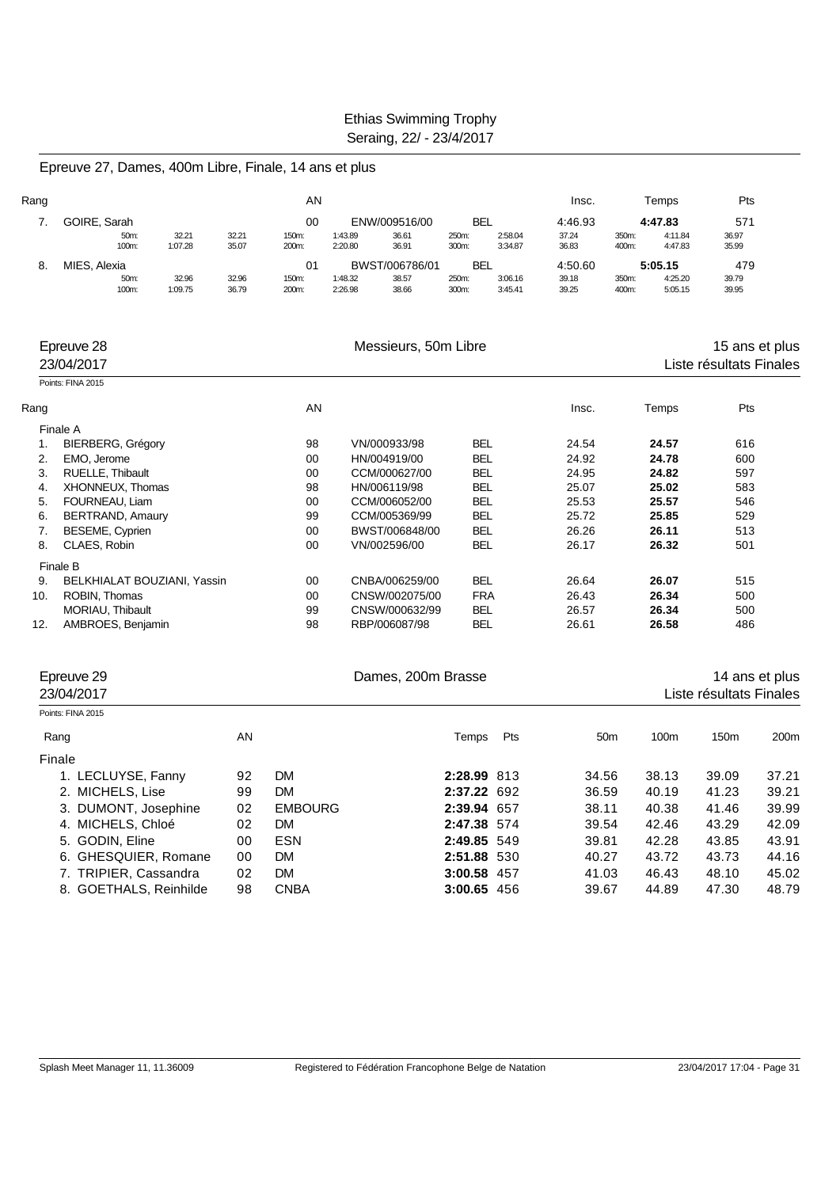Epreuve 27, Dames, 400m Libre, Finale, 14 ans et plus

| Rang |               |                  |                | AN             |                    |                |                |                    | Insc.          |                | Temps              | Pts            |
|------|---------------|------------------|----------------|----------------|--------------------|----------------|----------------|--------------------|----------------|----------------|--------------------|----------------|
|      | GOIRE, Sarah  |                  |                | 00             |                    | ENW/009516/00  | BEL            |                    | 4:46.93        |                | 4:47.83            | 571            |
|      | 50m:<br>100m: | 32.21<br>1:07.28 | 32.21<br>35.07 | 150m:<br>200m: | 1:43.89<br>2:20.80 | 36.61<br>36.91 | 250m:<br>300m: | 2:58.04<br>3:34.87 | 37.24<br>36.83 | 350m:<br>400m: | 4:11.84<br>4:47.83 | 36.97<br>35.99 |
| 8.   | MIES, Alexia  |                  |                | 01             |                    | BWST/006786/01 | <b>BEL</b>     |                    | 4:50.60        |                | 5:05.15            | 479            |
|      | 50m:          | 32.96            | 32.96          | 150m:          | 1:48.32            | 38.57          | 250m:          | 3:06.16            | 39.18          | 350m:          | 4:25.20            | 39.79          |
|      | 100m:         | 1:09.75          | 36.79          | 200m:          | 2:26.98            | 38.66          | 300m:          | 3:45.41            | 39.25          | 400m:          | 5:05.15            | 39.95          |

|      | Epreuve 28<br>23/04/2017    |    | Messieurs, 50m Libre |            |       |       | 15 ans et plus<br>Liste résultats Finales |
|------|-----------------------------|----|----------------------|------------|-------|-------|-------------------------------------------|
|      | Points: FINA 2015           |    |                      |            |       |       |                                           |
| Rang |                             | AN |                      |            | Insc. | Temps | Pts                                       |
|      | Finale A                    |    |                      |            |       |       |                                           |
| 1.   | <b>BIERBERG, Grégory</b>    | 98 | VN/000933/98         | BEL        | 24.54 | 24.57 | 616                                       |
| 2.   | EMO, Jerome                 | 00 | HN/004919/00         | <b>BEL</b> | 24.92 | 24.78 | 600                                       |
| 3.   | RUELLE, Thibault            | 00 | CCM/000627/00        | <b>BEL</b> | 24.95 | 24.82 | 597                                       |
| 4.   | XHONNEUX, Thomas            | 98 | HN/006119/98         | <b>BEL</b> | 25.07 | 25.02 | 583                                       |
| 5.   | FOURNEAU, Liam              | 00 | CCM/006052/00        | <b>BEL</b> | 25.53 | 25.57 | 546                                       |
| 6.   | BERTRAND, Amaury            | 99 | CCM/005369/99        | <b>BEL</b> | 25.72 | 25.85 | 529                                       |
| 7.   | BESEME, Cyprien             | 00 | BWST/006848/00       | <b>BEL</b> | 26.26 | 26.11 | 513                                       |
| 8.   | CLAES, Robin                | 00 | VN/002596/00         | <b>BEL</b> | 26.17 | 26.32 | 501                                       |
|      | Finale B                    |    |                      |            |       |       |                                           |
| 9.   | BELKHIALAT BOUZIANI, Yassin | 00 | CNBA/006259/00       | <b>BEL</b> | 26.64 | 26.07 | 515                                       |
| 10.  | ROBIN, Thomas               | 00 | CNSW/002075/00       | <b>FRA</b> | 26.43 | 26.34 | 500                                       |
|      | MORIAU, Thibault            | 99 | CNSW/000632/99       | <b>BEL</b> | 26.57 | 26.34 | 500                                       |
| 12.  | AMBROES, Benjamin           | 98 | RBP/006087/98        | BEL        | 26.61 | 26.58 | 486                                       |

| Epreuve 29<br>23/04/2017 |    |                | Dames, 200m Brasse |     |                 |                  | Liste résultats Finales | 14 ans et plus   |
|--------------------------|----|----------------|--------------------|-----|-----------------|------------------|-------------------------|------------------|
| Points: FINA 2015        |    |                |                    |     |                 |                  |                         |                  |
| Rang                     | AN |                | Temps              | Pts | 50 <sub>m</sub> | 100 <sub>m</sub> | 150 <sub>m</sub>        | 200 <sub>m</sub> |
| Finale                   |    |                |                    |     |                 |                  |                         |                  |
| 1. LECLUYSE, Fanny       | 92 | <b>DM</b>      | 2:28.99 813        |     | 34.56           | 38.13            | 39.09                   | 37.21            |
| 2. MICHELS, Lise         | 99 | DM             | 2:37.22 692        |     | 36.59           | 40.19            | 41.23                   | 39.21            |
| 3. DUMONT, Josephine     | 02 | <b>EMBOURG</b> | 2:39.94 657        |     | 38.11           | 40.38            | 41.46                   | 39.99            |
| 4. MICHELS, Chloé        | 02 | DM             | 2:47.38 574        |     | 39.54           | 42.46            | 43.29                   | 42.09            |
| 5. GODIN, Eline          | 00 | <b>ESN</b>     | 2:49.85 549        |     | 39.81           | 42.28            | 43.85                   | 43.91            |
| 6. GHESQUIER, Romane     | 00 | DM             | 2:51.88 530        |     | 40.27           | 43.72            | 43.73                   | 44.16            |
| 7. TRIPIER, Cassandra    | 02 | DM             | 3:00.58 457        |     | 41.03           | 46.43            | 48.10                   | 45.02            |
| 8. GOETHALS, Reinhilde   | 98 | <b>CNBA</b>    | 3:00.65 456        |     | 39.67           | 44.89            | 47.30                   | 48.79            |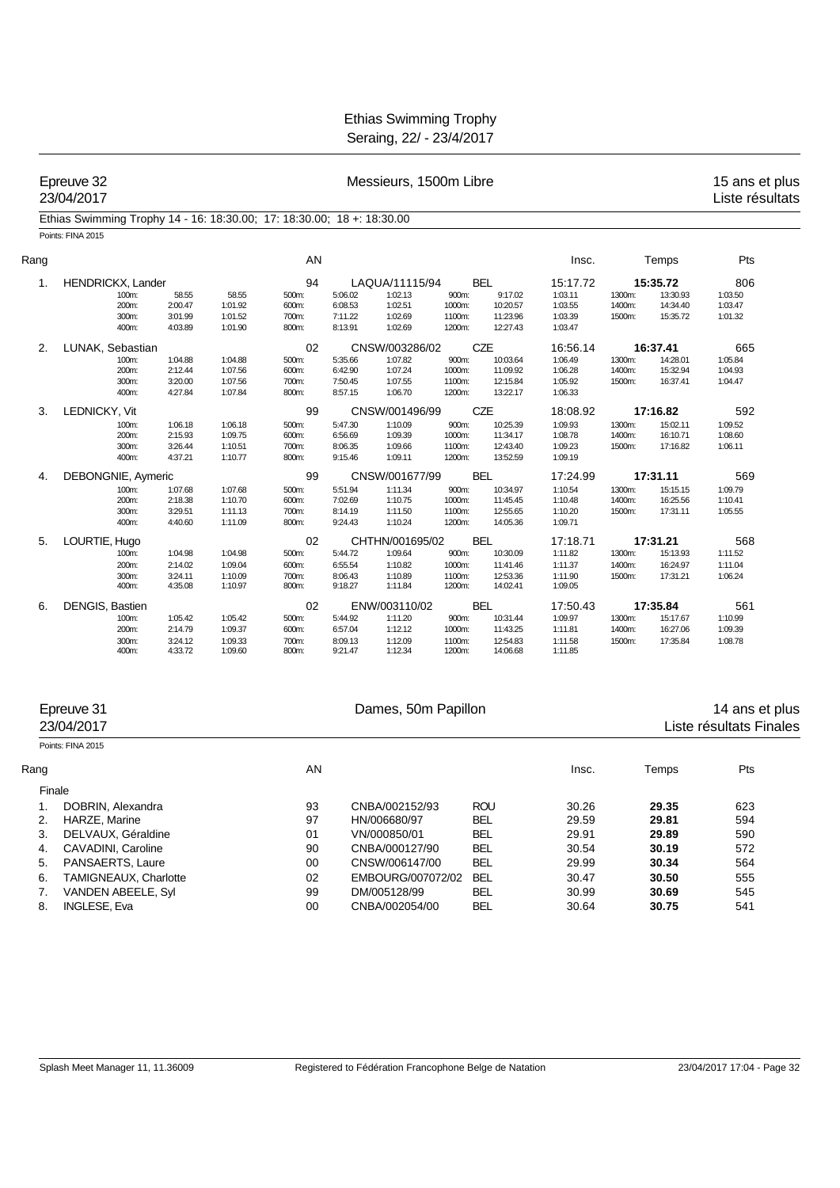Epreuve 32 **Accord 20 Exercise 23/04/2017**<br>
Expreuve 32 **Messieurs, 1500m Libre** 15 ans et plus 23/04/2017<br>
Liste résultats Liste résultats

#### Ethias Swimming Trophy 14 - 16: 18:30.00; 17: 18:30.00; 18 +: 18:30.00 Points: FINA 2015

| Rang |                                  |                                          |                                          | AN                               |                                          |                                          |                                     |                                              | Insc.                                    |                            | Temps                            | Pts                           |
|------|----------------------------------|------------------------------------------|------------------------------------------|----------------------------------|------------------------------------------|------------------------------------------|-------------------------------------|----------------------------------------------|------------------------------------------|----------------------------|----------------------------------|-------------------------------|
| 1.   | HENDRICKX, Lander                |                                          |                                          | 94                               |                                          | LAQUA/11115/94                           |                                     | <b>BEL</b>                                   | 15:17.72                                 |                            | 15:35.72                         | 806                           |
|      | 100m:<br>200m:                   | 58.55<br>2:00.47                         | 58.55<br>1:01.92                         | 500m:<br>600m:                   | 5:06.02<br>6:08.53                       | 1:02.13<br>1:02.51                       | 900m:<br>1000m:                     | 9:17.02<br>10:20.57                          | 1:03.11<br>1:03.55                       | 1300m:<br>1400m:           | 13:30.93<br>14:34.40             | 1:03.50<br>1:03.47            |
|      | 300m:<br>400m:                   | 3:01.99<br>4:03.89                       | 1:01.52<br>1:01.90                       | 700m:<br>800m:                   | 7:11.22<br>8:13.91                       | 1:02.69<br>1:02.69                       | 1100m:<br>1200m:                    | 11:23.96<br>12:27.43                         | 1:03.39<br>1:03.47                       | 1500m:                     | 15:35.72                         | 1:01.32                       |
| 2.   | LUNAK, Sebastian                 |                                          |                                          | 02                               |                                          | CNSW/003286/02                           |                                     | <b>CZE</b>                                   | 16:56.14                                 |                            | 16:37.41                         | 665                           |
|      | 100m:<br>200m:<br>300m:<br>400m: | 1:04.88<br>2:12.44<br>3:20.00            | 1:04.88<br>1:07.56<br>1:07.56            | 500m:<br>600m:<br>700m:          | 5:35.66<br>6:42.90<br>7:50.45            | 1:07.82<br>1:07.24<br>1:07.55            | 900m:<br>1000m:<br>1100m:           | 10:03.64<br>11:09.92<br>12:15.84             | 1:06.49<br>1:06.28<br>1:05.92            | 1300m:<br>1400m:<br>1500m: | 14:28.01<br>15:32.94<br>16:37.41 | 1:05.84<br>1:04.93<br>1:04.47 |
| 3.   | LEDNICKY, Vit                    | 4:27.84                                  | 1:07.84                                  | 800m:<br>99                      | 8:57.15                                  | 1:06.70<br>CNSW/001496/99                | 1200m:                              | 13:22.17<br><b>CZE</b>                       | 1:06.33<br>18:08.92                      |                            | 17:16.82                         | 592                           |
|      | 100m:<br>200m:<br>300m:<br>400m: | 1:06.18<br>2:15.93<br>3:26.44<br>4:37.21 | 1:06.18<br>1:09.75<br>1:10.51<br>1:10.77 | 500m:<br>600m:<br>700m:<br>800m: | 5:47.30<br>6:56.69<br>8:06.35<br>9:15.46 | 1:10.09<br>1:09.39<br>1:09.66<br>1:09.11 | 900m:<br>1000m:<br>1100m:<br>1200m: | 10:25.39<br>11:34.17<br>12:43.40<br>13:52.59 | 1:09.93<br>1:08.78<br>1:09.23<br>1:09.19 | 1300m:<br>1400m:<br>1500m: | 15:02.11<br>16:10.71<br>17:16.82 | 1:09.52<br>1:08.60<br>1:06.11 |
| 4.   | DEBONGNIE, Aymeric               |                                          |                                          | 99                               |                                          | CNSW/001677/99                           |                                     | <b>BEL</b>                                   | 17:24.99                                 |                            | 17:31.11                         | 569                           |
|      | 100m:<br>200m:<br>300m:<br>400m: | 1:07.68<br>2:18.38<br>3:29.51<br>4:40.60 | 1:07.68<br>1:10.70<br>1:11.13<br>1:11.09 | 500m:<br>600m:<br>700m:<br>800m: | 5:51.94<br>7:02.69<br>8:14.19<br>9:24.43 | 1:11.34<br>1:10.75<br>1:11.50<br>1:10.24 | 900m:<br>1000m:<br>1100m:<br>1200m: | 10:34.97<br>11:45.45<br>12:55.65<br>14:05.36 | 1:10.54<br>1:10.48<br>1:10.20<br>1:09.71 | 1300m:<br>1400m:<br>1500m: | 15:15.15<br>16:25.56<br>17:31.11 | 1:09.79<br>1:10.41<br>1:05.55 |
| 5.   | LOURTIE, Hugo                    |                                          |                                          | 02                               |                                          | CHTHN/001695/02                          |                                     | <b>BEL</b>                                   | 17:18.71                                 |                            | 17:31.21                         | 568                           |
|      | 100m:<br>200m:<br>300m:<br>400m: | 1:04.98<br>2:14.02<br>3:24.11<br>4:35.08 | 1:04.98<br>1:09.04<br>1:10.09<br>1:10.97 | 500m:<br>600m:<br>700m:<br>800m: | 5:44.72<br>6:55.54<br>8:06.43<br>9:18.27 | 1:09.64<br>1:10.82<br>1:10.89<br>1:11.84 | 900m:<br>1000m:<br>1100m:<br>1200m: | 10:30.09<br>11:41.46<br>12:53.36<br>14:02.41 | 1:11.82<br>1:11.37<br>1:11.90<br>1:09.05 | 1300m:<br>1400m:<br>1500m: | 15:13.93<br>16:24.97<br>17:31.21 | 1:11.52<br>1:11.04<br>1:06.24 |
| 6.   | <b>DENGIS, Bastien</b>           |                                          |                                          | 02                               |                                          | ENW/003110/02                            |                                     | <b>BEL</b>                                   | 17:50.43                                 |                            | 17:35.84                         | 561                           |
|      | 100m:<br>200m:<br>300m:<br>400m: | 1:05.42<br>2:14.79<br>3:24.12<br>4:33.72 | 1:05.42<br>1:09.37<br>1:09.33<br>1:09.60 | 500m:<br>600m:<br>700m:<br>800m: | 5:44.92<br>6:57.04<br>8:09.13<br>9:21.47 | 1:11.20<br>1:12.12<br>1:12.09<br>1:12.34 | 900m:<br>1000m:<br>1100m:<br>1200m: | 10:31.44<br>11:43.25<br>12:54.83<br>14:06.68 | 1:09.97<br>1:11.81<br>1:11.58<br>1:11.85 | 1300m:<br>1400m:<br>1500m: | 15:17.67<br>16:27.06<br>17:35.84 | 1:10.99<br>1:09.39<br>1:08.78 |

|      | Epreuve 31<br>23/04/2017 |    | Dames, 50m Papillon | 14 ans et plus<br>Liste résultats Finales |       |       |     |  |
|------|--------------------------|----|---------------------|-------------------------------------------|-------|-------|-----|--|
|      | Points: FINA 2015        |    |                     |                                           |       |       |     |  |
| Rang |                          | AN |                     |                                           | Insc. | Temps | Pts |  |
|      | Finale                   |    |                     |                                           |       |       |     |  |
|      | DOBRIN, Alexandra        | 93 | CNBA/002152/93      | <b>ROU</b>                                | 30.26 | 29.35 | 623 |  |
| 2.   | HARZE, Marine            | 97 | HN/006680/97        | <b>BEL</b>                                | 29.59 | 29.81 | 594 |  |
| 3.   | DELVAUX, Géraldine       | 01 | VN/000850/01        | <b>BEL</b>                                | 29.91 | 29.89 | 590 |  |
| 4.   | CAVADINI, Caroline       | 90 | CNBA/000127/90      | <b>BEL</b>                                | 30.54 | 30.19 | 572 |  |
| 5.   | PANSAERTS, Laure         | 00 | CNSW/006147/00      | <b>BEL</b>                                | 29.99 | 30.34 | 564 |  |
| 6.   | TAMIGNEAUX, Charlotte    | 02 | EMBOURG/007072/02   | <b>BEL</b>                                | 30.47 | 30.50 | 555 |  |
|      | VANDEN ABEELE, Syl       | 99 | DM/005128/99        | <b>BEL</b>                                | 30.99 | 30.69 | 545 |  |
| 8.   | <b>INGLESE, Eva</b>      | 00 | CNBA/002054/00      | <b>BEL</b>                                | 30.64 | 30.75 | 541 |  |
|      |                          |    |                     |                                           |       |       |     |  |